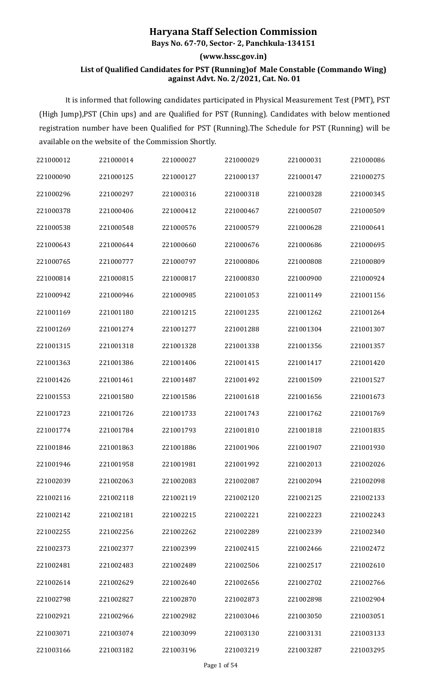## **Haryana Staff Selection Commission**

**Bays No. 67-70, Sector- 2, Panchkula-134151**

## **(www.hssc.gov.in)**

## **List of Qualified Candidates for PST (Running)of Male Constable (Commando Wing) against Advt. No. 2/2021, Cat. No. 01**

It is informed that following candidates participated in Physical Measurement Test (PMT), PST (High Jump),PST (Chin ups) and are Qualified for PST (Running). Candidates with below mentioned registration number have been Qualified for PST (Running).The Schedule for PST (Running) will be available on the website of the Commission Shortly.

| 221000012 | 221000014 | 221000027 | 221000029 | 221000031 | 221000086 |
|-----------|-----------|-----------|-----------|-----------|-----------|
| 221000090 | 221000125 | 221000127 | 221000137 | 221000147 | 221000275 |
| 221000296 | 221000297 | 221000316 | 221000318 | 221000328 | 221000345 |
| 221000378 | 221000406 | 221000412 | 221000467 | 221000507 | 221000509 |
| 221000538 | 221000548 | 221000576 | 221000579 | 221000628 | 221000641 |
| 221000643 | 221000644 | 221000660 | 221000676 | 221000686 | 221000695 |
| 221000765 | 221000777 | 221000797 | 221000806 | 221000808 | 221000809 |
| 221000814 | 221000815 | 221000817 | 221000830 | 221000900 | 221000924 |
| 221000942 | 221000946 | 221000985 | 221001053 | 221001149 | 221001156 |
| 221001169 | 221001180 | 221001215 | 221001235 | 221001262 | 221001264 |
| 221001269 | 221001274 | 221001277 | 221001288 | 221001304 | 221001307 |
| 221001315 | 221001318 | 221001328 | 221001338 | 221001356 | 221001357 |
| 221001363 | 221001386 | 221001406 | 221001415 | 221001417 | 221001420 |
| 221001426 | 221001461 | 221001487 | 221001492 | 221001509 | 221001527 |
| 221001553 | 221001580 | 221001586 | 221001618 | 221001656 | 221001673 |
| 221001723 | 221001726 | 221001733 | 221001743 | 221001762 | 221001769 |
| 221001774 | 221001784 | 221001793 | 221001810 | 221001818 | 221001835 |
| 221001846 | 221001863 | 221001886 | 221001906 | 221001907 | 221001930 |
| 221001946 | 221001958 | 221001981 | 221001992 | 221002013 | 221002026 |
| 221002039 | 221002063 | 221002083 | 221002087 | 221002094 | 221002098 |
| 221002116 | 221002118 | 221002119 | 221002120 | 221002125 | 221002133 |
| 221002142 | 221002181 | 221002215 | 221002221 | 221002223 | 221002243 |
| 221002255 | 221002256 | 221002262 | 221002289 | 221002339 | 221002340 |
| 221002373 | 221002377 | 221002399 | 221002415 | 221002466 | 221002472 |
| 221002481 | 221002483 | 221002489 | 221002506 | 221002517 | 221002610 |
| 221002614 | 221002629 | 221002640 | 221002656 | 221002702 | 221002766 |
| 221002798 | 221002827 | 221002870 | 221002873 | 221002898 | 221002904 |
| 221002921 | 221002966 | 221002982 | 221003046 | 221003050 | 221003051 |
| 221003071 | 221003074 | 221003099 | 221003130 | 221003131 | 221003133 |
| 221003166 | 221003182 | 221003196 | 221003219 | 221003287 | 221003295 |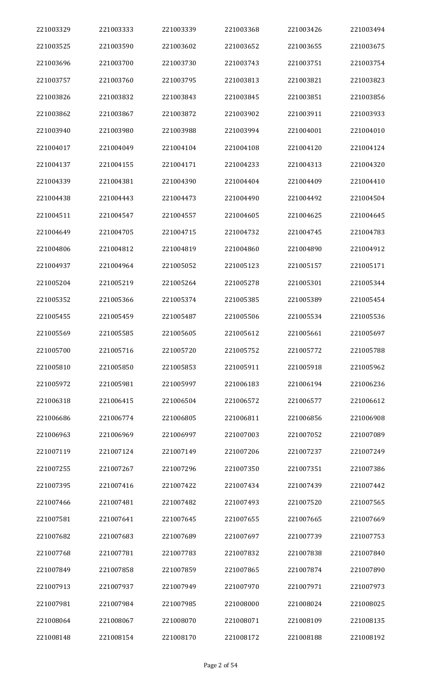| 221003329 | 221003333 | 221003339 | 221003368 | 221003426 | 221003494 |
|-----------|-----------|-----------|-----------|-----------|-----------|
| 221003525 | 221003590 | 221003602 | 221003652 | 221003655 | 221003675 |
| 221003696 | 221003700 | 221003730 | 221003743 | 221003751 | 221003754 |
| 221003757 | 221003760 | 221003795 | 221003813 | 221003821 | 221003823 |
| 221003826 | 221003832 | 221003843 | 221003845 | 221003851 | 221003856 |
| 221003862 | 221003867 | 221003872 | 221003902 | 221003911 | 221003933 |
| 221003940 | 221003980 | 221003988 | 221003994 | 221004001 | 221004010 |
| 221004017 | 221004049 | 221004104 | 221004108 | 221004120 | 221004124 |
| 221004137 | 221004155 | 221004171 | 221004233 | 221004313 | 221004320 |
| 221004339 | 221004381 | 221004390 | 221004404 | 221004409 | 221004410 |
| 221004438 | 221004443 | 221004473 | 221004490 | 221004492 | 221004504 |
| 221004511 | 221004547 | 221004557 | 221004605 | 221004625 | 221004645 |
| 221004649 | 221004705 | 221004715 | 221004732 | 221004745 | 221004783 |
| 221004806 | 221004812 | 221004819 | 221004860 | 221004890 | 221004912 |
| 221004937 | 221004964 | 221005052 | 221005123 | 221005157 | 221005171 |
| 221005204 | 221005219 | 221005264 | 221005278 | 221005301 | 221005344 |
| 221005352 | 221005366 | 221005374 | 221005385 | 221005389 | 221005454 |
| 221005455 | 221005459 | 221005487 | 221005506 | 221005534 | 221005536 |
| 221005569 | 221005585 | 221005605 | 221005612 | 221005661 | 221005697 |
| 221005700 | 221005716 | 221005720 | 221005752 | 221005772 | 221005788 |
| 221005810 | 221005850 | 221005853 | 221005911 | 221005918 | 221005962 |
| 221005972 | 221005981 | 221005997 | 221006183 | 221006194 | 221006236 |
| 221006318 | 221006415 | 221006504 | 221006572 | 221006577 | 221006612 |
| 221006686 | 221006774 | 221006805 | 221006811 | 221006856 | 221006908 |
| 221006963 | 221006969 | 221006997 | 221007003 | 221007052 | 221007089 |
| 221007119 | 221007124 | 221007149 | 221007206 | 221007237 | 221007249 |
| 221007255 | 221007267 | 221007296 | 221007350 | 221007351 | 221007386 |
| 221007395 | 221007416 | 221007422 | 221007434 | 221007439 | 221007442 |
| 221007466 | 221007481 | 221007482 | 221007493 | 221007520 | 221007565 |
| 221007581 | 221007641 | 221007645 | 221007655 | 221007665 | 221007669 |
| 221007682 | 221007683 | 221007689 | 221007697 | 221007739 | 221007753 |
| 221007768 | 221007781 | 221007783 | 221007832 | 221007838 | 221007840 |
| 221007849 | 221007858 | 221007859 | 221007865 | 221007874 | 221007890 |
| 221007913 | 221007937 | 221007949 | 221007970 | 221007971 | 221007973 |
| 221007981 | 221007984 | 221007985 | 221008000 | 221008024 | 221008025 |
| 221008064 | 221008067 | 221008070 | 221008071 | 221008109 | 221008135 |
| 221008148 | 221008154 | 221008170 | 221008172 | 221008188 | 221008192 |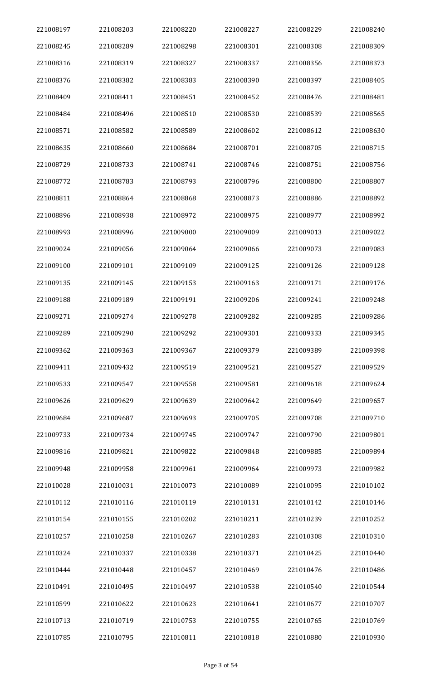| 221008197 | 221008203 | 221008220 | 221008227 | 221008229 | 221008240 |
|-----------|-----------|-----------|-----------|-----------|-----------|
| 221008245 | 221008289 | 221008298 | 221008301 | 221008308 | 221008309 |
| 221008316 | 221008319 | 221008327 | 221008337 | 221008356 | 221008373 |
| 221008376 | 221008382 | 221008383 | 221008390 | 221008397 | 221008405 |
| 221008409 | 221008411 | 221008451 | 221008452 | 221008476 | 221008481 |
| 221008484 | 221008496 | 221008510 | 221008530 | 221008539 | 221008565 |
| 221008571 | 221008582 | 221008589 | 221008602 | 221008612 | 221008630 |
| 221008635 | 221008660 | 221008684 | 221008701 | 221008705 | 221008715 |
| 221008729 | 221008733 | 221008741 | 221008746 | 221008751 | 221008756 |
| 221008772 | 221008783 | 221008793 | 221008796 | 221008800 | 221008807 |
| 221008811 | 221008864 | 221008868 | 221008873 | 221008886 | 221008892 |
| 221008896 | 221008938 | 221008972 | 221008975 | 221008977 | 221008992 |
| 221008993 | 221008996 | 221009000 | 221009009 | 221009013 | 221009022 |
| 221009024 | 221009056 | 221009064 | 221009066 | 221009073 | 221009083 |
| 221009100 | 221009101 | 221009109 | 221009125 | 221009126 | 221009128 |
| 221009135 | 221009145 | 221009153 | 221009163 | 221009171 | 221009176 |
| 221009188 | 221009189 | 221009191 | 221009206 | 221009241 | 221009248 |
| 221009271 | 221009274 | 221009278 | 221009282 | 221009285 | 221009286 |
| 221009289 | 221009290 | 221009292 | 221009301 | 221009333 | 221009345 |
| 221009362 | 221009363 | 221009367 | 221009379 | 221009389 | 221009398 |
| 221009411 | 221009432 | 221009519 | 221009521 | 221009527 | 221009529 |
| 221009533 | 221009547 | 221009558 | 221009581 | 221009618 | 221009624 |
| 221009626 | 221009629 | 221009639 | 221009642 | 221009649 | 221009657 |
| 221009684 | 221009687 | 221009693 | 221009705 | 221009708 | 221009710 |
| 221009733 | 221009734 | 221009745 | 221009747 | 221009790 | 221009801 |
| 221009816 | 221009821 | 221009822 | 221009848 | 221009885 | 221009894 |
| 221009948 | 221009958 | 221009961 | 221009964 | 221009973 | 221009982 |
| 221010028 | 221010031 | 221010073 | 221010089 | 221010095 | 221010102 |
| 221010112 | 221010116 | 221010119 | 221010131 | 221010142 | 221010146 |
| 221010154 | 221010155 | 221010202 | 221010211 | 221010239 | 221010252 |
| 221010257 | 221010258 | 221010267 | 221010283 | 221010308 | 221010310 |
| 221010324 | 221010337 | 221010338 | 221010371 | 221010425 | 221010440 |
| 221010444 | 221010448 | 221010457 | 221010469 | 221010476 | 221010486 |
| 221010491 | 221010495 | 221010497 | 221010538 | 221010540 | 221010544 |
| 221010599 | 221010622 | 221010623 | 221010641 | 221010677 | 221010707 |
| 221010713 | 221010719 | 221010753 | 221010755 | 221010765 | 221010769 |
| 221010785 | 221010795 | 221010811 | 221010818 | 221010880 | 221010930 |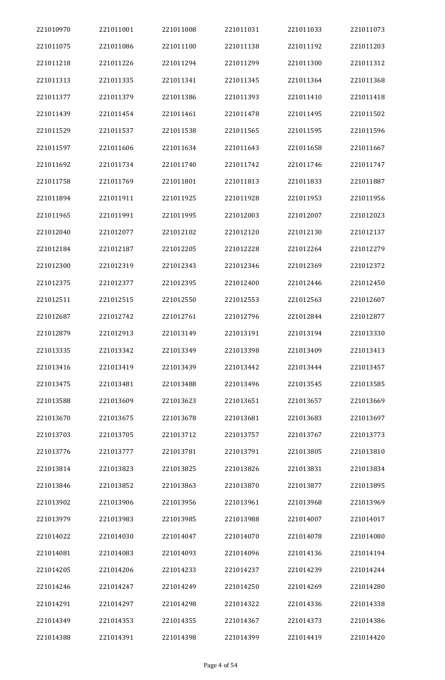| 221010970 | 221011001 | 221011008 | 221011031 | 221011033 | 221011073 |
|-----------|-----------|-----------|-----------|-----------|-----------|
| 221011075 | 221011086 | 221011100 | 221011138 | 221011192 | 221011203 |
| 221011218 | 221011226 | 221011294 | 221011299 | 221011300 | 221011312 |
| 221011313 | 221011335 | 221011341 | 221011345 | 221011364 | 221011368 |
| 221011377 | 221011379 | 221011386 | 221011393 | 221011410 | 221011418 |
| 221011439 | 221011454 | 221011461 | 221011478 | 221011495 | 221011502 |
| 221011529 | 221011537 | 221011538 | 221011565 | 221011595 | 221011596 |
| 221011597 | 221011606 | 221011634 | 221011643 | 221011658 | 221011667 |
| 221011692 | 221011734 | 221011740 | 221011742 | 221011746 | 221011747 |
| 221011758 | 221011769 | 221011801 | 221011813 | 221011833 | 221011887 |
| 221011894 | 221011911 | 221011925 | 221011928 | 221011953 | 221011956 |
| 221011965 | 221011991 | 221011995 | 221012003 | 221012007 | 221012023 |
| 221012040 | 221012077 | 221012102 | 221012120 | 221012130 | 221012137 |
| 221012184 | 221012187 | 221012205 | 221012228 | 221012264 | 221012279 |
| 221012300 | 221012319 | 221012343 | 221012346 | 221012369 | 221012372 |
| 221012375 | 221012377 | 221012395 | 221012400 | 221012446 | 221012450 |
| 221012511 | 221012515 | 221012550 | 221012553 | 221012563 | 221012607 |
| 221012687 | 221012742 | 221012761 | 221012796 | 221012844 | 221012877 |
| 221012879 | 221012913 | 221013149 | 221013191 | 221013194 | 221013330 |
| 221013335 | 221013342 | 221013349 | 221013398 | 221013409 | 221013413 |
| 221013416 | 221013419 | 221013439 | 221013442 | 221013444 | 221013457 |
| 221013475 | 221013481 | 221013488 | 221013496 | 221013545 | 221013585 |
| 221013588 | 221013609 | 221013623 | 221013651 | 221013657 | 221013669 |
| 221013670 | 221013675 | 221013678 | 221013681 | 221013683 | 221013697 |
| 221013703 | 221013705 | 221013712 | 221013757 | 221013767 | 221013773 |
| 221013776 | 221013777 | 221013781 | 221013791 | 221013805 | 221013810 |
| 221013814 | 221013823 | 221013825 | 221013826 | 221013831 | 221013834 |
| 221013846 | 221013852 | 221013863 | 221013870 | 221013877 | 221013895 |
| 221013902 | 221013906 | 221013956 | 221013961 | 221013968 | 221013969 |
| 221013979 | 221013983 | 221013985 | 221013988 | 221014007 | 221014017 |
| 221014022 | 221014030 | 221014047 | 221014070 | 221014078 | 221014080 |
| 221014081 | 221014083 | 221014093 | 221014096 | 221014136 | 221014194 |
| 221014205 | 221014206 | 221014233 | 221014237 | 221014239 | 221014244 |
| 221014246 | 221014247 | 221014249 | 221014250 | 221014269 | 221014280 |
| 221014291 | 221014297 | 221014298 | 221014322 | 221014336 | 221014338 |
| 221014349 | 221014353 | 221014355 | 221014367 | 221014373 | 221014386 |
| 221014388 | 221014391 | 221014398 | 221014399 | 221014419 | 221014420 |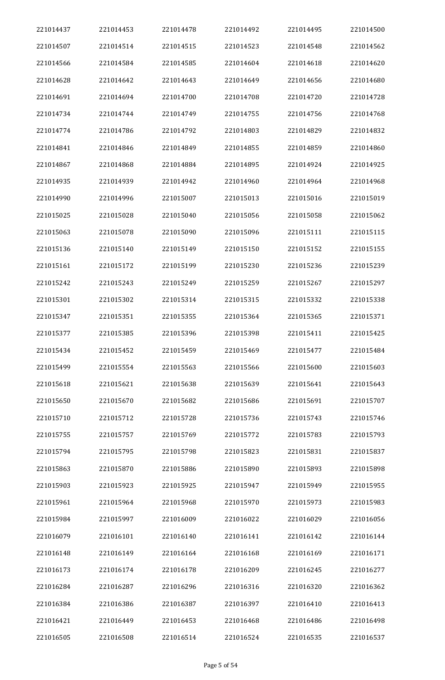| 221014437 | 221014453 | 221014478 | 221014492 | 221014495 | 221014500 |
|-----------|-----------|-----------|-----------|-----------|-----------|
| 221014507 | 221014514 | 221014515 | 221014523 | 221014548 | 221014562 |
| 221014566 | 221014584 | 221014585 | 221014604 | 221014618 | 221014620 |
| 221014628 | 221014642 | 221014643 | 221014649 | 221014656 | 221014680 |
| 221014691 | 221014694 | 221014700 | 221014708 | 221014720 | 221014728 |
| 221014734 | 221014744 | 221014749 | 221014755 | 221014756 | 221014768 |
| 221014774 | 221014786 | 221014792 | 221014803 | 221014829 | 221014832 |
| 221014841 | 221014846 | 221014849 | 221014855 | 221014859 | 221014860 |
| 221014867 | 221014868 | 221014884 | 221014895 | 221014924 | 221014925 |
| 221014935 | 221014939 | 221014942 | 221014960 | 221014964 | 221014968 |
| 221014990 | 221014996 | 221015007 | 221015013 | 221015016 | 221015019 |
| 221015025 | 221015028 | 221015040 | 221015056 | 221015058 | 221015062 |
| 221015063 | 221015078 | 221015090 | 221015096 | 221015111 | 221015115 |
| 221015136 | 221015140 | 221015149 | 221015150 | 221015152 | 221015155 |
| 221015161 | 221015172 | 221015199 | 221015230 | 221015236 | 221015239 |
| 221015242 | 221015243 | 221015249 | 221015259 | 221015267 | 221015297 |
| 221015301 | 221015302 | 221015314 | 221015315 | 221015332 | 221015338 |
| 221015347 | 221015351 | 221015355 | 221015364 | 221015365 | 221015371 |
| 221015377 | 221015385 | 221015396 | 221015398 | 221015411 | 221015425 |
| 221015434 | 221015452 | 221015459 | 221015469 | 221015477 | 221015484 |
| 221015499 | 221015554 | 221015563 | 221015566 | 221015600 | 221015603 |
| 221015618 | 221015621 | 221015638 | 221015639 | 221015641 | 221015643 |
| 221015650 | 221015670 | 221015682 | 221015686 | 221015691 | 221015707 |
| 221015710 | 221015712 | 221015728 | 221015736 | 221015743 | 221015746 |
| 221015755 | 221015757 | 221015769 | 221015772 | 221015783 | 221015793 |
| 221015794 | 221015795 | 221015798 | 221015823 | 221015831 | 221015837 |
| 221015863 | 221015870 | 221015886 | 221015890 | 221015893 | 221015898 |
| 221015903 | 221015923 | 221015925 | 221015947 | 221015949 | 221015955 |
| 221015961 | 221015964 | 221015968 | 221015970 | 221015973 | 221015983 |
| 221015984 | 221015997 | 221016009 | 221016022 | 221016029 | 221016056 |
| 221016079 | 221016101 | 221016140 | 221016141 | 221016142 | 221016144 |
| 221016148 | 221016149 | 221016164 | 221016168 | 221016169 | 221016171 |
| 221016173 | 221016174 | 221016178 | 221016209 | 221016245 | 221016277 |
| 221016284 | 221016287 | 221016296 | 221016316 | 221016320 | 221016362 |
| 221016384 | 221016386 | 221016387 | 221016397 | 221016410 | 221016413 |
| 221016421 | 221016449 | 221016453 | 221016468 | 221016486 | 221016498 |
| 221016505 | 221016508 | 221016514 | 221016524 | 221016535 | 221016537 |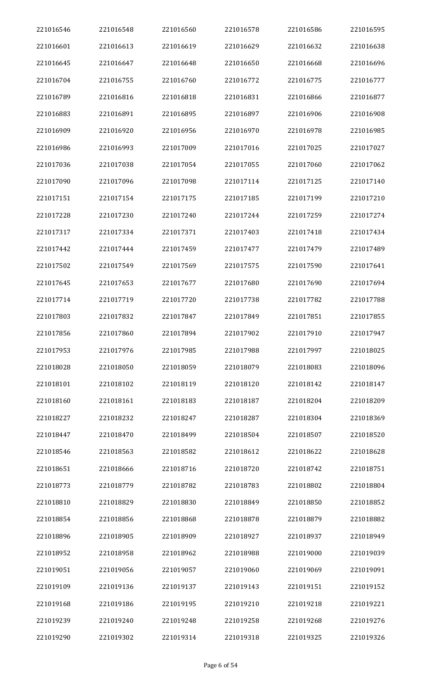| 221016546 | 221016548 | 221016560 | 221016578 | 221016586 | 221016595 |
|-----------|-----------|-----------|-----------|-----------|-----------|
| 221016601 | 221016613 | 221016619 | 221016629 | 221016632 | 221016638 |
| 221016645 | 221016647 | 221016648 | 221016650 | 221016668 | 221016696 |
| 221016704 | 221016755 | 221016760 | 221016772 | 221016775 | 221016777 |
| 221016789 | 221016816 | 221016818 | 221016831 | 221016866 | 221016877 |
| 221016883 | 221016891 | 221016895 | 221016897 | 221016906 | 221016908 |
| 221016909 | 221016920 | 221016956 | 221016970 | 221016978 | 221016985 |
| 221016986 | 221016993 | 221017009 | 221017016 | 221017025 | 221017027 |
| 221017036 | 221017038 | 221017054 | 221017055 | 221017060 | 221017062 |
| 221017090 | 221017096 | 221017098 | 221017114 | 221017125 | 221017140 |
| 221017151 | 221017154 | 221017175 | 221017185 | 221017199 | 221017210 |
| 221017228 | 221017230 | 221017240 | 221017244 | 221017259 | 221017274 |
| 221017317 | 221017334 | 221017371 | 221017403 | 221017418 | 221017434 |
| 221017442 | 221017444 | 221017459 | 221017477 | 221017479 | 221017489 |
| 221017502 | 221017549 | 221017569 | 221017575 | 221017590 | 221017641 |
| 221017645 | 221017653 | 221017677 | 221017680 | 221017690 | 221017694 |
| 221017714 | 221017719 | 221017720 | 221017738 | 221017782 | 221017788 |
| 221017803 | 221017832 | 221017847 | 221017849 | 221017851 | 221017855 |
| 221017856 | 221017860 | 221017894 | 221017902 | 221017910 | 221017947 |
| 221017953 | 221017976 | 221017985 | 221017988 | 221017997 | 221018025 |
| 221018028 | 221018050 | 221018059 | 221018079 | 221018083 | 221018096 |
| 221018101 | 221018102 | 221018119 | 221018120 | 221018142 | 221018147 |
| 221018160 | 221018161 | 221018183 | 221018187 | 221018204 | 221018209 |
| 221018227 | 221018232 | 221018247 | 221018287 | 221018304 | 221018369 |
| 221018447 | 221018470 | 221018499 | 221018504 | 221018507 | 221018520 |
| 221018546 | 221018563 | 221018582 | 221018612 | 221018622 | 221018628 |
| 221018651 | 221018666 | 221018716 | 221018720 | 221018742 | 221018751 |
| 221018773 | 221018779 | 221018782 | 221018783 | 221018802 | 221018804 |
| 221018810 | 221018829 | 221018830 | 221018849 | 221018850 | 221018852 |
| 221018854 | 221018856 | 221018868 | 221018878 | 221018879 | 221018882 |
| 221018896 | 221018905 | 221018909 | 221018927 | 221018937 | 221018949 |
| 221018952 | 221018958 | 221018962 | 221018988 | 221019000 | 221019039 |
| 221019051 | 221019056 | 221019057 | 221019060 | 221019069 | 221019091 |
| 221019109 | 221019136 | 221019137 | 221019143 | 221019151 | 221019152 |
| 221019168 | 221019186 | 221019195 | 221019210 | 221019218 | 221019221 |
| 221019239 | 221019240 | 221019248 | 221019258 | 221019268 | 221019276 |
| 221019290 | 221019302 | 221019314 | 221019318 | 221019325 | 221019326 |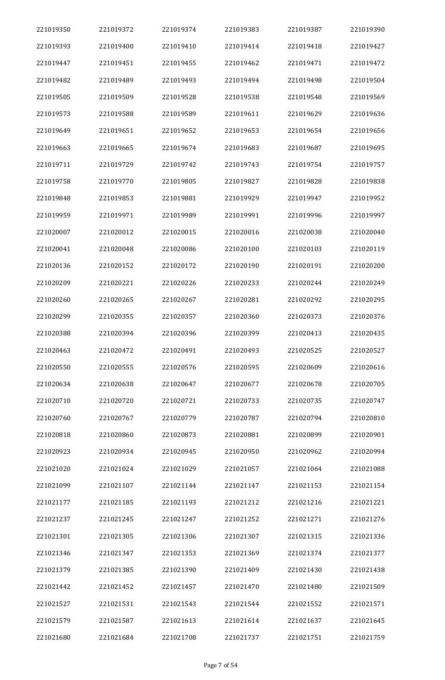| 221019350 | 221019372 | 221019374 | 221019383 | 221019387 | 221019390 |
|-----------|-----------|-----------|-----------|-----------|-----------|
| 221019393 | 221019400 | 221019410 | 221019414 | 221019418 | 221019427 |
| 221019447 | 221019451 | 221019455 | 221019462 | 221019471 | 221019472 |
| 221019482 | 221019489 | 221019493 | 221019494 | 221019498 | 221019504 |
| 221019505 | 221019509 | 221019528 | 221019538 | 221019548 | 221019569 |
| 221019573 | 221019588 | 221019589 | 221019611 | 221019629 | 221019636 |
| 221019649 | 221019651 | 221019652 | 221019653 | 221019654 | 221019656 |
| 221019663 | 221019665 | 221019674 | 221019683 | 221019687 | 221019695 |
| 221019711 | 221019729 | 221019742 | 221019743 | 221019754 | 221019757 |
| 221019758 | 221019770 | 221019805 | 221019827 | 221019828 | 221019838 |
| 221019848 | 221019853 | 221019881 | 221019929 | 221019947 | 221019952 |
| 221019959 | 221019971 | 221019989 | 221019991 | 221019996 | 221019997 |
| 221020007 | 221020012 | 221020015 | 221020016 | 221020038 | 221020040 |
| 221020041 | 221020048 | 221020086 | 221020100 | 221020103 | 221020119 |
| 221020136 | 221020152 | 221020172 | 221020190 | 221020191 | 221020200 |
| 221020209 | 221020221 | 221020226 | 221020233 | 221020244 | 221020249 |
| 221020260 | 221020265 | 221020267 | 221020281 | 221020292 | 221020295 |
| 221020299 | 221020355 | 221020357 | 221020360 | 221020373 | 221020376 |
| 221020388 | 221020394 | 221020396 | 221020399 | 221020413 | 221020435 |
| 221020463 | 221020472 | 221020491 | 221020493 | 221020525 | 221020527 |
| 221020550 | 221020555 | 221020576 | 221020595 | 221020609 | 221020616 |
| 221020634 | 221020638 | 221020647 | 221020677 | 221020678 | 221020705 |
| 221020710 | 221020720 | 221020721 | 221020733 | 221020735 | 221020747 |
| 221020760 | 221020767 | 221020779 | 221020787 | 221020794 | 221020810 |
| 221020818 | 221020860 | 221020873 | 221020881 | 221020899 | 221020901 |
| 221020923 | 221020934 | 221020945 | 221020950 | 221020962 | 221020994 |
| 221021020 | 221021024 | 221021029 | 221021057 | 221021064 | 221021088 |
| 221021099 | 221021107 | 221021144 | 221021147 | 221021153 | 221021154 |
| 221021177 | 221021185 | 221021193 | 221021212 | 221021216 | 221021221 |
| 221021237 | 221021245 | 221021247 | 221021252 | 221021271 | 221021276 |
| 221021301 | 221021305 | 221021306 | 221021307 | 221021315 | 221021336 |
| 221021346 | 221021347 | 221021353 | 221021369 | 221021374 | 221021377 |
| 221021379 | 221021385 | 221021390 | 221021409 | 221021430 | 221021438 |
| 221021442 | 221021452 | 221021457 | 221021470 | 221021480 | 221021509 |
| 221021527 | 221021531 | 221021543 | 221021544 | 221021552 | 221021571 |
| 221021579 | 221021587 | 221021613 | 221021614 | 221021637 | 221021645 |
| 221021680 | 221021684 | 221021708 | 221021737 | 221021751 | 221021759 |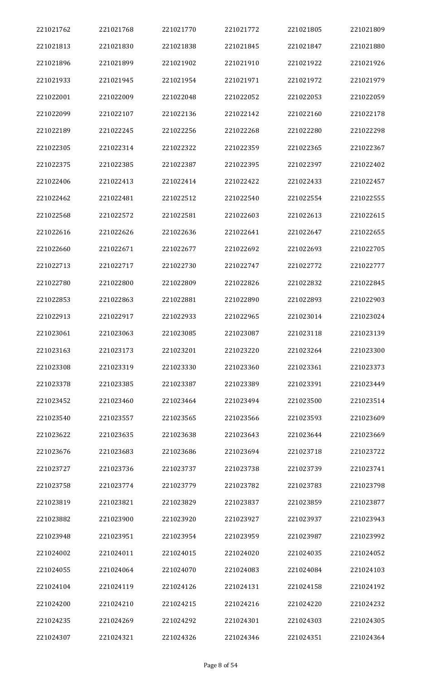| 221021762 | 221021768 | 221021770 | 221021772 | 221021805 | 221021809 |
|-----------|-----------|-----------|-----------|-----------|-----------|
| 221021813 | 221021830 | 221021838 | 221021845 | 221021847 | 221021880 |
| 221021896 | 221021899 | 221021902 | 221021910 | 221021922 | 221021926 |
| 221021933 | 221021945 | 221021954 | 221021971 | 221021972 | 221021979 |
| 221022001 | 221022009 | 221022048 | 221022052 | 221022053 | 221022059 |
| 221022099 | 221022107 | 221022136 | 221022142 | 221022160 | 221022178 |
| 221022189 | 221022245 | 221022256 | 221022268 | 221022280 | 221022298 |
| 221022305 | 221022314 | 221022322 | 221022359 | 221022365 | 221022367 |
| 221022375 | 221022385 | 221022387 | 221022395 | 221022397 | 221022402 |
| 221022406 | 221022413 | 221022414 | 221022422 | 221022433 | 221022457 |
| 221022462 | 221022481 | 221022512 | 221022540 | 221022554 | 221022555 |
| 221022568 | 221022572 | 221022581 | 221022603 | 221022613 | 221022615 |
| 221022616 | 221022626 | 221022636 | 221022641 | 221022647 | 221022655 |
| 221022660 | 221022671 | 221022677 | 221022692 | 221022693 | 221022705 |
| 221022713 | 221022717 | 221022730 | 221022747 | 221022772 | 221022777 |
| 221022780 | 221022800 | 221022809 | 221022826 | 221022832 | 221022845 |
| 221022853 | 221022863 | 221022881 | 221022890 | 221022893 | 221022903 |
| 221022913 | 221022917 | 221022933 | 221022965 | 221023014 | 221023024 |
| 221023061 | 221023063 | 221023085 | 221023087 | 221023118 | 221023139 |
| 221023163 | 221023173 | 221023201 | 221023220 | 221023264 | 221023300 |
| 221023308 | 221023319 | 221023330 | 221023360 | 221023361 | 221023373 |
| 221023378 | 221023385 | 221023387 | 221023389 | 221023391 | 221023449 |
| 221023452 | 221023460 | 221023464 | 221023494 | 221023500 | 221023514 |
| 221023540 | 221023557 | 221023565 | 221023566 | 221023593 | 221023609 |
| 221023622 | 221023635 | 221023638 | 221023643 | 221023644 | 221023669 |
| 221023676 | 221023683 | 221023686 | 221023694 | 221023718 | 221023722 |
| 221023727 | 221023736 | 221023737 | 221023738 | 221023739 | 221023741 |
| 221023758 | 221023774 | 221023779 | 221023782 | 221023783 | 221023798 |
| 221023819 | 221023821 | 221023829 | 221023837 | 221023859 | 221023877 |
| 221023882 | 221023900 | 221023920 | 221023927 | 221023937 | 221023943 |
| 221023948 | 221023951 | 221023954 | 221023959 | 221023987 | 221023992 |
| 221024002 | 221024011 | 221024015 | 221024020 | 221024035 | 221024052 |
| 221024055 | 221024064 | 221024070 | 221024083 | 221024084 | 221024103 |
| 221024104 | 221024119 | 221024126 | 221024131 | 221024158 | 221024192 |
| 221024200 | 221024210 | 221024215 | 221024216 | 221024220 | 221024232 |
| 221024235 | 221024269 | 221024292 | 221024301 | 221024303 | 221024305 |
| 221024307 | 221024321 | 221024326 | 221024346 | 221024351 | 221024364 |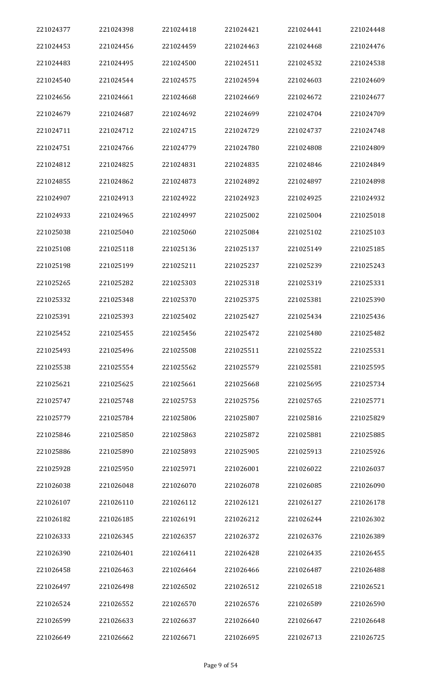| 221024377 | 221024398 | 221024418 | 221024421 | 221024441 | 221024448 |
|-----------|-----------|-----------|-----------|-----------|-----------|
| 221024453 | 221024456 | 221024459 | 221024463 | 221024468 | 221024476 |
| 221024483 | 221024495 | 221024500 | 221024511 | 221024532 | 221024538 |
| 221024540 | 221024544 | 221024575 | 221024594 | 221024603 | 221024609 |
| 221024656 | 221024661 | 221024668 | 221024669 | 221024672 | 221024677 |
| 221024679 | 221024687 | 221024692 | 221024699 | 221024704 | 221024709 |
| 221024711 | 221024712 | 221024715 | 221024729 | 221024737 | 221024748 |
| 221024751 | 221024766 | 221024779 | 221024780 | 221024808 | 221024809 |
| 221024812 | 221024825 | 221024831 | 221024835 | 221024846 | 221024849 |
| 221024855 | 221024862 | 221024873 | 221024892 | 221024897 | 221024898 |
| 221024907 | 221024913 | 221024922 | 221024923 | 221024925 | 221024932 |
| 221024933 | 221024965 | 221024997 | 221025002 | 221025004 | 221025018 |
| 221025038 | 221025040 | 221025060 | 221025084 | 221025102 | 221025103 |
| 221025108 | 221025118 | 221025136 | 221025137 | 221025149 | 221025185 |
| 221025198 | 221025199 | 221025211 | 221025237 | 221025239 | 221025243 |
| 221025265 | 221025282 | 221025303 | 221025318 | 221025319 | 221025331 |
| 221025332 | 221025348 | 221025370 | 221025375 | 221025381 | 221025390 |
| 221025391 | 221025393 | 221025402 | 221025427 | 221025434 | 221025436 |
| 221025452 | 221025455 | 221025456 | 221025472 | 221025480 | 221025482 |
| 221025493 | 221025496 | 221025508 | 221025511 | 221025522 | 221025531 |
| 221025538 | 221025554 | 221025562 | 221025579 | 221025581 | 221025595 |
| 221025621 | 221025625 | 221025661 | 221025668 | 221025695 | 221025734 |
| 221025747 | 221025748 | 221025753 | 221025756 | 221025765 | 221025771 |
| 221025779 | 221025784 | 221025806 | 221025807 | 221025816 | 221025829 |
| 221025846 | 221025850 | 221025863 | 221025872 | 221025881 | 221025885 |
| 221025886 | 221025890 | 221025893 | 221025905 | 221025913 | 221025926 |
| 221025928 | 221025950 | 221025971 | 221026001 | 221026022 | 221026037 |
| 221026038 | 221026048 | 221026070 | 221026078 | 221026085 | 221026090 |
| 221026107 | 221026110 | 221026112 | 221026121 | 221026127 | 221026178 |
| 221026182 | 221026185 | 221026191 | 221026212 | 221026244 | 221026302 |
| 221026333 | 221026345 | 221026357 | 221026372 | 221026376 | 221026389 |
| 221026390 | 221026401 | 221026411 | 221026428 | 221026435 | 221026455 |
| 221026458 | 221026463 | 221026464 | 221026466 | 221026487 | 221026488 |
| 221026497 | 221026498 | 221026502 | 221026512 | 221026518 | 221026521 |
| 221026524 | 221026552 | 221026570 | 221026576 | 221026589 | 221026590 |
| 221026599 | 221026633 | 221026637 | 221026640 | 221026647 | 221026648 |
| 221026649 | 221026662 | 221026671 | 221026695 | 221026713 | 221026725 |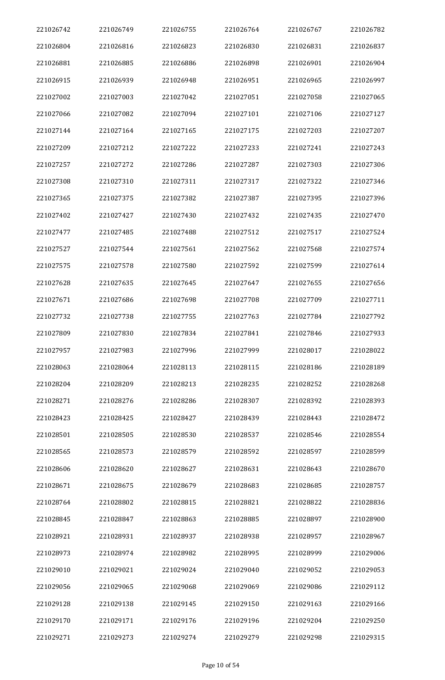| 221026742 | 221026749 | 221026755 | 221026764 | 221026767 | 221026782 |
|-----------|-----------|-----------|-----------|-----------|-----------|
| 221026804 | 221026816 | 221026823 | 221026830 | 221026831 | 221026837 |
| 221026881 | 221026885 | 221026886 | 221026898 | 221026901 | 221026904 |
| 221026915 | 221026939 | 221026948 | 221026951 | 221026965 | 221026997 |
| 221027002 | 221027003 | 221027042 | 221027051 | 221027058 | 221027065 |
| 221027066 | 221027082 | 221027094 | 221027101 | 221027106 | 221027127 |
| 221027144 | 221027164 | 221027165 | 221027175 | 221027203 | 221027207 |
| 221027209 | 221027212 | 221027222 | 221027233 | 221027241 | 221027243 |
| 221027257 | 221027272 | 221027286 | 221027287 | 221027303 | 221027306 |
| 221027308 | 221027310 | 221027311 | 221027317 | 221027322 | 221027346 |
| 221027365 | 221027375 | 221027382 | 221027387 | 221027395 | 221027396 |
| 221027402 | 221027427 | 221027430 | 221027432 | 221027435 | 221027470 |
| 221027477 | 221027485 | 221027488 | 221027512 | 221027517 | 221027524 |
| 221027527 | 221027544 | 221027561 | 221027562 | 221027568 | 221027574 |
| 221027575 | 221027578 | 221027580 | 221027592 | 221027599 | 221027614 |
| 221027628 | 221027635 | 221027645 | 221027647 | 221027655 | 221027656 |
| 221027671 | 221027686 | 221027698 | 221027708 | 221027709 | 221027711 |
| 221027732 | 221027738 | 221027755 | 221027763 | 221027784 | 221027792 |
| 221027809 | 221027830 | 221027834 | 221027841 | 221027846 | 221027933 |
| 221027957 | 221027983 | 221027996 | 221027999 | 221028017 | 221028022 |
| 221028063 | 221028064 | 221028113 | 221028115 | 221028186 | 221028189 |
| 221028204 | 221028209 | 221028213 | 221028235 | 221028252 | 221028268 |
| 221028271 | 221028276 | 221028286 | 221028307 | 221028392 | 221028393 |
| 221028423 | 221028425 | 221028427 | 221028439 | 221028443 | 221028472 |
| 221028501 | 221028505 | 221028530 | 221028537 | 221028546 | 221028554 |
| 221028565 | 221028573 | 221028579 | 221028592 | 221028597 | 221028599 |
| 221028606 | 221028620 | 221028627 | 221028631 | 221028643 | 221028670 |
| 221028671 | 221028675 | 221028679 | 221028683 | 221028685 | 221028757 |
| 221028764 | 221028802 | 221028815 | 221028821 | 221028822 | 221028836 |
| 221028845 | 221028847 | 221028863 | 221028885 | 221028897 | 221028900 |
| 221028921 | 221028931 | 221028937 | 221028938 | 221028957 | 221028967 |
| 221028973 | 221028974 | 221028982 | 221028995 | 221028999 | 221029006 |
| 221029010 | 221029021 | 221029024 | 221029040 | 221029052 | 221029053 |
| 221029056 | 221029065 | 221029068 | 221029069 | 221029086 | 221029112 |
| 221029128 | 221029138 | 221029145 | 221029150 | 221029163 | 221029166 |
| 221029170 | 221029171 | 221029176 | 221029196 | 221029204 | 221029250 |
| 221029271 | 221029273 | 221029274 | 221029279 | 221029298 | 221029315 |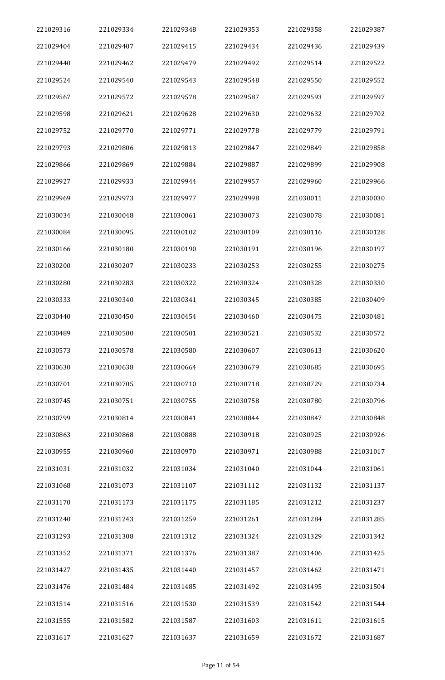| 221029316 | 221029334 | 221029348 | 221029353 | 221029358 | 221029387 |
|-----------|-----------|-----------|-----------|-----------|-----------|
| 221029404 | 221029407 | 221029415 | 221029434 | 221029436 | 221029439 |
| 221029440 | 221029462 | 221029479 | 221029492 | 221029514 | 221029522 |
| 221029524 | 221029540 | 221029543 | 221029548 | 221029550 | 221029552 |
| 221029567 | 221029572 | 221029578 | 221029587 | 221029593 | 221029597 |
| 221029598 | 221029621 | 221029628 | 221029630 | 221029632 | 221029702 |
| 221029752 | 221029770 | 221029771 | 221029778 | 221029779 | 221029791 |
| 221029793 | 221029806 | 221029813 | 221029847 | 221029849 | 221029858 |
| 221029866 | 221029869 | 221029884 | 221029887 | 221029899 | 221029908 |
| 221029927 | 221029933 | 221029944 | 221029957 | 221029960 | 221029966 |
| 221029969 | 221029973 | 221029977 | 221029998 | 221030011 | 221030030 |
| 221030034 | 221030048 | 221030061 | 221030073 | 221030078 | 221030081 |
| 221030084 | 221030095 | 221030102 | 221030109 | 221030116 | 221030128 |
| 221030166 | 221030180 | 221030190 | 221030191 | 221030196 | 221030197 |
| 221030200 | 221030207 | 221030233 | 221030253 | 221030255 | 221030275 |
| 221030280 | 221030283 | 221030322 | 221030324 | 221030328 | 221030330 |
| 221030333 | 221030340 | 221030341 | 221030345 | 221030385 | 221030409 |
| 221030440 | 221030450 | 221030454 | 221030460 | 221030475 | 221030481 |
| 221030489 | 221030500 | 221030501 | 221030521 | 221030532 | 221030572 |
| 221030573 | 221030578 | 221030580 | 221030607 | 221030613 | 221030620 |
| 221030630 | 221030638 | 221030664 | 221030679 | 221030685 | 221030695 |
| 221030701 | 221030705 | 221030710 | 221030718 | 221030729 | 221030734 |
| 221030745 | 221030751 | 221030755 | 221030758 | 221030780 | 221030796 |
| 221030799 | 221030814 | 221030841 | 221030844 | 221030847 | 221030848 |
| 221030863 | 221030868 | 221030888 | 221030918 | 221030925 | 221030926 |
| 221030955 | 221030960 | 221030970 | 221030971 | 221030988 | 221031017 |
| 221031031 | 221031032 | 221031034 | 221031040 | 221031044 | 221031061 |
| 221031068 | 221031073 | 221031107 | 221031112 | 221031132 | 221031137 |
| 221031170 | 221031173 | 221031175 | 221031185 | 221031212 | 221031237 |
| 221031240 | 221031243 | 221031259 | 221031261 | 221031284 | 221031285 |
| 221031293 | 221031308 | 221031312 | 221031324 | 221031329 | 221031342 |
| 221031352 | 221031371 | 221031376 | 221031387 | 221031406 | 221031425 |
| 221031427 | 221031435 | 221031440 | 221031457 | 221031462 | 221031471 |
| 221031476 | 221031484 | 221031485 | 221031492 | 221031495 | 221031504 |
| 221031514 | 221031516 | 221031530 | 221031539 | 221031542 | 221031544 |
| 221031555 | 221031582 | 221031587 | 221031603 | 221031611 | 221031615 |
| 221031617 | 221031627 | 221031637 | 221031659 | 221031672 | 221031687 |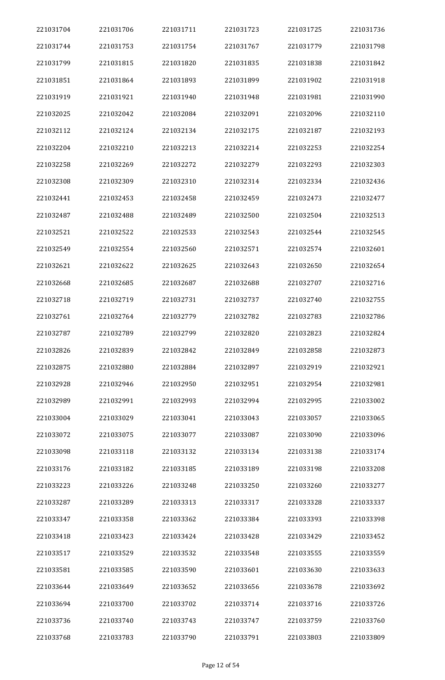| 221031704 | 221031706 | 221031711 | 221031723 | 221031725 | 221031736 |
|-----------|-----------|-----------|-----------|-----------|-----------|
| 221031744 | 221031753 | 221031754 | 221031767 | 221031779 | 221031798 |
| 221031799 | 221031815 | 221031820 | 221031835 | 221031838 | 221031842 |
| 221031851 | 221031864 | 221031893 | 221031899 | 221031902 | 221031918 |
| 221031919 | 221031921 | 221031940 | 221031948 | 221031981 | 221031990 |
| 221032025 | 221032042 | 221032084 | 221032091 | 221032096 | 221032110 |
| 221032112 | 221032124 | 221032134 | 221032175 | 221032187 | 221032193 |
| 221032204 | 221032210 | 221032213 | 221032214 | 221032253 | 221032254 |
| 221032258 | 221032269 | 221032272 | 221032279 | 221032293 | 221032303 |
| 221032308 | 221032309 | 221032310 | 221032314 | 221032334 | 221032436 |
| 221032441 | 221032453 | 221032458 | 221032459 | 221032473 | 221032477 |
| 221032487 | 221032488 | 221032489 | 221032500 | 221032504 | 221032513 |
| 221032521 | 221032522 | 221032533 | 221032543 | 221032544 | 221032545 |
| 221032549 | 221032554 | 221032560 | 221032571 | 221032574 | 221032601 |
| 221032621 | 221032622 | 221032625 | 221032643 | 221032650 | 221032654 |
| 221032668 | 221032685 | 221032687 | 221032688 | 221032707 | 221032716 |
| 221032718 | 221032719 | 221032731 | 221032737 | 221032740 | 221032755 |
| 221032761 | 221032764 | 221032779 | 221032782 | 221032783 | 221032786 |
| 221032787 | 221032789 | 221032799 | 221032820 | 221032823 | 221032824 |
| 221032826 | 221032839 | 221032842 | 221032849 | 221032858 | 221032873 |
| 221032875 | 221032880 | 221032884 | 221032897 | 221032919 | 221032921 |
| 221032928 | 221032946 | 221032950 | 221032951 | 221032954 | 221032981 |
| 221032989 | 221032991 | 221032993 | 221032994 | 221032995 | 221033002 |
| 221033004 | 221033029 | 221033041 | 221033043 | 221033057 | 221033065 |
| 221033072 | 221033075 | 221033077 | 221033087 | 221033090 | 221033096 |
| 221033098 | 221033118 | 221033132 | 221033134 | 221033138 | 221033174 |
| 221033176 | 221033182 | 221033185 | 221033189 | 221033198 | 221033208 |
| 221033223 | 221033226 | 221033248 | 221033250 | 221033260 | 221033277 |
| 221033287 | 221033289 | 221033313 | 221033317 | 221033328 | 221033337 |
| 221033347 | 221033358 | 221033362 | 221033384 | 221033393 | 221033398 |
| 221033418 | 221033423 | 221033424 | 221033428 | 221033429 | 221033452 |
| 221033517 | 221033529 | 221033532 | 221033548 | 221033555 | 221033559 |
| 221033581 | 221033585 | 221033590 | 221033601 | 221033630 | 221033633 |
| 221033644 | 221033649 | 221033652 | 221033656 | 221033678 | 221033692 |
| 221033694 | 221033700 | 221033702 | 221033714 | 221033716 | 221033726 |
| 221033736 | 221033740 | 221033743 | 221033747 | 221033759 | 221033760 |
| 221033768 | 221033783 | 221033790 | 221033791 | 221033803 | 221033809 |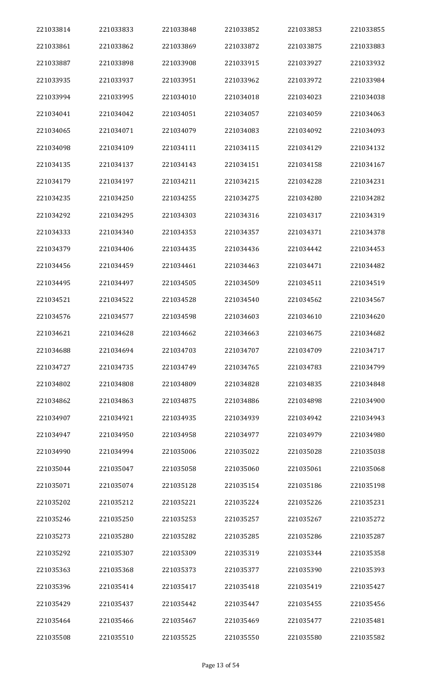| 221033814 | 221033833 | 221033848 | 221033852 | 221033853 | 221033855 |
|-----------|-----------|-----------|-----------|-----------|-----------|
| 221033861 | 221033862 | 221033869 | 221033872 | 221033875 | 221033883 |
| 221033887 | 221033898 | 221033908 | 221033915 | 221033927 | 221033932 |
| 221033935 | 221033937 | 221033951 | 221033962 | 221033972 | 221033984 |
| 221033994 | 221033995 | 221034010 | 221034018 | 221034023 | 221034038 |
| 221034041 | 221034042 | 221034051 | 221034057 | 221034059 | 221034063 |
| 221034065 | 221034071 | 221034079 | 221034083 | 221034092 | 221034093 |
| 221034098 | 221034109 | 221034111 | 221034115 | 221034129 | 221034132 |
| 221034135 | 221034137 | 221034143 | 221034151 | 221034158 | 221034167 |
| 221034179 | 221034197 | 221034211 | 221034215 | 221034228 | 221034231 |
| 221034235 | 221034250 | 221034255 | 221034275 | 221034280 | 221034282 |
| 221034292 | 221034295 | 221034303 | 221034316 | 221034317 | 221034319 |
| 221034333 | 221034340 | 221034353 | 221034357 | 221034371 | 221034378 |
| 221034379 | 221034406 | 221034435 | 221034436 | 221034442 | 221034453 |
| 221034456 | 221034459 | 221034461 | 221034463 | 221034471 | 221034482 |
| 221034495 | 221034497 | 221034505 | 221034509 | 221034511 | 221034519 |
| 221034521 | 221034522 | 221034528 | 221034540 | 221034562 | 221034567 |
| 221034576 | 221034577 | 221034598 | 221034603 | 221034610 | 221034620 |
| 221034621 | 221034628 | 221034662 | 221034663 | 221034675 | 221034682 |
| 221034688 | 221034694 | 221034703 | 221034707 | 221034709 | 221034717 |
| 221034727 | 221034735 | 221034749 | 221034765 | 221034783 | 221034799 |
| 221034802 | 221034808 | 221034809 | 221034828 | 221034835 | 221034848 |
| 221034862 | 221034863 | 221034875 | 221034886 | 221034898 | 221034900 |
| 221034907 | 221034921 | 221034935 | 221034939 | 221034942 | 221034943 |
| 221034947 | 221034950 | 221034958 | 221034977 | 221034979 | 221034980 |
| 221034990 | 221034994 | 221035006 | 221035022 | 221035028 | 221035038 |
| 221035044 | 221035047 | 221035058 | 221035060 | 221035061 | 221035068 |
| 221035071 | 221035074 | 221035128 | 221035154 | 221035186 | 221035198 |
| 221035202 | 221035212 | 221035221 | 221035224 | 221035226 | 221035231 |
| 221035246 | 221035250 | 221035253 | 221035257 | 221035267 | 221035272 |
| 221035273 | 221035280 | 221035282 | 221035285 | 221035286 | 221035287 |
| 221035292 | 221035307 | 221035309 | 221035319 | 221035344 | 221035358 |
| 221035363 | 221035368 | 221035373 | 221035377 | 221035390 | 221035393 |
| 221035396 | 221035414 | 221035417 | 221035418 | 221035419 | 221035427 |
| 221035429 | 221035437 | 221035442 | 221035447 | 221035455 | 221035456 |
| 221035464 | 221035466 | 221035467 | 221035469 | 221035477 | 221035481 |
| 221035508 | 221035510 | 221035525 | 221035550 | 221035580 | 221035582 |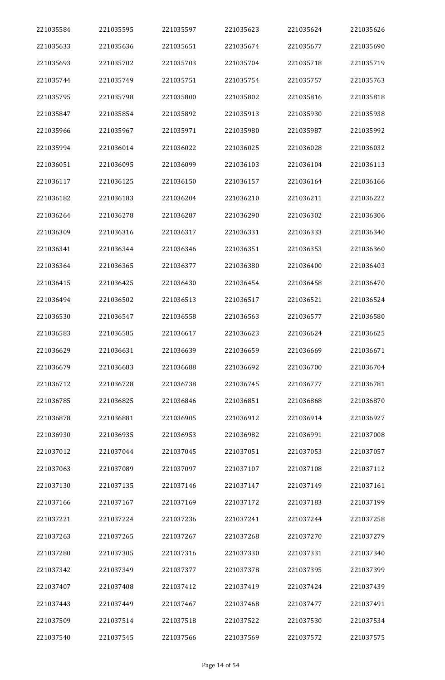| 221035584 | 221035595 | 221035597 | 221035623 | 221035624 | 221035626 |
|-----------|-----------|-----------|-----------|-----------|-----------|
| 221035633 | 221035636 | 221035651 | 221035674 | 221035677 | 221035690 |
| 221035693 | 221035702 | 221035703 | 221035704 | 221035718 | 221035719 |
| 221035744 | 221035749 | 221035751 | 221035754 | 221035757 | 221035763 |
| 221035795 | 221035798 | 221035800 | 221035802 | 221035816 | 221035818 |
| 221035847 | 221035854 | 221035892 | 221035913 | 221035930 | 221035938 |
| 221035966 | 221035967 | 221035971 | 221035980 | 221035987 | 221035992 |
| 221035994 | 221036014 | 221036022 | 221036025 | 221036028 | 221036032 |
| 221036051 | 221036095 | 221036099 | 221036103 | 221036104 | 221036113 |
| 221036117 | 221036125 | 221036150 | 221036157 | 221036164 | 221036166 |
| 221036182 | 221036183 | 221036204 | 221036210 | 221036211 | 221036222 |
| 221036264 | 221036278 | 221036287 | 221036290 | 221036302 | 221036306 |
| 221036309 | 221036316 | 221036317 | 221036331 | 221036333 | 221036340 |
| 221036341 | 221036344 | 221036346 | 221036351 | 221036353 | 221036360 |
| 221036364 | 221036365 | 221036377 | 221036380 | 221036400 | 221036403 |
| 221036415 | 221036425 | 221036430 | 221036454 | 221036458 | 221036470 |
| 221036494 | 221036502 | 221036513 | 221036517 | 221036521 | 221036524 |
| 221036530 | 221036547 | 221036558 | 221036563 | 221036577 | 221036580 |
| 221036583 | 221036585 | 221036617 | 221036623 | 221036624 | 221036625 |
| 221036629 | 221036631 | 221036639 | 221036659 | 221036669 | 221036671 |
| 221036679 | 221036683 | 221036688 | 221036692 | 221036700 | 221036704 |
| 221036712 | 221036728 | 221036738 | 221036745 | 221036777 | 221036781 |
| 221036785 | 221036825 | 221036846 | 221036851 | 221036868 | 221036870 |
| 221036878 | 221036881 | 221036905 | 221036912 | 221036914 | 221036927 |
| 221036930 | 221036935 | 221036953 | 221036982 | 221036991 | 221037008 |
| 221037012 | 221037044 | 221037045 | 221037051 | 221037053 | 221037057 |
| 221037063 | 221037089 | 221037097 | 221037107 | 221037108 | 221037112 |
| 221037130 | 221037135 | 221037146 | 221037147 | 221037149 | 221037161 |
| 221037166 | 221037167 | 221037169 | 221037172 | 221037183 | 221037199 |
| 221037221 | 221037224 | 221037236 | 221037241 | 221037244 | 221037258 |
| 221037263 | 221037265 | 221037267 | 221037268 | 221037270 | 221037279 |
| 221037280 | 221037305 | 221037316 | 221037330 | 221037331 | 221037340 |
| 221037342 | 221037349 | 221037377 | 221037378 | 221037395 | 221037399 |
| 221037407 | 221037408 | 221037412 | 221037419 | 221037424 | 221037439 |
| 221037443 | 221037449 | 221037467 | 221037468 | 221037477 | 221037491 |
| 221037509 | 221037514 | 221037518 | 221037522 | 221037530 | 221037534 |
| 221037540 | 221037545 | 221037566 | 221037569 | 221037572 | 221037575 |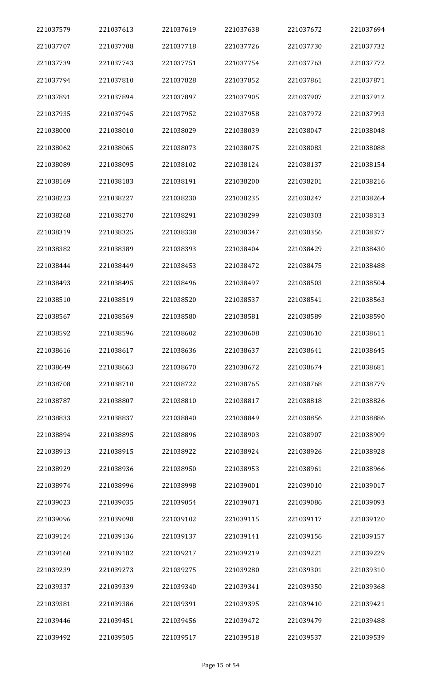| 221037579 | 221037613 | 221037619 | 221037638 | 221037672 | 221037694 |
|-----------|-----------|-----------|-----------|-----------|-----------|
| 221037707 | 221037708 | 221037718 | 221037726 | 221037730 | 221037732 |
| 221037739 | 221037743 | 221037751 | 221037754 | 221037763 | 221037772 |
| 221037794 | 221037810 | 221037828 | 221037852 | 221037861 | 221037871 |
| 221037891 | 221037894 | 221037897 | 221037905 | 221037907 | 221037912 |
| 221037935 | 221037945 | 221037952 | 221037958 | 221037972 | 221037993 |
| 221038000 | 221038010 | 221038029 | 221038039 | 221038047 | 221038048 |
| 221038062 | 221038065 | 221038073 | 221038075 | 221038083 | 221038088 |
| 221038089 | 221038095 | 221038102 | 221038124 | 221038137 | 221038154 |
| 221038169 | 221038183 | 221038191 | 221038200 | 221038201 | 221038216 |
| 221038223 | 221038227 | 221038230 | 221038235 | 221038247 | 221038264 |
| 221038268 | 221038270 | 221038291 | 221038299 | 221038303 | 221038313 |
| 221038319 | 221038325 | 221038338 | 221038347 | 221038356 | 221038377 |
| 221038382 | 221038389 | 221038393 | 221038404 | 221038429 | 221038430 |
| 221038444 | 221038449 | 221038453 | 221038472 | 221038475 | 221038488 |
| 221038493 | 221038495 | 221038496 | 221038497 | 221038503 | 221038504 |
| 221038510 | 221038519 | 221038520 | 221038537 | 221038541 | 221038563 |
| 221038567 | 221038569 | 221038580 | 221038581 | 221038589 | 221038590 |
| 221038592 | 221038596 | 221038602 | 221038608 | 221038610 | 221038611 |
| 221038616 | 221038617 | 221038636 | 221038637 | 221038641 | 221038645 |
| 221038649 | 221038663 | 221038670 | 221038672 | 221038674 | 221038681 |
| 221038708 | 221038710 | 221038722 | 221038765 | 221038768 | 221038779 |
| 221038787 | 221038807 | 221038810 | 221038817 | 221038818 | 221038826 |
| 221038833 | 221038837 | 221038840 | 221038849 | 221038856 | 221038886 |
| 221038894 | 221038895 | 221038896 | 221038903 | 221038907 | 221038909 |
| 221038913 | 221038915 | 221038922 | 221038924 | 221038926 | 221038928 |
| 221038929 | 221038936 | 221038950 | 221038953 | 221038961 | 221038966 |
| 221038974 | 221038996 | 221038998 | 221039001 | 221039010 | 221039017 |
| 221039023 | 221039035 | 221039054 | 221039071 | 221039086 | 221039093 |
| 221039096 | 221039098 | 221039102 | 221039115 | 221039117 | 221039120 |
| 221039124 | 221039136 | 221039137 | 221039141 | 221039156 | 221039157 |
| 221039160 | 221039182 | 221039217 | 221039219 | 221039221 | 221039229 |
| 221039239 | 221039273 | 221039275 | 221039280 | 221039301 | 221039310 |
| 221039337 | 221039339 | 221039340 | 221039341 | 221039350 | 221039368 |
| 221039381 | 221039386 | 221039391 | 221039395 | 221039410 | 221039421 |
| 221039446 | 221039451 | 221039456 | 221039472 | 221039479 | 221039488 |
| 221039492 | 221039505 | 221039517 | 221039518 | 221039537 | 221039539 |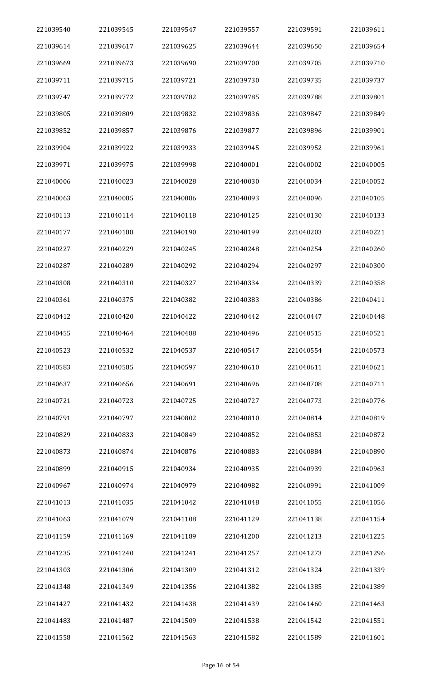| 221039540 | 221039545 | 221039547 | 221039557 | 221039591 | 221039611 |
|-----------|-----------|-----------|-----------|-----------|-----------|
| 221039614 | 221039617 | 221039625 | 221039644 | 221039650 | 221039654 |
| 221039669 | 221039673 | 221039690 | 221039700 | 221039705 | 221039710 |
| 221039711 | 221039715 | 221039721 | 221039730 | 221039735 | 221039737 |
| 221039747 | 221039772 | 221039782 | 221039785 | 221039788 | 221039801 |
| 221039805 | 221039809 | 221039832 | 221039836 | 221039847 | 221039849 |
| 221039852 | 221039857 | 221039876 | 221039877 | 221039896 | 221039901 |
| 221039904 | 221039922 | 221039933 | 221039945 | 221039952 | 221039961 |
| 221039971 | 221039975 | 221039998 | 221040001 | 221040002 | 221040005 |
| 221040006 | 221040023 | 221040028 | 221040030 | 221040034 | 221040052 |
| 221040063 | 221040085 | 221040086 | 221040093 | 221040096 | 221040105 |
| 221040113 | 221040114 | 221040118 | 221040125 | 221040130 | 221040133 |
| 221040177 | 221040188 | 221040190 | 221040199 | 221040203 | 221040221 |
| 221040227 | 221040229 | 221040245 | 221040248 | 221040254 | 221040260 |
| 221040287 | 221040289 | 221040292 | 221040294 | 221040297 | 221040300 |
| 221040308 | 221040310 | 221040327 | 221040334 | 221040339 | 221040358 |
| 221040361 | 221040375 | 221040382 | 221040383 | 221040386 | 221040411 |
| 221040412 | 221040420 | 221040422 | 221040442 | 221040447 | 221040448 |
| 221040455 | 221040464 | 221040488 | 221040496 | 221040515 | 221040521 |
| 221040523 | 221040532 | 221040537 | 221040547 | 221040554 | 221040573 |
| 221040583 | 221040585 | 221040597 | 221040610 | 221040611 | 221040621 |
| 221040637 | 221040656 | 221040691 | 221040696 | 221040708 | 221040711 |
| 221040721 | 221040723 | 221040725 | 221040727 | 221040773 | 221040776 |
| 221040791 | 221040797 | 221040802 | 221040810 | 221040814 | 221040819 |
| 221040829 | 221040833 | 221040849 | 221040852 | 221040853 | 221040872 |
| 221040873 | 221040874 | 221040876 | 221040883 | 221040884 | 221040890 |
| 221040899 | 221040915 | 221040934 | 221040935 | 221040939 | 221040963 |
| 221040967 | 221040974 | 221040979 | 221040982 | 221040991 | 221041009 |
| 221041013 | 221041035 | 221041042 | 221041048 | 221041055 | 221041056 |
| 221041063 | 221041079 | 221041108 | 221041129 | 221041138 | 221041154 |
| 221041159 | 221041169 | 221041189 | 221041200 | 221041213 | 221041225 |
| 221041235 | 221041240 | 221041241 | 221041257 | 221041273 | 221041296 |
| 221041303 | 221041306 | 221041309 | 221041312 | 221041324 | 221041339 |
| 221041348 | 221041349 | 221041356 | 221041382 | 221041385 | 221041389 |
| 221041427 | 221041432 | 221041438 | 221041439 | 221041460 | 221041463 |
| 221041483 | 221041487 | 221041509 | 221041538 | 221041542 | 221041551 |
| 221041558 | 221041562 | 221041563 | 221041582 | 221041589 | 221041601 |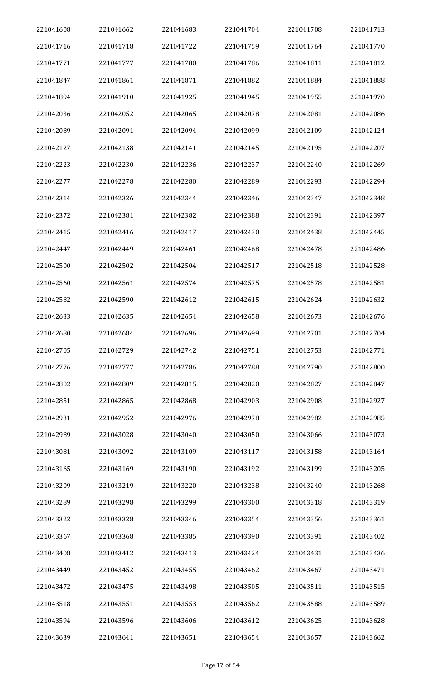| 221041608 | 221041662 | 221041683 | 221041704 | 221041708 | 221041713 |
|-----------|-----------|-----------|-----------|-----------|-----------|
| 221041716 | 221041718 | 221041722 | 221041759 | 221041764 | 221041770 |
| 221041771 | 221041777 | 221041780 | 221041786 | 221041811 | 221041812 |
| 221041847 | 221041861 | 221041871 | 221041882 | 221041884 | 221041888 |
| 221041894 | 221041910 | 221041925 | 221041945 | 221041955 | 221041970 |
| 221042036 | 221042052 | 221042065 | 221042078 | 221042081 | 221042086 |
| 221042089 | 221042091 | 221042094 | 221042099 | 221042109 | 221042124 |
| 221042127 | 221042138 | 221042141 | 221042145 | 221042195 | 221042207 |
| 221042223 | 221042230 | 221042236 | 221042237 | 221042240 | 221042269 |
| 221042277 | 221042278 | 221042280 | 221042289 | 221042293 | 221042294 |
| 221042314 | 221042326 | 221042344 | 221042346 | 221042347 | 221042348 |
| 221042372 | 221042381 | 221042382 | 221042388 | 221042391 | 221042397 |
| 221042415 | 221042416 | 221042417 | 221042430 | 221042438 | 221042445 |
| 221042447 | 221042449 | 221042461 | 221042468 | 221042478 | 221042486 |
| 221042500 | 221042502 | 221042504 | 221042517 | 221042518 | 221042528 |
| 221042560 | 221042561 | 221042574 | 221042575 | 221042578 | 221042581 |
| 221042582 | 221042590 | 221042612 | 221042615 | 221042624 | 221042632 |
| 221042633 | 221042635 | 221042654 | 221042658 | 221042673 | 221042676 |
| 221042680 | 221042684 | 221042696 | 221042699 | 221042701 | 221042704 |
| 221042705 | 221042729 | 221042742 | 221042751 | 221042753 | 221042771 |
| 221042776 | 221042777 | 221042786 | 221042788 | 221042790 | 221042800 |
| 221042802 | 221042809 | 221042815 | 221042820 | 221042827 | 221042847 |
| 221042851 | 221042865 | 221042868 | 221042903 | 221042908 | 221042927 |
| 221042931 | 221042952 | 221042976 | 221042978 | 221042982 | 221042985 |
| 221042989 | 221043028 | 221043040 | 221043050 | 221043066 | 221043073 |
| 221043081 | 221043092 | 221043109 | 221043117 | 221043158 | 221043164 |
| 221043165 | 221043169 | 221043190 | 221043192 | 221043199 | 221043205 |
| 221043209 | 221043219 | 221043220 | 221043238 | 221043240 | 221043268 |
| 221043289 | 221043298 | 221043299 | 221043300 | 221043318 | 221043319 |
| 221043322 | 221043328 | 221043346 | 221043354 | 221043356 | 221043361 |
| 221043367 | 221043368 | 221043385 | 221043390 | 221043391 | 221043402 |
| 221043408 | 221043412 | 221043413 | 221043424 | 221043431 | 221043436 |
| 221043449 | 221043452 | 221043455 | 221043462 | 221043467 | 221043471 |
| 221043472 | 221043475 | 221043498 | 221043505 | 221043511 | 221043515 |
| 221043518 | 221043551 | 221043553 | 221043562 | 221043588 | 221043589 |
| 221043594 | 221043596 | 221043606 | 221043612 | 221043625 | 221043628 |
| 221043639 | 221043641 | 221043651 | 221043654 | 221043657 | 221043662 |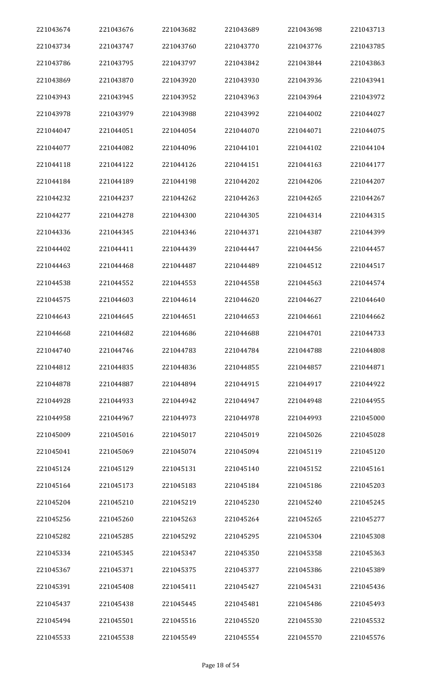| 221043674 | 221043676 | 221043682 | 221043689 | 221043698 | 221043713 |
|-----------|-----------|-----------|-----------|-----------|-----------|
| 221043734 | 221043747 | 221043760 | 221043770 | 221043776 | 221043785 |
| 221043786 | 221043795 | 221043797 | 221043842 | 221043844 | 221043863 |
| 221043869 | 221043870 | 221043920 | 221043930 | 221043936 | 221043941 |
| 221043943 | 221043945 | 221043952 | 221043963 | 221043964 | 221043972 |
| 221043978 | 221043979 | 221043988 | 221043992 | 221044002 | 221044027 |
| 221044047 | 221044051 | 221044054 | 221044070 | 221044071 | 221044075 |
| 221044077 | 221044082 | 221044096 | 221044101 | 221044102 | 221044104 |
| 221044118 | 221044122 | 221044126 | 221044151 | 221044163 | 221044177 |
| 221044184 | 221044189 | 221044198 | 221044202 | 221044206 | 221044207 |
| 221044232 | 221044237 | 221044262 | 221044263 | 221044265 | 221044267 |
| 221044277 | 221044278 | 221044300 | 221044305 | 221044314 | 221044315 |
| 221044336 | 221044345 | 221044346 | 221044371 | 221044387 | 221044399 |
| 221044402 | 221044411 | 221044439 | 221044447 | 221044456 | 221044457 |
| 221044463 | 221044468 | 221044487 | 221044489 | 221044512 | 221044517 |
| 221044538 | 221044552 | 221044553 | 221044558 | 221044563 | 221044574 |
| 221044575 | 221044603 | 221044614 | 221044620 | 221044627 | 221044640 |
| 221044643 | 221044645 | 221044651 | 221044653 | 221044661 | 221044662 |
| 221044668 | 221044682 | 221044686 | 221044688 | 221044701 | 221044733 |
| 221044740 | 221044746 | 221044783 | 221044784 | 221044788 | 221044808 |
| 221044812 | 221044835 | 221044836 | 221044855 | 221044857 | 221044871 |
| 221044878 | 221044887 | 221044894 | 221044915 | 221044917 | 221044922 |
| 221044928 | 221044933 | 221044942 | 221044947 | 221044948 | 221044955 |
| 221044958 | 221044967 | 221044973 | 221044978 | 221044993 | 221045000 |
| 221045009 | 221045016 | 221045017 | 221045019 | 221045026 | 221045028 |
| 221045041 | 221045069 | 221045074 | 221045094 | 221045119 | 221045120 |
| 221045124 | 221045129 | 221045131 | 221045140 | 221045152 | 221045161 |
| 221045164 | 221045173 | 221045183 | 221045184 | 221045186 | 221045203 |
| 221045204 | 221045210 | 221045219 | 221045230 | 221045240 | 221045245 |
| 221045256 | 221045260 | 221045263 | 221045264 | 221045265 | 221045277 |
| 221045282 | 221045285 | 221045292 | 221045295 | 221045304 | 221045308 |
| 221045334 | 221045345 | 221045347 | 221045350 | 221045358 | 221045363 |
| 221045367 | 221045371 | 221045375 | 221045377 | 221045386 | 221045389 |
| 221045391 | 221045408 | 221045411 | 221045427 | 221045431 | 221045436 |
| 221045437 | 221045438 | 221045445 | 221045481 | 221045486 | 221045493 |
| 221045494 | 221045501 | 221045516 | 221045520 | 221045530 | 221045532 |
| 221045533 | 221045538 | 221045549 | 221045554 | 221045570 | 221045576 |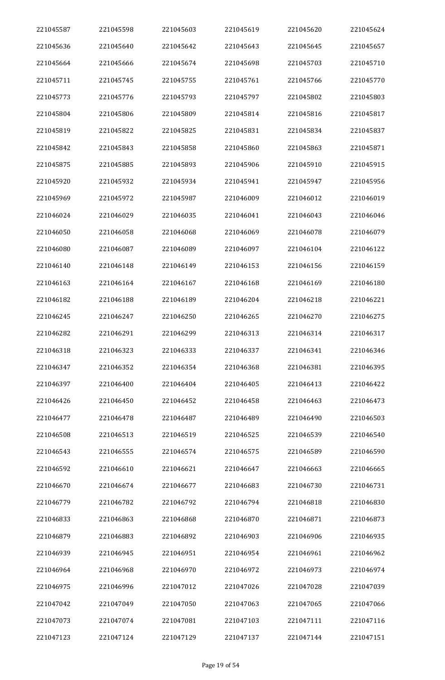| 221045587 | 221045598 | 221045603 | 221045619 | 221045620 | 221045624 |
|-----------|-----------|-----------|-----------|-----------|-----------|
| 221045636 | 221045640 | 221045642 | 221045643 | 221045645 | 221045657 |
| 221045664 | 221045666 | 221045674 | 221045698 | 221045703 | 221045710 |
| 221045711 | 221045745 | 221045755 | 221045761 | 221045766 | 221045770 |
| 221045773 | 221045776 | 221045793 | 221045797 | 221045802 | 221045803 |
| 221045804 | 221045806 | 221045809 | 221045814 | 221045816 | 221045817 |
| 221045819 | 221045822 | 221045825 | 221045831 | 221045834 | 221045837 |
| 221045842 | 221045843 | 221045858 | 221045860 | 221045863 | 221045871 |
| 221045875 | 221045885 | 221045893 | 221045906 | 221045910 | 221045915 |
| 221045920 | 221045932 | 221045934 | 221045941 | 221045947 | 221045956 |
| 221045969 | 221045972 | 221045987 | 221046009 | 221046012 | 221046019 |
| 221046024 | 221046029 | 221046035 | 221046041 | 221046043 | 221046046 |
| 221046050 | 221046058 | 221046068 | 221046069 | 221046078 | 221046079 |
| 221046080 | 221046087 | 221046089 | 221046097 | 221046104 | 221046122 |
| 221046140 | 221046148 | 221046149 | 221046153 | 221046156 | 221046159 |
| 221046163 | 221046164 | 221046167 | 221046168 | 221046169 | 221046180 |
| 221046182 | 221046188 | 221046189 | 221046204 | 221046218 | 221046221 |
| 221046245 | 221046247 | 221046250 | 221046265 | 221046270 | 221046275 |
| 221046282 | 221046291 | 221046299 | 221046313 | 221046314 | 221046317 |
| 221046318 | 221046323 | 221046333 | 221046337 | 221046341 | 221046346 |
| 221046347 | 221046352 | 221046354 | 221046368 | 221046381 | 221046395 |
| 221046397 | 221046400 | 221046404 | 221046405 | 221046413 | 221046422 |
| 221046426 | 221046450 | 221046452 | 221046458 | 221046463 | 221046473 |
| 221046477 | 221046478 | 221046487 | 221046489 | 221046490 | 221046503 |
| 221046508 | 221046513 | 221046519 | 221046525 | 221046539 | 221046540 |
| 221046543 | 221046555 | 221046574 | 221046575 | 221046589 | 221046590 |
| 221046592 | 221046610 | 221046621 | 221046647 | 221046663 | 221046665 |
| 221046670 | 221046674 | 221046677 | 221046683 | 221046730 | 221046731 |
| 221046779 | 221046782 | 221046792 | 221046794 | 221046818 | 221046830 |
| 221046833 | 221046863 | 221046868 | 221046870 | 221046871 | 221046873 |
| 221046879 | 221046883 | 221046892 | 221046903 | 221046906 | 221046935 |
| 221046939 | 221046945 | 221046951 | 221046954 | 221046961 | 221046962 |
| 221046964 | 221046968 | 221046970 | 221046972 | 221046973 | 221046974 |
| 221046975 | 221046996 | 221047012 | 221047026 | 221047028 | 221047039 |
| 221047042 | 221047049 | 221047050 | 221047063 | 221047065 | 221047066 |
| 221047073 | 221047074 | 221047081 | 221047103 | 221047111 | 221047116 |
| 221047123 | 221047124 | 221047129 | 221047137 | 221047144 | 221047151 |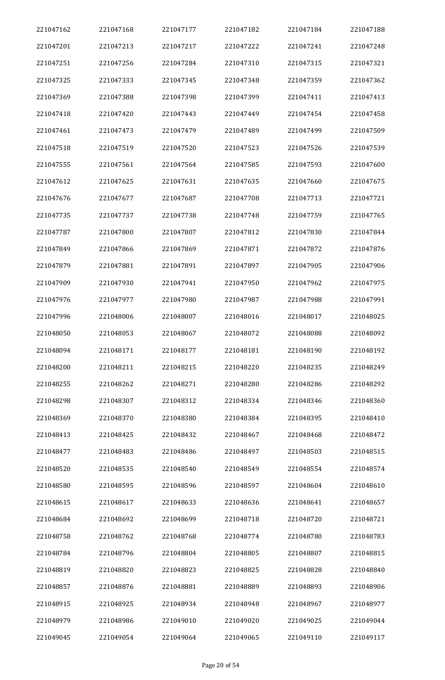| 221047162 | 221047168 | 221047177 | 221047182 | 221047184 | 221047188 |
|-----------|-----------|-----------|-----------|-----------|-----------|
| 221047201 | 221047213 | 221047217 | 221047222 | 221047241 | 221047248 |
| 221047251 | 221047256 | 221047284 | 221047310 | 221047315 | 221047321 |
| 221047325 | 221047333 | 221047345 | 221047348 | 221047359 | 221047362 |
| 221047369 | 221047388 | 221047398 | 221047399 | 221047411 | 221047413 |
| 221047418 | 221047420 | 221047443 | 221047449 | 221047454 | 221047458 |
| 221047461 | 221047473 | 221047479 | 221047489 | 221047499 | 221047509 |
| 221047518 | 221047519 | 221047520 | 221047523 | 221047526 | 221047539 |
| 221047555 | 221047561 | 221047564 | 221047585 | 221047593 | 221047600 |
| 221047612 | 221047625 | 221047631 | 221047635 | 221047660 | 221047675 |
| 221047676 | 221047677 | 221047687 | 221047708 | 221047713 | 221047721 |
| 221047735 | 221047737 | 221047738 | 221047748 | 221047759 | 221047765 |
| 221047787 | 221047800 | 221047807 | 221047812 | 221047830 | 221047844 |
| 221047849 | 221047866 | 221047869 | 221047871 | 221047872 | 221047876 |
| 221047879 | 221047881 | 221047891 | 221047897 | 221047905 | 221047906 |
| 221047909 | 221047930 | 221047941 | 221047950 | 221047962 | 221047975 |
| 221047976 | 221047977 | 221047980 | 221047987 | 221047988 | 221047991 |
| 221047996 | 221048006 | 221048007 | 221048016 | 221048017 | 221048025 |
| 221048050 | 221048053 | 221048067 | 221048072 | 221048088 | 221048092 |
| 221048094 | 221048171 | 221048177 | 221048181 | 221048190 | 221048192 |
| 221048200 | 221048211 | 221048215 | 221048220 | 221048235 | 221048249 |
| 221048255 | 221048262 | 221048271 | 221048280 | 221048286 | 221048292 |
| 221048298 | 221048307 | 221048312 | 221048334 | 221048346 | 221048360 |
| 221048369 | 221048370 | 221048380 | 221048384 | 221048395 | 221048410 |
| 221048413 | 221048425 | 221048432 | 221048467 | 221048468 | 221048472 |
| 221048477 | 221048483 | 221048486 | 221048497 | 221048503 | 221048515 |
| 221048520 | 221048535 | 221048540 | 221048549 | 221048554 | 221048574 |
| 221048580 | 221048595 | 221048596 | 221048597 | 221048604 | 221048610 |
| 221048615 | 221048617 | 221048633 | 221048636 | 221048641 | 221048657 |
| 221048684 | 221048692 | 221048699 | 221048718 | 221048720 | 221048721 |
| 221048758 | 221048762 | 221048768 | 221048774 | 221048780 | 221048783 |
| 221048784 | 221048796 | 221048804 | 221048805 | 221048807 | 221048815 |
| 221048819 | 221048820 | 221048823 | 221048825 | 221048828 | 221048840 |
| 221048857 | 221048876 | 221048881 | 221048889 | 221048893 | 221048906 |
| 221048915 | 221048925 | 221048934 | 221048948 | 221048967 | 221048977 |
| 221048979 | 221048986 | 221049010 | 221049020 | 221049025 | 221049044 |
| 221049045 | 221049054 | 221049064 | 221049065 | 221049110 | 221049117 |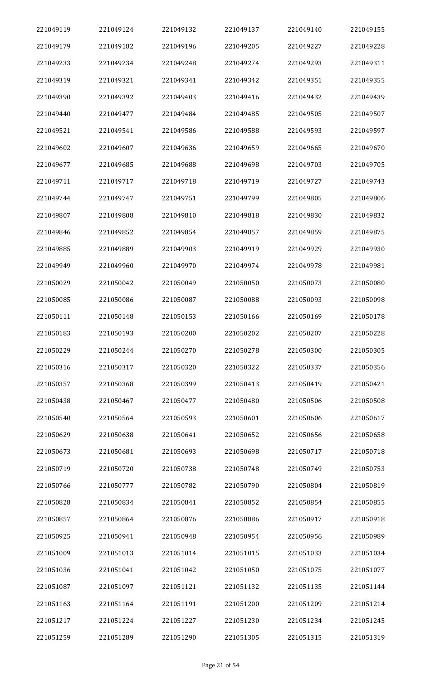| 221049119 | 221049124 | 221049132 | 221049137 | 221049140 | 221049155 |
|-----------|-----------|-----------|-----------|-----------|-----------|
| 221049179 | 221049182 | 221049196 | 221049205 | 221049227 | 221049228 |
| 221049233 | 221049234 | 221049248 | 221049274 | 221049293 | 221049311 |
| 221049319 | 221049321 | 221049341 | 221049342 | 221049351 | 221049355 |
| 221049390 | 221049392 | 221049403 | 221049416 | 221049432 | 221049439 |
| 221049440 | 221049477 | 221049484 | 221049485 | 221049505 | 221049507 |
| 221049521 | 221049541 | 221049586 | 221049588 | 221049593 | 221049597 |
| 221049602 | 221049607 | 221049636 | 221049659 | 221049665 | 221049670 |
| 221049677 | 221049685 | 221049688 | 221049698 | 221049703 | 221049705 |
| 221049711 | 221049717 | 221049718 | 221049719 | 221049727 | 221049743 |
| 221049744 | 221049747 | 221049751 | 221049799 | 221049805 | 221049806 |
| 221049807 | 221049808 | 221049810 | 221049818 | 221049830 | 221049832 |
| 221049846 | 221049852 | 221049854 | 221049857 | 221049859 | 221049875 |
| 221049885 | 221049889 | 221049903 | 221049919 | 221049929 | 221049930 |
| 221049949 | 221049960 | 221049970 | 221049974 | 221049978 | 221049981 |
| 221050029 | 221050042 | 221050049 | 221050050 | 221050073 | 221050080 |
| 221050085 | 221050086 | 221050087 | 221050088 | 221050093 | 221050098 |
| 221050111 | 221050148 | 221050153 | 221050166 | 221050169 | 221050178 |
| 221050183 | 221050193 | 221050200 | 221050202 | 221050207 | 221050228 |
| 221050229 | 221050244 | 221050270 | 221050278 | 221050300 | 221050305 |
| 221050316 | 221050317 | 221050320 | 221050322 | 221050337 | 221050356 |
| 221050357 | 221050368 | 221050399 | 221050413 | 221050419 | 221050421 |
| 221050438 | 221050467 | 221050477 | 221050480 | 221050506 | 221050508 |
| 221050540 | 221050564 | 221050593 | 221050601 | 221050606 | 221050617 |
| 221050629 | 221050638 | 221050641 | 221050652 | 221050656 | 221050658 |
| 221050673 | 221050681 | 221050693 | 221050698 | 221050717 | 221050718 |
| 221050719 | 221050720 | 221050738 | 221050748 | 221050749 | 221050753 |
| 221050766 | 221050777 | 221050782 | 221050790 | 221050804 | 221050819 |
| 221050828 | 221050834 | 221050841 | 221050852 | 221050854 | 221050855 |
| 221050857 | 221050864 | 221050876 | 221050886 | 221050917 | 221050918 |
| 221050925 | 221050941 | 221050948 | 221050954 | 221050956 | 221050989 |
| 221051009 | 221051013 | 221051014 | 221051015 | 221051033 | 221051034 |
| 221051036 | 221051041 | 221051042 | 221051050 | 221051075 | 221051077 |
| 221051087 | 221051097 | 221051121 | 221051132 | 221051135 | 221051144 |
| 221051163 | 221051164 | 221051191 | 221051200 | 221051209 | 221051214 |
| 221051217 | 221051224 | 221051227 | 221051230 | 221051234 | 221051245 |
| 221051259 | 221051289 | 221051290 | 221051305 | 221051315 | 221051319 |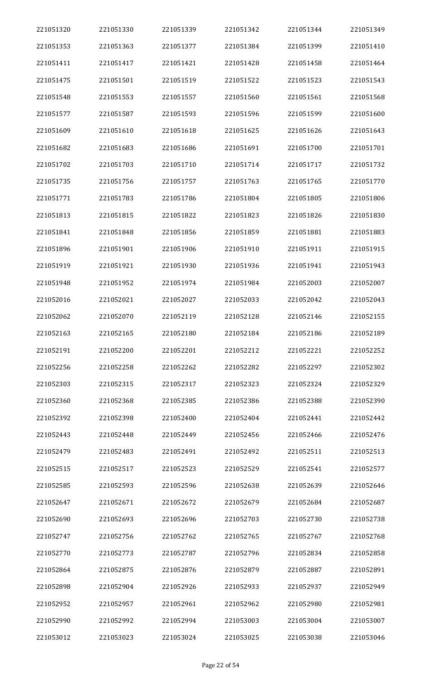| 221051320 | 221051330 | 221051339 | 221051342 | 221051344 | 221051349 |
|-----------|-----------|-----------|-----------|-----------|-----------|
| 221051353 | 221051363 | 221051377 | 221051384 | 221051399 | 221051410 |
| 221051411 | 221051417 | 221051421 | 221051428 | 221051458 | 221051464 |
| 221051475 | 221051501 | 221051519 | 221051522 | 221051523 | 221051543 |
| 221051548 | 221051553 | 221051557 | 221051560 | 221051561 | 221051568 |
| 221051577 | 221051587 | 221051593 | 221051596 | 221051599 | 221051600 |
| 221051609 | 221051610 | 221051618 | 221051625 | 221051626 | 221051643 |
| 221051682 | 221051683 | 221051686 | 221051691 | 221051700 | 221051701 |
| 221051702 | 221051703 | 221051710 | 221051714 | 221051717 | 221051732 |
| 221051735 | 221051756 | 221051757 | 221051763 | 221051765 | 221051770 |
| 221051771 | 221051783 | 221051786 | 221051804 | 221051805 | 221051806 |
| 221051813 | 221051815 | 221051822 | 221051823 | 221051826 | 221051830 |
| 221051841 | 221051848 | 221051856 | 221051859 | 221051881 | 221051883 |
| 221051896 | 221051901 | 221051906 | 221051910 | 221051911 | 221051915 |
| 221051919 | 221051921 | 221051930 | 221051936 | 221051941 | 221051943 |
| 221051948 | 221051952 | 221051974 | 221051984 | 221052003 | 221052007 |
| 221052016 | 221052021 | 221052027 | 221052033 | 221052042 | 221052043 |
| 221052062 | 221052070 | 221052119 | 221052128 | 221052146 | 221052155 |
| 221052163 | 221052165 | 221052180 | 221052184 | 221052186 | 221052189 |
| 221052191 | 221052200 | 221052201 | 221052212 | 221052221 | 221052252 |
| 221052256 | 221052258 | 221052262 | 221052282 | 221052297 | 221052302 |
| 221052303 | 221052315 | 221052317 | 221052323 | 221052324 | 221052329 |
| 221052360 | 221052368 | 221052385 | 221052386 | 221052388 | 221052390 |
| 221052392 | 221052398 | 221052400 | 221052404 | 221052441 | 221052442 |
| 221052443 | 221052448 | 221052449 | 221052456 | 221052466 | 221052476 |
| 221052479 | 221052483 | 221052491 | 221052492 | 221052511 | 221052513 |
| 221052515 | 221052517 | 221052523 | 221052529 | 221052541 | 221052577 |
| 221052585 | 221052593 | 221052596 | 221052638 | 221052639 | 221052646 |
| 221052647 | 221052671 | 221052672 | 221052679 | 221052684 | 221052687 |
| 221052690 | 221052693 | 221052696 | 221052703 | 221052730 | 221052738 |
| 221052747 | 221052756 | 221052762 | 221052765 | 221052767 | 221052768 |
| 221052770 | 221052773 | 221052787 | 221052796 | 221052834 | 221052858 |
| 221052864 | 221052875 | 221052876 | 221052879 | 221052887 | 221052891 |
| 221052898 | 221052904 | 221052926 | 221052933 | 221052937 | 221052949 |
| 221052952 | 221052957 | 221052961 | 221052962 | 221052980 | 221052981 |
| 221052990 | 221052992 | 221052994 | 221053003 | 221053004 | 221053007 |
| 221053012 | 221053023 | 221053024 | 221053025 | 221053038 | 221053046 |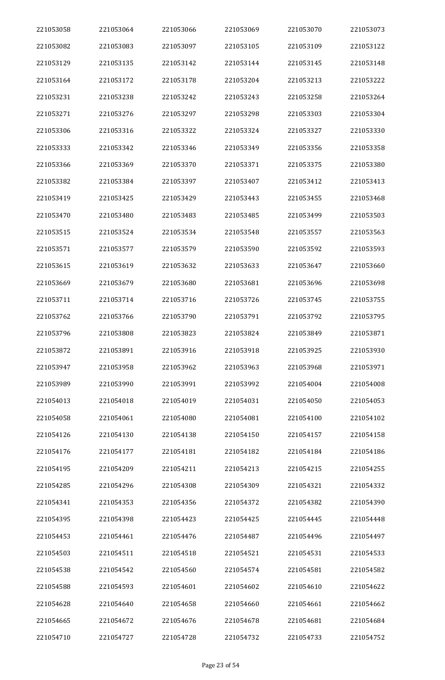| 221053058 | 221053064 | 221053066 | 221053069 | 221053070 | 221053073 |
|-----------|-----------|-----------|-----------|-----------|-----------|
| 221053082 | 221053083 | 221053097 | 221053105 | 221053109 | 221053122 |
| 221053129 | 221053135 | 221053142 | 221053144 | 221053145 | 221053148 |
| 221053164 | 221053172 | 221053178 | 221053204 | 221053213 | 221053222 |
| 221053231 | 221053238 | 221053242 | 221053243 | 221053258 | 221053264 |
| 221053271 | 221053276 | 221053297 | 221053298 | 221053303 | 221053304 |
| 221053306 | 221053316 | 221053322 | 221053324 | 221053327 | 221053330 |
| 221053333 | 221053342 | 221053346 | 221053349 | 221053356 | 221053358 |
| 221053366 | 221053369 | 221053370 | 221053371 | 221053375 | 221053380 |
| 221053382 | 221053384 | 221053397 | 221053407 | 221053412 | 221053413 |
| 221053419 | 221053425 | 221053429 | 221053443 | 221053455 | 221053468 |
| 221053470 | 221053480 | 221053483 | 221053485 | 221053499 | 221053503 |
| 221053515 | 221053524 | 221053534 | 221053548 | 221053557 | 221053563 |
| 221053571 | 221053577 | 221053579 | 221053590 | 221053592 | 221053593 |
| 221053615 | 221053619 | 221053632 | 221053633 | 221053647 | 221053660 |
| 221053669 | 221053679 | 221053680 | 221053681 | 221053696 | 221053698 |
| 221053711 | 221053714 | 221053716 | 221053726 | 221053745 | 221053755 |
| 221053762 | 221053766 | 221053790 | 221053791 | 221053792 | 221053795 |
| 221053796 | 221053808 | 221053823 | 221053824 | 221053849 | 221053871 |
| 221053872 | 221053891 | 221053916 | 221053918 | 221053925 | 221053930 |
| 221053947 | 221053958 | 221053962 | 221053963 | 221053968 | 221053971 |
| 221053989 | 221053990 | 221053991 | 221053992 | 221054004 | 221054008 |
| 221054013 | 221054018 | 221054019 | 221054031 | 221054050 | 221054053 |
| 221054058 | 221054061 | 221054080 | 221054081 | 221054100 | 221054102 |
| 221054126 | 221054130 | 221054138 | 221054150 | 221054157 | 221054158 |
| 221054176 | 221054177 | 221054181 | 221054182 | 221054184 | 221054186 |
| 221054195 | 221054209 | 221054211 | 221054213 | 221054215 | 221054255 |
| 221054285 | 221054296 | 221054308 | 221054309 | 221054321 | 221054332 |
| 221054341 | 221054353 | 221054356 | 221054372 | 221054382 | 221054390 |
| 221054395 | 221054398 | 221054423 | 221054425 | 221054445 | 221054448 |
| 221054453 | 221054461 | 221054476 | 221054487 | 221054496 | 221054497 |
| 221054503 | 221054511 | 221054518 | 221054521 | 221054531 | 221054533 |
| 221054538 | 221054542 | 221054560 | 221054574 | 221054581 | 221054582 |
| 221054588 | 221054593 | 221054601 | 221054602 | 221054610 | 221054622 |
| 221054628 | 221054640 | 221054658 | 221054660 | 221054661 | 221054662 |
| 221054665 | 221054672 | 221054676 | 221054678 | 221054681 | 221054684 |
| 221054710 | 221054727 | 221054728 | 221054732 | 221054733 | 221054752 |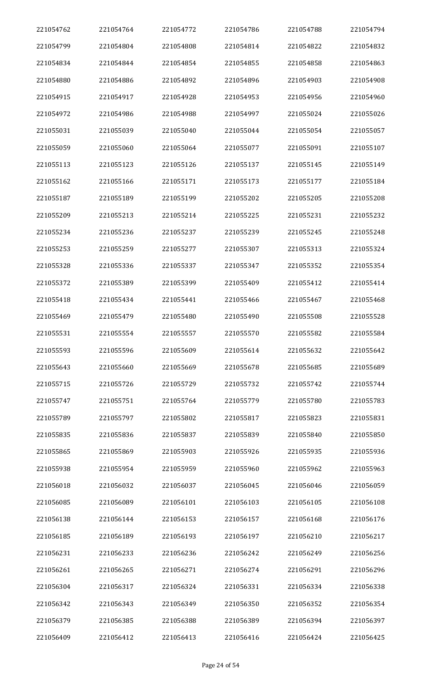| 221054762 | 221054764 | 221054772 | 221054786 | 221054788 | 221054794 |
|-----------|-----------|-----------|-----------|-----------|-----------|
| 221054799 | 221054804 | 221054808 | 221054814 | 221054822 | 221054832 |
| 221054834 | 221054844 | 221054854 | 221054855 | 221054858 | 221054863 |
| 221054880 | 221054886 | 221054892 | 221054896 | 221054903 | 221054908 |
| 221054915 | 221054917 | 221054928 | 221054953 | 221054956 | 221054960 |
| 221054972 | 221054986 | 221054988 | 221054997 | 221055024 | 221055026 |
| 221055031 | 221055039 | 221055040 | 221055044 | 221055054 | 221055057 |
| 221055059 | 221055060 | 221055064 | 221055077 | 221055091 | 221055107 |
| 221055113 | 221055123 | 221055126 | 221055137 | 221055145 | 221055149 |
| 221055162 | 221055166 | 221055171 | 221055173 | 221055177 | 221055184 |
| 221055187 | 221055189 | 221055199 | 221055202 | 221055205 | 221055208 |
| 221055209 | 221055213 | 221055214 | 221055225 | 221055231 | 221055232 |
| 221055234 | 221055236 | 221055237 | 221055239 | 221055245 | 221055248 |
| 221055253 | 221055259 | 221055277 | 221055307 | 221055313 | 221055324 |
| 221055328 | 221055336 | 221055337 | 221055347 | 221055352 | 221055354 |
| 221055372 | 221055389 | 221055399 | 221055409 | 221055412 | 221055414 |
| 221055418 | 221055434 | 221055441 | 221055466 | 221055467 | 221055468 |
| 221055469 | 221055479 | 221055480 | 221055490 | 221055508 | 221055528 |
| 221055531 | 221055554 | 221055557 | 221055570 | 221055582 | 221055584 |
| 221055593 | 221055596 | 221055609 | 221055614 | 221055632 | 221055642 |
| 221055643 | 221055660 | 221055669 | 221055678 | 221055685 | 221055689 |
| 221055715 | 221055726 | 221055729 | 221055732 | 221055742 | 221055744 |
| 221055747 | 221055751 | 221055764 | 221055779 | 221055780 | 221055783 |
| 221055789 | 221055797 | 221055802 | 221055817 | 221055823 | 221055831 |
| 221055835 | 221055836 | 221055837 | 221055839 | 221055840 | 221055850 |
| 221055865 | 221055869 | 221055903 | 221055926 | 221055935 | 221055936 |
| 221055938 | 221055954 | 221055959 | 221055960 | 221055962 | 221055963 |
| 221056018 | 221056032 | 221056037 | 221056045 | 221056046 | 221056059 |
| 221056085 | 221056089 | 221056101 | 221056103 | 221056105 | 221056108 |
| 221056138 | 221056144 | 221056153 | 221056157 | 221056168 | 221056176 |
| 221056185 | 221056189 | 221056193 | 221056197 | 221056210 | 221056217 |
| 221056231 | 221056233 | 221056236 | 221056242 | 221056249 | 221056256 |
| 221056261 | 221056265 | 221056271 | 221056274 | 221056291 | 221056296 |
| 221056304 | 221056317 | 221056324 | 221056331 | 221056334 | 221056338 |
| 221056342 | 221056343 | 221056349 | 221056350 | 221056352 | 221056354 |
| 221056379 | 221056385 | 221056388 | 221056389 | 221056394 | 221056397 |
| 221056409 | 221056412 | 221056413 | 221056416 | 221056424 | 221056425 |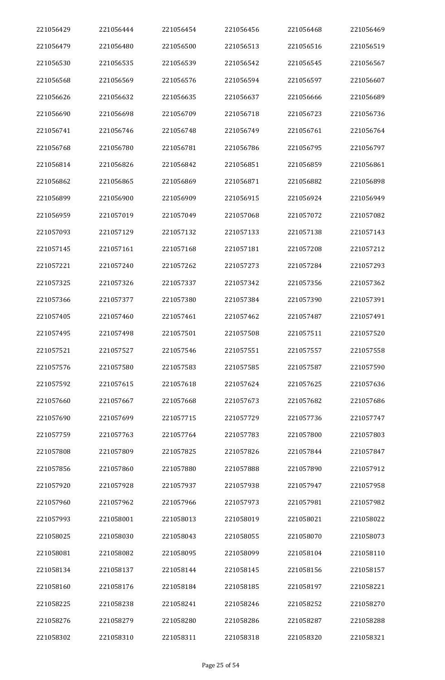| 221056429 | 221056444 | 221056454 | 221056456 | 221056468 | 221056469 |
|-----------|-----------|-----------|-----------|-----------|-----------|
| 221056479 | 221056480 | 221056500 | 221056513 | 221056516 | 221056519 |
| 221056530 | 221056535 | 221056539 | 221056542 | 221056545 | 221056567 |
| 221056568 | 221056569 | 221056576 | 221056594 | 221056597 | 221056607 |
| 221056626 | 221056632 | 221056635 | 221056637 | 221056666 | 221056689 |
| 221056690 | 221056698 | 221056709 | 221056718 | 221056723 | 221056736 |
| 221056741 | 221056746 | 221056748 | 221056749 | 221056761 | 221056764 |
| 221056768 | 221056780 | 221056781 | 221056786 | 221056795 | 221056797 |
| 221056814 | 221056826 | 221056842 | 221056851 | 221056859 | 221056861 |
| 221056862 | 221056865 | 221056869 | 221056871 | 221056882 | 221056898 |
| 221056899 | 221056900 | 221056909 | 221056915 | 221056924 | 221056949 |
| 221056959 | 221057019 | 221057049 | 221057068 | 221057072 | 221057082 |
| 221057093 | 221057129 | 221057132 | 221057133 | 221057138 | 221057143 |
| 221057145 | 221057161 | 221057168 | 221057181 | 221057208 | 221057212 |
| 221057221 | 221057240 | 221057262 | 221057273 | 221057284 | 221057293 |
| 221057325 | 221057326 | 221057337 | 221057342 | 221057356 | 221057362 |
| 221057366 | 221057377 | 221057380 | 221057384 | 221057390 | 221057391 |
| 221057405 | 221057460 | 221057461 | 221057462 | 221057487 | 221057491 |
| 221057495 | 221057498 | 221057501 | 221057508 | 221057511 | 221057520 |
| 221057521 | 221057527 | 221057546 | 221057551 | 221057557 | 221057558 |
| 221057576 | 221057580 | 221057583 | 221057585 | 221057587 | 221057590 |
| 221057592 | 221057615 | 221057618 | 221057624 | 221057625 | 221057636 |
| 221057660 | 221057667 | 221057668 | 221057673 | 221057682 | 221057686 |
| 221057690 | 221057699 | 221057715 | 221057729 | 221057736 | 221057747 |
| 221057759 | 221057763 | 221057764 | 221057783 | 221057800 | 221057803 |
| 221057808 | 221057809 | 221057825 | 221057826 | 221057844 | 221057847 |
| 221057856 | 221057860 | 221057880 | 221057888 | 221057890 | 221057912 |
| 221057920 | 221057928 | 221057937 | 221057938 | 221057947 | 221057958 |
| 221057960 | 221057962 | 221057966 | 221057973 | 221057981 | 221057982 |
| 221057993 | 221058001 | 221058013 | 221058019 | 221058021 | 221058022 |
| 221058025 | 221058030 | 221058043 | 221058055 | 221058070 | 221058073 |
| 221058081 | 221058082 | 221058095 | 221058099 | 221058104 | 221058110 |
| 221058134 | 221058137 | 221058144 | 221058145 | 221058156 | 221058157 |
| 221058160 | 221058176 | 221058184 | 221058185 | 221058197 | 221058221 |
| 221058225 | 221058238 | 221058241 | 221058246 | 221058252 | 221058270 |
| 221058276 | 221058279 | 221058280 | 221058286 | 221058287 | 221058288 |
| 221058302 | 221058310 | 221058311 | 221058318 | 221058320 | 221058321 |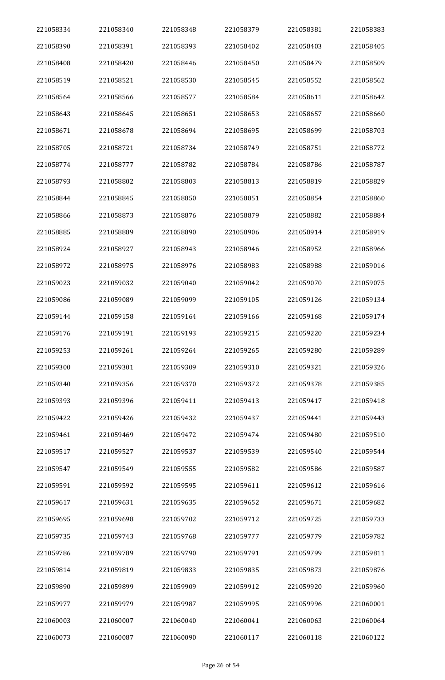| 221058334 | 221058340 | 221058348 | 221058379 | 221058381 | 221058383 |
|-----------|-----------|-----------|-----------|-----------|-----------|
| 221058390 | 221058391 | 221058393 | 221058402 | 221058403 | 221058405 |
| 221058408 | 221058420 | 221058446 | 221058450 | 221058479 | 221058509 |
| 221058519 | 221058521 | 221058530 | 221058545 | 221058552 | 221058562 |
| 221058564 | 221058566 | 221058577 | 221058584 | 221058611 | 221058642 |
| 221058643 | 221058645 | 221058651 | 221058653 | 221058657 | 221058660 |
| 221058671 | 221058678 | 221058694 | 221058695 | 221058699 | 221058703 |
| 221058705 | 221058721 | 221058734 | 221058749 | 221058751 | 221058772 |
| 221058774 | 221058777 | 221058782 | 221058784 | 221058786 | 221058787 |
| 221058793 | 221058802 | 221058803 | 221058813 | 221058819 | 221058829 |
| 221058844 | 221058845 | 221058850 | 221058851 | 221058854 | 221058860 |
| 221058866 | 221058873 | 221058876 | 221058879 | 221058882 | 221058884 |
| 221058885 | 221058889 | 221058890 | 221058906 | 221058914 | 221058919 |
| 221058924 | 221058927 | 221058943 | 221058946 | 221058952 | 221058966 |
| 221058972 | 221058975 | 221058976 | 221058983 | 221058988 | 221059016 |
| 221059023 | 221059032 | 221059040 | 221059042 | 221059070 | 221059075 |
| 221059086 | 221059089 | 221059099 | 221059105 | 221059126 | 221059134 |
| 221059144 | 221059158 | 221059164 | 221059166 | 221059168 | 221059174 |
| 221059176 | 221059191 | 221059193 | 221059215 | 221059220 | 221059234 |
| 221059253 | 221059261 | 221059264 | 221059265 | 221059280 | 221059289 |
| 221059300 | 221059301 | 221059309 | 221059310 | 221059321 | 221059326 |
| 221059340 | 221059356 | 221059370 | 221059372 | 221059378 | 221059385 |
| 221059393 | 221059396 | 221059411 | 221059413 | 221059417 | 221059418 |
| 221059422 | 221059426 | 221059432 | 221059437 | 221059441 | 221059443 |
| 221059461 | 221059469 | 221059472 | 221059474 | 221059480 | 221059510 |
| 221059517 | 221059527 | 221059537 | 221059539 | 221059540 | 221059544 |
| 221059547 | 221059549 | 221059555 | 221059582 | 221059586 | 221059587 |
| 221059591 | 221059592 | 221059595 | 221059611 | 221059612 | 221059616 |
| 221059617 | 221059631 | 221059635 | 221059652 | 221059671 | 221059682 |
| 221059695 | 221059698 | 221059702 | 221059712 | 221059725 | 221059733 |
| 221059735 | 221059743 | 221059768 | 221059777 | 221059779 | 221059782 |
| 221059786 | 221059789 | 221059790 | 221059791 | 221059799 | 221059811 |
| 221059814 | 221059819 | 221059833 | 221059835 | 221059873 | 221059876 |
| 221059890 | 221059899 | 221059909 | 221059912 | 221059920 | 221059960 |
| 221059977 | 221059979 | 221059987 | 221059995 | 221059996 | 221060001 |
| 221060003 | 221060007 | 221060040 | 221060041 | 221060063 | 221060064 |
| 221060073 | 221060087 | 221060090 | 221060117 | 221060118 | 221060122 |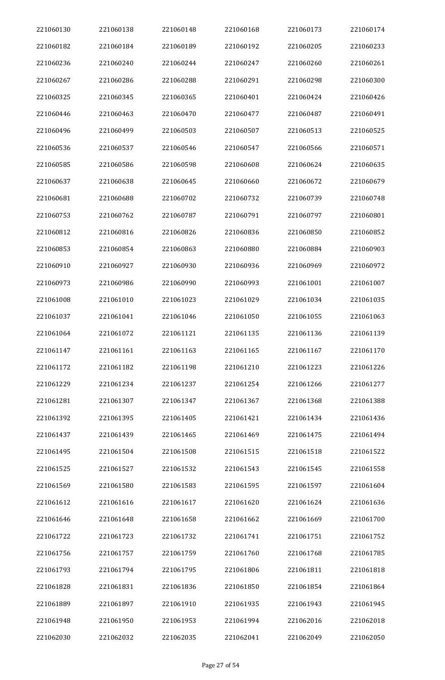| 221060130 | 221060138 | 221060148 | 221060168 | 221060173 | 221060174 |
|-----------|-----------|-----------|-----------|-----------|-----------|
| 221060182 | 221060184 | 221060189 | 221060192 | 221060205 | 221060233 |
| 221060236 | 221060240 | 221060244 | 221060247 | 221060260 | 221060261 |
| 221060267 | 221060286 | 221060288 | 221060291 | 221060298 | 221060300 |
| 221060325 | 221060345 | 221060365 | 221060401 | 221060424 | 221060426 |
| 221060446 | 221060463 | 221060470 | 221060477 | 221060487 | 221060491 |
| 221060496 | 221060499 | 221060503 | 221060507 | 221060513 | 221060525 |
| 221060536 | 221060537 | 221060546 | 221060547 | 221060566 | 221060571 |
| 221060585 | 221060586 | 221060598 | 221060608 | 221060624 | 221060635 |
| 221060637 | 221060638 | 221060645 | 221060660 | 221060672 | 221060679 |
| 221060681 | 221060688 | 221060702 | 221060732 | 221060739 | 221060748 |
| 221060753 | 221060762 | 221060787 | 221060791 | 221060797 | 221060801 |
| 221060812 | 221060816 | 221060826 | 221060836 | 221060850 | 221060852 |
| 221060853 | 221060854 | 221060863 | 221060880 | 221060884 | 221060903 |
| 221060910 | 221060927 | 221060930 | 221060936 | 221060969 | 221060972 |
| 221060973 | 221060986 | 221060990 | 221060993 | 221061001 | 221061007 |
| 221061008 | 221061010 | 221061023 | 221061029 | 221061034 | 221061035 |
| 221061037 | 221061041 | 221061046 | 221061050 | 221061055 | 221061063 |
| 221061064 | 221061072 | 221061121 | 221061135 | 221061136 | 221061139 |
| 221061147 | 221061161 | 221061163 | 221061165 | 221061167 | 221061170 |
| 221061172 | 221061182 | 221061198 | 221061210 | 221061223 | 221061226 |
| 221061229 | 221061234 | 221061237 | 221061254 | 221061266 | 221061277 |
| 221061281 | 221061307 | 221061347 | 221061367 | 221061368 | 221061388 |
| 221061392 | 221061395 | 221061405 | 221061421 | 221061434 | 221061436 |
| 221061437 | 221061439 | 221061465 | 221061469 | 221061475 | 221061494 |
| 221061495 | 221061504 | 221061508 | 221061515 | 221061518 | 221061522 |
| 221061525 | 221061527 | 221061532 | 221061543 | 221061545 | 221061558 |
| 221061569 | 221061580 | 221061583 | 221061595 | 221061597 | 221061604 |
| 221061612 | 221061616 | 221061617 | 221061620 | 221061624 | 221061636 |
| 221061646 | 221061648 | 221061658 | 221061662 | 221061669 | 221061700 |
| 221061722 | 221061723 | 221061732 | 221061741 | 221061751 | 221061752 |
| 221061756 | 221061757 | 221061759 | 221061760 | 221061768 | 221061785 |
| 221061793 | 221061794 | 221061795 | 221061806 | 221061811 | 221061818 |
| 221061828 | 221061831 | 221061836 | 221061850 | 221061854 | 221061864 |
| 221061889 | 221061897 | 221061910 | 221061935 | 221061943 | 221061945 |
| 221061948 | 221061950 | 221061953 | 221061994 | 221062016 | 221062018 |
| 221062030 | 221062032 | 221062035 | 221062041 | 221062049 | 221062050 |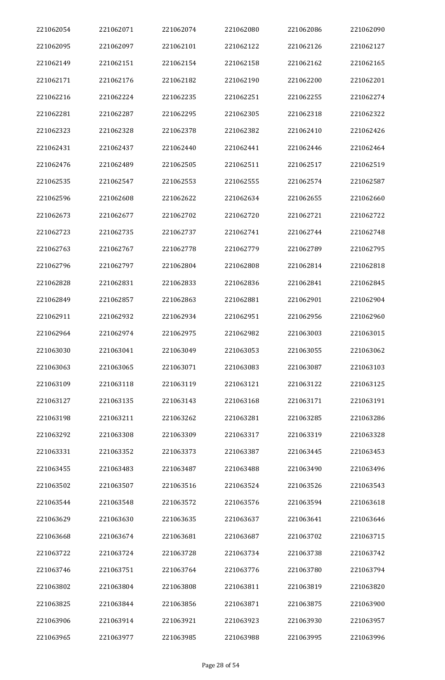| 221062054 | 221062071 | 221062074 | 221062080 | 221062086 | 221062090 |
|-----------|-----------|-----------|-----------|-----------|-----------|
| 221062095 | 221062097 | 221062101 | 221062122 | 221062126 | 221062127 |
| 221062149 | 221062151 | 221062154 | 221062158 | 221062162 | 221062165 |
| 221062171 | 221062176 | 221062182 | 221062190 | 221062200 | 221062201 |
| 221062216 | 221062224 | 221062235 | 221062251 | 221062255 | 221062274 |
| 221062281 | 221062287 | 221062295 | 221062305 | 221062318 | 221062322 |
| 221062323 | 221062328 | 221062378 | 221062382 | 221062410 | 221062426 |
| 221062431 | 221062437 | 221062440 | 221062441 | 221062446 | 221062464 |
| 221062476 | 221062489 | 221062505 | 221062511 | 221062517 | 221062519 |
| 221062535 | 221062547 | 221062553 | 221062555 | 221062574 | 221062587 |
| 221062596 | 221062608 | 221062622 | 221062634 | 221062655 | 221062660 |
| 221062673 | 221062677 | 221062702 | 221062720 | 221062721 | 221062722 |
| 221062723 | 221062735 | 221062737 | 221062741 | 221062744 | 221062748 |
| 221062763 | 221062767 | 221062778 | 221062779 | 221062789 | 221062795 |
| 221062796 | 221062797 | 221062804 | 221062808 | 221062814 | 221062818 |
| 221062828 | 221062831 | 221062833 | 221062836 | 221062841 | 221062845 |
| 221062849 | 221062857 | 221062863 | 221062881 | 221062901 | 221062904 |
| 221062911 | 221062932 | 221062934 | 221062951 | 221062956 | 221062960 |
| 221062964 | 221062974 | 221062975 | 221062982 | 221063003 | 221063015 |
| 221063030 | 221063041 | 221063049 | 221063053 | 221063055 | 221063062 |
| 221063063 | 221063065 | 221063071 | 221063083 | 221063087 | 221063103 |
| 221063109 | 221063118 | 221063119 | 221063121 | 221063122 | 221063125 |
| 221063127 | 221063135 | 221063143 | 221063168 | 221063171 | 221063191 |
| 221063198 | 221063211 | 221063262 | 221063281 | 221063285 | 221063286 |
| 221063292 | 221063308 | 221063309 | 221063317 | 221063319 | 221063328 |
| 221063331 | 221063352 | 221063373 | 221063387 | 221063445 | 221063453 |
| 221063455 | 221063483 | 221063487 | 221063488 | 221063490 | 221063496 |
| 221063502 | 221063507 | 221063516 | 221063524 | 221063526 | 221063543 |
| 221063544 | 221063548 | 221063572 | 221063576 | 221063594 | 221063618 |
| 221063629 | 221063630 | 221063635 | 221063637 | 221063641 | 221063646 |
| 221063668 | 221063674 | 221063681 | 221063687 | 221063702 | 221063715 |
| 221063722 | 221063724 | 221063728 | 221063734 | 221063738 | 221063742 |
| 221063746 | 221063751 | 221063764 | 221063776 | 221063780 | 221063794 |
| 221063802 | 221063804 | 221063808 | 221063811 | 221063819 | 221063820 |
| 221063825 | 221063844 | 221063856 | 221063871 | 221063875 | 221063900 |
| 221063906 | 221063914 | 221063921 | 221063923 | 221063930 | 221063957 |
| 221063965 | 221063977 | 221063985 | 221063988 | 221063995 | 221063996 |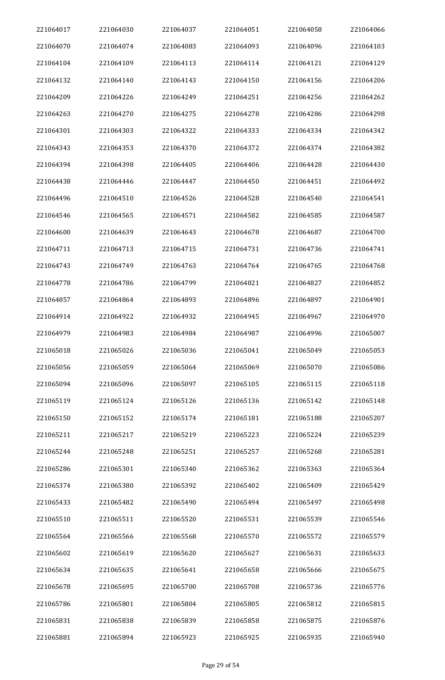| 221064017 | 221064030 | 221064037 | 221064051 | 221064058 | 221064066 |
|-----------|-----------|-----------|-----------|-----------|-----------|
| 221064070 | 221064074 | 221064083 | 221064093 | 221064096 | 221064103 |
| 221064104 | 221064109 | 221064113 | 221064114 | 221064121 | 221064129 |
| 221064132 | 221064140 | 221064143 | 221064150 | 221064156 | 221064206 |
| 221064209 | 221064226 | 221064249 | 221064251 | 221064256 | 221064262 |
| 221064263 | 221064270 | 221064275 | 221064278 | 221064286 | 221064298 |
| 221064301 | 221064303 | 221064322 | 221064333 | 221064334 | 221064342 |
| 221064343 | 221064353 | 221064370 | 221064372 | 221064374 | 221064382 |
| 221064394 | 221064398 | 221064405 | 221064406 | 221064428 | 221064430 |
| 221064438 | 221064446 | 221064447 | 221064450 | 221064451 | 221064492 |
| 221064496 | 221064510 | 221064526 | 221064528 | 221064540 | 221064541 |
| 221064546 | 221064565 | 221064571 | 221064582 | 221064585 | 221064587 |
| 221064600 | 221064639 | 221064643 | 221064678 | 221064687 | 221064700 |
| 221064711 | 221064713 | 221064715 | 221064731 | 221064736 | 221064741 |
| 221064743 | 221064749 | 221064763 | 221064764 | 221064765 | 221064768 |
| 221064778 | 221064786 | 221064799 | 221064821 | 221064827 | 221064852 |
| 221064857 | 221064864 | 221064893 | 221064896 | 221064897 | 221064901 |
| 221064914 | 221064922 | 221064932 | 221064945 | 221064967 | 221064970 |
| 221064979 | 221064983 | 221064984 | 221064987 | 221064996 | 221065007 |
| 221065018 | 221065026 | 221065036 | 221065041 | 221065049 | 221065053 |
| 221065056 | 221065059 | 221065064 | 221065069 | 221065070 | 221065086 |
| 221065094 | 221065096 | 221065097 | 221065105 | 221065115 | 221065118 |
| 221065119 | 221065124 | 221065126 | 221065136 | 221065142 | 221065148 |
| 221065150 | 221065152 | 221065174 | 221065181 | 221065188 | 221065207 |
| 221065211 | 221065217 | 221065219 | 221065223 | 221065224 | 221065239 |
| 221065244 | 221065248 | 221065251 | 221065257 | 221065268 | 221065281 |
| 221065286 | 221065301 | 221065340 | 221065362 | 221065363 | 221065364 |
| 221065374 | 221065380 | 221065392 | 221065402 | 221065409 | 221065429 |
| 221065433 | 221065482 | 221065490 | 221065494 | 221065497 | 221065498 |
| 221065510 | 221065511 | 221065520 | 221065531 | 221065539 | 221065546 |
| 221065564 | 221065566 | 221065568 | 221065570 | 221065572 | 221065579 |
| 221065602 | 221065619 | 221065620 | 221065627 | 221065631 | 221065633 |
| 221065634 | 221065635 | 221065641 | 221065658 | 221065666 | 221065675 |
| 221065678 | 221065695 | 221065700 | 221065708 | 221065736 | 221065776 |
| 221065786 | 221065801 | 221065804 | 221065805 | 221065812 | 221065815 |
| 221065831 | 221065838 | 221065839 | 221065858 | 221065875 | 221065876 |
| 221065881 | 221065894 | 221065923 | 221065925 | 221065935 | 221065940 |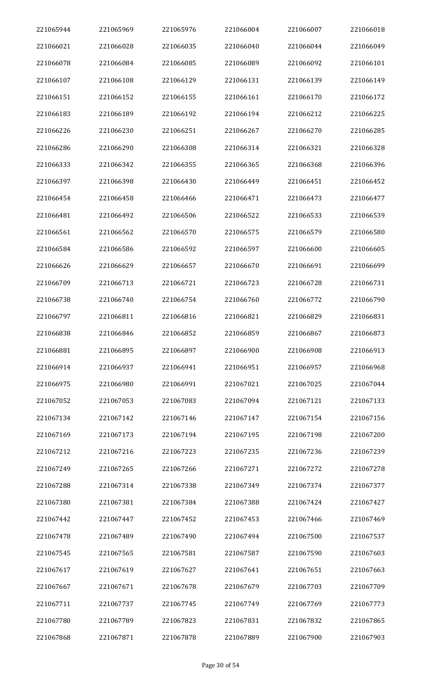| 221065944 | 221065969 | 221065976 | 221066004 | 221066007 | 221066018 |
|-----------|-----------|-----------|-----------|-----------|-----------|
| 221066021 | 221066028 | 221066035 | 221066040 | 221066044 | 221066049 |
| 221066078 | 221066084 | 221066085 | 221066089 | 221066092 | 221066101 |
| 221066107 | 221066108 | 221066129 | 221066131 | 221066139 | 221066149 |
| 221066151 | 221066152 | 221066155 | 221066161 | 221066170 | 221066172 |
| 221066183 | 221066189 | 221066192 | 221066194 | 221066212 | 221066225 |
| 221066226 | 221066230 | 221066251 | 221066267 | 221066270 | 221066285 |
| 221066286 | 221066290 | 221066308 | 221066314 | 221066321 | 221066328 |
| 221066333 | 221066342 | 221066355 | 221066365 | 221066368 | 221066396 |
| 221066397 | 221066398 | 221066430 | 221066449 | 221066451 | 221066452 |
| 221066454 | 221066458 | 221066466 | 221066471 | 221066473 | 221066477 |
| 221066481 | 221066492 | 221066506 | 221066522 | 221066533 | 221066539 |
| 221066561 | 221066562 | 221066570 | 221066575 | 221066579 | 221066580 |
| 221066584 | 221066586 | 221066592 | 221066597 | 221066600 | 221066605 |
| 221066626 | 221066629 | 221066657 | 221066670 | 221066691 | 221066699 |
| 221066709 | 221066713 | 221066721 | 221066723 | 221066728 | 221066731 |
| 221066738 | 221066740 | 221066754 | 221066760 | 221066772 | 221066790 |
| 221066797 | 221066811 | 221066816 | 221066821 | 221066829 | 221066831 |
| 221066838 | 221066846 | 221066852 | 221066859 | 221066867 | 221066873 |
| 221066881 | 221066895 | 221066897 | 221066900 | 221066908 | 221066913 |
| 221066914 | 221066937 | 221066941 | 221066951 | 221066957 | 221066968 |
| 221066975 | 221066980 | 221066991 | 221067021 | 221067025 | 221067044 |
| 221067052 | 221067053 | 221067083 | 221067094 | 221067121 | 221067133 |
| 221067134 | 221067142 | 221067146 | 221067147 | 221067154 | 221067156 |
| 221067169 | 221067173 | 221067194 | 221067195 | 221067198 | 221067200 |
| 221067212 | 221067216 | 221067223 | 221067235 | 221067236 | 221067239 |
| 221067249 | 221067265 | 221067266 | 221067271 | 221067272 | 221067278 |
| 221067288 | 221067314 | 221067338 | 221067349 | 221067374 | 221067377 |
| 221067380 | 221067381 | 221067384 | 221067388 | 221067424 | 221067427 |
| 221067442 | 221067447 | 221067452 | 221067453 | 221067466 | 221067469 |
| 221067478 | 221067489 | 221067490 | 221067494 | 221067500 | 221067537 |
| 221067545 | 221067565 | 221067581 | 221067587 | 221067590 | 221067603 |
| 221067617 | 221067619 | 221067627 | 221067641 | 221067651 | 221067663 |
| 221067667 | 221067671 | 221067678 | 221067679 | 221067703 | 221067709 |
| 221067711 | 221067737 | 221067745 | 221067749 | 221067769 | 221067773 |
| 221067780 | 221067789 | 221067823 | 221067831 | 221067832 | 221067865 |
| 221067868 | 221067871 | 221067878 | 221067889 | 221067900 | 221067903 |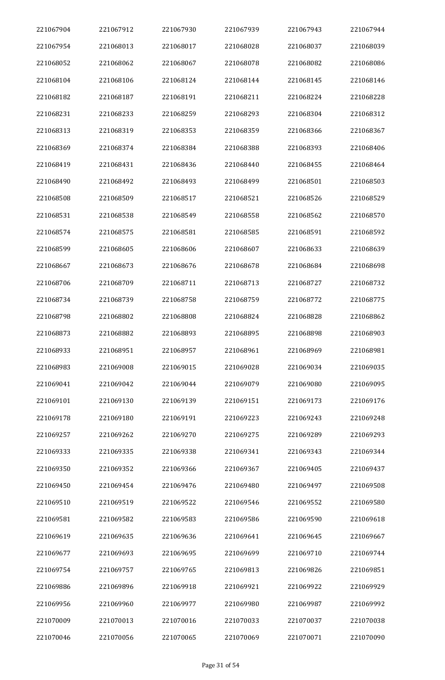| 221067904 | 221067912 | 221067930 | 221067939 | 221067943 | 221067944 |
|-----------|-----------|-----------|-----------|-----------|-----------|
| 221067954 | 221068013 | 221068017 | 221068028 | 221068037 | 221068039 |
| 221068052 | 221068062 | 221068067 | 221068078 | 221068082 | 221068086 |
| 221068104 | 221068106 | 221068124 | 221068144 | 221068145 | 221068146 |
| 221068182 | 221068187 | 221068191 | 221068211 | 221068224 | 221068228 |
| 221068231 | 221068233 | 221068259 | 221068293 | 221068304 | 221068312 |
| 221068313 | 221068319 | 221068353 | 221068359 | 221068366 | 221068367 |
| 221068369 | 221068374 | 221068384 | 221068388 | 221068393 | 221068406 |
| 221068419 | 221068431 | 221068436 | 221068440 | 221068455 | 221068464 |
| 221068490 | 221068492 | 221068493 | 221068499 | 221068501 | 221068503 |
| 221068508 | 221068509 | 221068517 | 221068521 | 221068526 | 221068529 |
| 221068531 | 221068538 | 221068549 | 221068558 | 221068562 | 221068570 |
| 221068574 | 221068575 | 221068581 | 221068585 | 221068591 | 221068592 |
| 221068599 | 221068605 | 221068606 | 221068607 | 221068633 | 221068639 |
| 221068667 | 221068673 | 221068676 | 221068678 | 221068684 | 221068698 |
| 221068706 | 221068709 | 221068711 | 221068713 | 221068727 | 221068732 |
| 221068734 | 221068739 | 221068758 | 221068759 | 221068772 | 221068775 |
| 221068798 | 221068802 | 221068808 | 221068824 | 221068828 | 221068862 |
| 221068873 | 221068882 | 221068893 | 221068895 | 221068898 | 221068903 |
| 221068933 | 221068951 | 221068957 | 221068961 | 221068969 | 221068981 |
| 221068983 | 221069008 | 221069015 | 221069028 | 221069034 | 221069035 |
| 221069041 | 221069042 | 221069044 | 221069079 | 221069080 | 221069095 |
| 221069101 | 221069130 | 221069139 | 221069151 | 221069173 | 221069176 |
| 221069178 | 221069180 | 221069191 | 221069223 | 221069243 | 221069248 |
| 221069257 | 221069262 | 221069270 | 221069275 | 221069289 | 221069293 |
| 221069333 | 221069335 | 221069338 | 221069341 | 221069343 | 221069344 |
| 221069350 | 221069352 | 221069366 | 221069367 | 221069405 | 221069437 |
| 221069450 | 221069454 | 221069476 | 221069480 | 221069497 | 221069508 |
| 221069510 | 221069519 | 221069522 | 221069546 | 221069552 | 221069580 |
| 221069581 | 221069582 | 221069583 | 221069586 | 221069590 | 221069618 |
| 221069619 | 221069635 | 221069636 | 221069641 | 221069645 | 221069667 |
| 221069677 | 221069693 | 221069695 | 221069699 | 221069710 | 221069744 |
| 221069754 | 221069757 | 221069765 | 221069813 | 221069826 | 221069851 |
| 221069886 | 221069896 | 221069918 | 221069921 | 221069922 | 221069929 |
| 221069956 | 221069960 | 221069977 | 221069980 | 221069987 | 221069992 |
| 221070009 | 221070013 | 221070016 | 221070033 | 221070037 | 221070038 |
| 221070046 | 221070056 | 221070065 | 221070069 | 221070071 | 221070090 |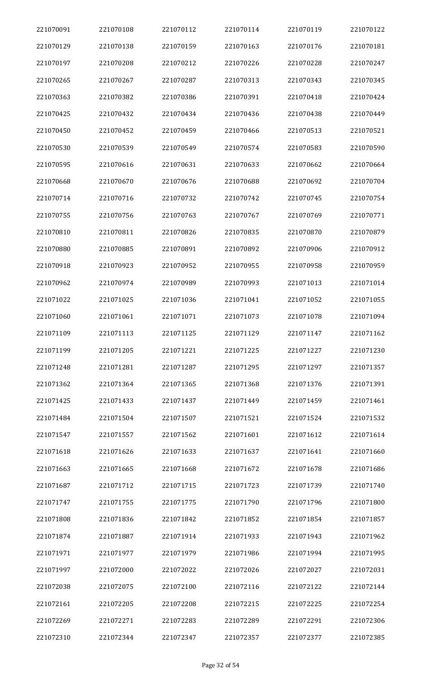| 221070091 | 221070108 | 221070112 | 221070114 | 221070119 | 221070122 |
|-----------|-----------|-----------|-----------|-----------|-----------|
| 221070129 | 221070138 | 221070159 | 221070163 | 221070176 | 221070181 |
| 221070197 | 221070208 | 221070212 | 221070226 | 221070228 | 221070247 |
| 221070265 | 221070267 | 221070287 | 221070313 | 221070343 | 221070345 |
| 221070363 | 221070382 | 221070386 | 221070391 | 221070418 | 221070424 |
| 221070425 | 221070432 | 221070434 | 221070436 | 221070438 | 221070449 |
| 221070450 | 221070452 | 221070459 | 221070466 | 221070513 | 221070521 |
| 221070530 | 221070539 | 221070549 | 221070574 | 221070583 | 221070590 |
| 221070595 | 221070616 | 221070631 | 221070633 | 221070662 | 221070664 |
| 221070668 | 221070670 | 221070676 | 221070688 | 221070692 | 221070704 |
| 221070714 | 221070716 | 221070732 | 221070742 | 221070745 | 221070754 |
| 221070755 | 221070756 | 221070763 | 221070767 | 221070769 | 221070771 |
| 221070810 | 221070811 | 221070826 | 221070835 | 221070870 | 221070879 |
| 221070880 | 221070885 | 221070891 | 221070892 | 221070906 | 221070912 |
| 221070918 | 221070923 | 221070952 | 221070955 | 221070958 | 221070959 |
| 221070962 | 221070974 | 221070989 | 221070993 | 221071013 | 221071014 |
| 221071022 | 221071025 | 221071036 | 221071041 | 221071052 | 221071055 |
| 221071060 | 221071061 | 221071071 | 221071073 | 221071078 | 221071094 |
| 221071109 | 221071113 | 221071125 | 221071129 | 221071147 | 221071162 |
| 221071199 | 221071205 | 221071221 | 221071225 | 221071227 | 221071230 |
| 221071248 | 221071281 | 221071287 | 221071295 | 221071297 | 221071357 |
| 221071362 | 221071364 | 221071365 | 221071368 | 221071376 | 221071391 |
| 221071425 | 221071433 | 221071437 | 221071449 | 221071459 | 221071461 |
| 221071484 | 221071504 | 221071507 | 221071521 | 221071524 | 221071532 |
| 221071547 | 221071557 | 221071562 | 221071601 | 221071612 | 221071614 |
| 221071618 | 221071626 | 221071633 | 221071637 | 221071641 | 221071660 |
| 221071663 | 221071665 | 221071668 | 221071672 | 221071678 | 221071686 |
| 221071687 | 221071712 | 221071715 | 221071723 | 221071739 | 221071740 |
| 221071747 | 221071755 | 221071775 | 221071790 | 221071796 | 221071800 |
| 221071808 | 221071836 | 221071842 | 221071852 | 221071854 | 221071857 |
| 221071874 | 221071887 | 221071914 | 221071933 | 221071943 | 221071962 |
| 221071971 | 221071977 | 221071979 | 221071986 | 221071994 | 221071995 |
| 221071997 | 221072000 | 221072022 | 221072026 | 221072027 | 221072031 |
| 221072038 | 221072075 | 221072100 | 221072116 | 221072122 | 221072144 |
| 221072161 | 221072205 | 221072208 | 221072215 | 221072225 | 221072254 |
| 221072269 | 221072271 | 221072283 | 221072289 | 221072291 | 221072306 |
| 221072310 | 221072344 | 221072347 | 221072357 | 221072377 | 221072385 |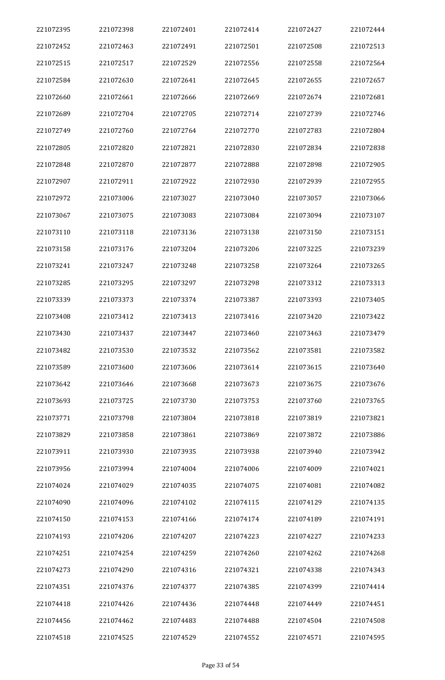| 221072395 | 221072398 | 221072401 | 221072414 | 221072427 | 221072444 |
|-----------|-----------|-----------|-----------|-----------|-----------|
| 221072452 | 221072463 | 221072491 | 221072501 | 221072508 | 221072513 |
| 221072515 | 221072517 | 221072529 | 221072556 | 221072558 | 221072564 |
| 221072584 | 221072630 | 221072641 | 221072645 | 221072655 | 221072657 |
| 221072660 | 221072661 | 221072666 | 221072669 | 221072674 | 221072681 |
| 221072689 | 221072704 | 221072705 | 221072714 | 221072739 | 221072746 |
| 221072749 | 221072760 | 221072764 | 221072770 | 221072783 | 221072804 |
| 221072805 | 221072820 | 221072821 | 221072830 | 221072834 | 221072838 |
| 221072848 | 221072870 | 221072877 | 221072888 | 221072898 | 221072905 |
| 221072907 | 221072911 | 221072922 | 221072930 | 221072939 | 221072955 |
| 221072972 | 221073006 | 221073027 | 221073040 | 221073057 | 221073066 |
| 221073067 | 221073075 | 221073083 | 221073084 | 221073094 | 221073107 |
| 221073110 | 221073118 | 221073136 | 221073138 | 221073150 | 221073151 |
| 221073158 | 221073176 | 221073204 | 221073206 | 221073225 | 221073239 |
| 221073241 | 221073247 | 221073248 | 221073258 | 221073264 | 221073265 |
| 221073285 | 221073295 | 221073297 | 221073298 | 221073312 | 221073313 |
| 221073339 | 221073373 | 221073374 | 221073387 | 221073393 | 221073405 |
| 221073408 | 221073412 | 221073413 | 221073416 | 221073420 | 221073422 |
| 221073430 | 221073437 | 221073447 | 221073460 | 221073463 | 221073479 |
| 221073482 | 221073530 | 221073532 | 221073562 | 221073581 | 221073582 |
| 221073589 | 221073600 | 221073606 | 221073614 | 221073615 | 221073640 |
| 221073642 | 221073646 | 221073668 | 221073673 | 221073675 | 221073676 |
| 221073693 | 221073725 | 221073730 | 221073753 | 221073760 | 221073765 |
| 221073771 | 221073798 | 221073804 | 221073818 | 221073819 | 221073821 |
| 221073829 | 221073858 | 221073861 | 221073869 | 221073872 | 221073886 |
| 221073911 | 221073930 | 221073935 | 221073938 | 221073940 | 221073942 |
| 221073956 | 221073994 | 221074004 | 221074006 | 221074009 | 221074021 |
| 221074024 | 221074029 | 221074035 | 221074075 | 221074081 | 221074082 |
| 221074090 | 221074096 | 221074102 | 221074115 | 221074129 | 221074135 |
| 221074150 | 221074153 | 221074166 | 221074174 | 221074189 | 221074191 |
| 221074193 | 221074206 | 221074207 | 221074223 | 221074227 | 221074233 |
| 221074251 | 221074254 | 221074259 | 221074260 | 221074262 | 221074268 |
| 221074273 | 221074290 | 221074316 | 221074321 | 221074338 | 221074343 |
| 221074351 | 221074376 | 221074377 | 221074385 | 221074399 | 221074414 |
| 221074418 | 221074426 | 221074436 | 221074448 | 221074449 | 221074451 |
| 221074456 | 221074462 | 221074483 | 221074488 | 221074504 | 221074508 |
| 221074518 | 221074525 | 221074529 | 221074552 | 221074571 | 221074595 |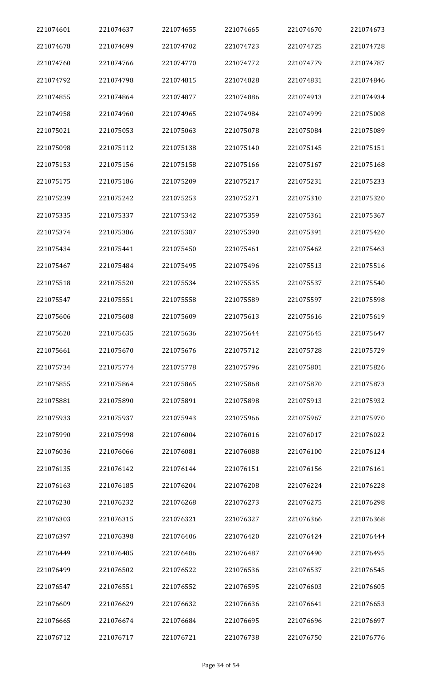| 221074601 | 221074637 | 221074655 | 221074665 | 221074670 | 221074673 |
|-----------|-----------|-----------|-----------|-----------|-----------|
| 221074678 | 221074699 | 221074702 | 221074723 | 221074725 | 221074728 |
| 221074760 | 221074766 | 221074770 | 221074772 | 221074779 | 221074787 |
| 221074792 | 221074798 | 221074815 | 221074828 | 221074831 | 221074846 |
| 221074855 | 221074864 | 221074877 | 221074886 | 221074913 | 221074934 |
| 221074958 | 221074960 | 221074965 | 221074984 | 221074999 | 221075008 |
| 221075021 | 221075053 | 221075063 | 221075078 | 221075084 | 221075089 |
| 221075098 | 221075112 | 221075138 | 221075140 | 221075145 | 221075151 |
| 221075153 | 221075156 | 221075158 | 221075166 | 221075167 | 221075168 |
| 221075175 | 221075186 | 221075209 | 221075217 | 221075231 | 221075233 |
| 221075239 | 221075242 | 221075253 | 221075271 | 221075310 | 221075320 |
| 221075335 | 221075337 | 221075342 | 221075359 | 221075361 | 221075367 |
| 221075374 | 221075386 | 221075387 | 221075390 | 221075391 | 221075420 |
| 221075434 | 221075441 | 221075450 | 221075461 | 221075462 | 221075463 |
| 221075467 | 221075484 | 221075495 | 221075496 | 221075513 | 221075516 |
| 221075518 | 221075520 | 221075534 | 221075535 | 221075537 | 221075540 |
| 221075547 | 221075551 | 221075558 | 221075589 | 221075597 | 221075598 |
| 221075606 | 221075608 | 221075609 | 221075613 | 221075616 | 221075619 |
| 221075620 | 221075635 | 221075636 | 221075644 | 221075645 | 221075647 |
| 221075661 | 221075670 | 221075676 | 221075712 | 221075728 | 221075729 |
| 221075734 | 221075774 | 221075778 | 221075796 | 221075801 | 221075826 |
| 221075855 | 221075864 | 221075865 | 221075868 | 221075870 | 221075873 |
| 221075881 | 221075890 | 221075891 | 221075898 | 221075913 | 221075932 |
| 221075933 | 221075937 | 221075943 | 221075966 | 221075967 | 221075970 |
| 221075990 | 221075998 | 221076004 | 221076016 | 221076017 | 221076022 |
| 221076036 | 221076066 | 221076081 | 221076088 | 221076100 | 221076124 |
| 221076135 | 221076142 | 221076144 | 221076151 | 221076156 | 221076161 |
| 221076163 | 221076185 | 221076204 | 221076208 | 221076224 | 221076228 |
| 221076230 | 221076232 | 221076268 | 221076273 | 221076275 | 221076298 |
| 221076303 | 221076315 | 221076321 | 221076327 | 221076366 | 221076368 |
| 221076397 | 221076398 | 221076406 | 221076420 | 221076424 | 221076444 |
| 221076449 | 221076485 | 221076486 | 221076487 | 221076490 | 221076495 |
| 221076499 | 221076502 | 221076522 | 221076536 | 221076537 | 221076545 |
| 221076547 | 221076551 | 221076552 | 221076595 | 221076603 | 221076605 |
| 221076609 | 221076629 | 221076632 | 221076636 | 221076641 | 221076653 |
| 221076665 | 221076674 | 221076684 | 221076695 | 221076696 | 221076697 |
| 221076712 | 221076717 | 221076721 | 221076738 | 221076750 | 221076776 |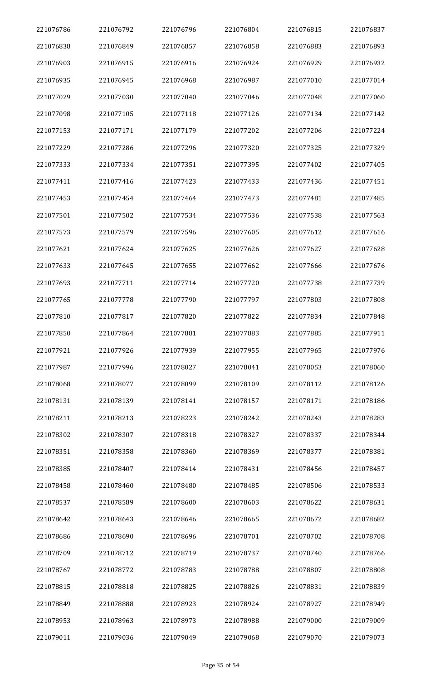| 221076786 | 221076792 | 221076796 | 221076804 | 221076815 | 221076837 |
|-----------|-----------|-----------|-----------|-----------|-----------|
| 221076838 | 221076849 | 221076857 | 221076858 | 221076883 | 221076893 |
| 221076903 | 221076915 | 221076916 | 221076924 | 221076929 | 221076932 |
| 221076935 | 221076945 | 221076968 | 221076987 | 221077010 | 221077014 |
| 221077029 | 221077030 | 221077040 | 221077046 | 221077048 | 221077060 |
| 221077098 | 221077105 | 221077118 | 221077126 | 221077134 | 221077142 |
| 221077153 | 221077171 | 221077179 | 221077202 | 221077206 | 221077224 |
| 221077229 | 221077286 | 221077296 | 221077320 | 221077325 | 221077329 |
| 221077333 | 221077334 | 221077351 | 221077395 | 221077402 | 221077405 |
| 221077411 | 221077416 | 221077423 | 221077433 | 221077436 | 221077451 |
| 221077453 | 221077454 | 221077464 | 221077473 | 221077481 | 221077485 |
| 221077501 | 221077502 | 221077534 | 221077536 | 221077538 | 221077563 |
| 221077573 | 221077579 | 221077596 | 221077605 | 221077612 | 221077616 |
| 221077621 | 221077624 | 221077625 | 221077626 | 221077627 | 221077628 |
| 221077633 | 221077645 | 221077655 | 221077662 | 221077666 | 221077676 |
| 221077693 | 221077711 | 221077714 | 221077720 | 221077738 | 221077739 |
| 221077765 | 221077778 | 221077790 | 221077797 | 221077803 | 221077808 |
| 221077810 | 221077817 | 221077820 | 221077822 | 221077834 | 221077848 |
| 221077850 | 221077864 | 221077881 | 221077883 | 221077885 | 221077911 |
| 221077921 | 221077926 | 221077939 | 221077955 | 221077965 | 221077976 |
| 221077987 | 221077996 | 221078027 | 221078041 | 221078053 | 221078060 |
| 221078068 | 221078077 | 221078099 | 221078109 | 221078112 | 221078126 |
| 221078131 | 221078139 | 221078141 | 221078157 | 221078171 | 221078186 |
| 221078211 | 221078213 | 221078223 | 221078242 | 221078243 | 221078283 |
| 221078302 | 221078307 | 221078318 | 221078327 | 221078337 | 221078344 |
| 221078351 | 221078358 | 221078360 | 221078369 | 221078377 | 221078381 |
| 221078385 | 221078407 | 221078414 | 221078431 | 221078456 | 221078457 |
| 221078458 | 221078460 | 221078480 | 221078485 | 221078506 | 221078533 |
| 221078537 | 221078589 | 221078600 | 221078603 | 221078622 | 221078631 |
| 221078642 | 221078643 | 221078646 | 221078665 | 221078672 | 221078682 |
| 221078686 | 221078690 | 221078696 | 221078701 | 221078702 | 221078708 |
| 221078709 | 221078712 | 221078719 | 221078737 | 221078740 | 221078766 |
| 221078767 | 221078772 | 221078783 | 221078788 | 221078807 | 221078808 |
| 221078815 | 221078818 | 221078825 | 221078826 | 221078831 | 221078839 |
| 221078849 | 221078888 | 221078923 | 221078924 | 221078927 | 221078949 |
| 221078953 | 221078963 | 221078973 | 221078988 | 221079000 | 221079009 |
| 221079011 | 221079036 | 221079049 | 221079068 | 221079070 | 221079073 |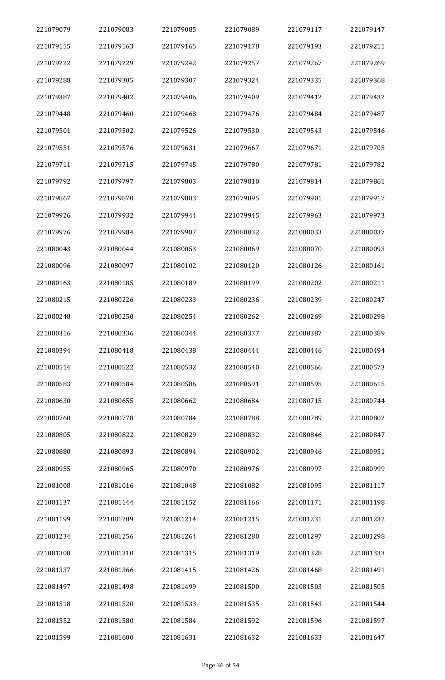| 221079079 | 221079083 | 221079085 | 221079089 | 221079117 | 221079147 |
|-----------|-----------|-----------|-----------|-----------|-----------|
| 221079155 | 221079163 | 221079165 | 221079178 | 221079193 | 221079211 |
| 221079222 | 221079229 | 221079242 | 221079257 | 221079267 | 221079269 |
| 221079288 | 221079305 | 221079307 | 221079324 | 221079335 | 221079368 |
| 221079387 | 221079402 | 221079406 | 221079409 | 221079412 | 221079432 |
| 221079448 | 221079460 | 221079468 | 221079476 | 221079484 | 221079487 |
| 221079501 | 221079502 | 221079526 | 221079530 | 221079543 | 221079546 |
| 221079551 | 221079576 | 221079631 | 221079667 | 221079671 | 221079705 |
| 221079711 | 221079715 | 221079745 | 221079780 | 221079781 | 221079782 |
| 221079792 | 221079797 | 221079803 | 221079810 | 221079814 | 221079861 |
| 221079867 | 221079870 | 221079883 | 221079895 | 221079901 | 221079917 |
| 221079926 | 221079932 | 221079944 | 221079945 | 221079963 | 221079973 |
| 221079976 | 221079984 | 221079987 | 221080032 | 221080033 | 221080037 |
| 221080043 | 221080044 | 221080053 | 221080069 | 221080070 | 221080093 |
| 221080096 | 221080097 | 221080102 | 221080120 | 221080126 | 221080161 |
| 221080163 | 221080185 | 221080189 | 221080199 | 221080202 | 221080211 |
| 221080215 | 221080226 | 221080233 | 221080236 | 221080239 | 221080247 |
| 221080248 | 221080250 | 221080254 | 221080262 | 221080269 | 221080298 |
| 221080316 | 221080336 | 221080344 | 221080377 | 221080387 | 221080389 |
| 221080394 | 221080418 | 221080438 | 221080444 | 221080446 | 221080494 |
| 221080514 | 221080522 | 221080532 | 221080540 | 221080566 | 221080573 |
| 221080583 | 221080584 | 221080586 | 221080591 | 221080595 | 221080615 |
| 221080630 | 221080655 | 221080662 | 221080684 | 221080715 | 221080744 |
| 221080760 | 221080778 | 221080784 | 221080788 | 221080789 | 221080802 |
| 221080805 | 221080822 | 221080829 | 221080832 | 221080846 | 221080847 |
| 221080880 | 221080893 | 221080894 | 221080902 | 221080946 | 221080951 |
| 221080955 | 221080965 | 221080970 | 221080976 | 221080997 | 221080999 |
| 221081008 | 221081016 | 221081048 | 221081082 | 221081095 | 221081117 |
| 221081137 | 221081144 | 221081152 | 221081166 | 221081171 | 221081198 |
| 221081199 | 221081209 | 221081214 | 221081215 | 221081231 | 221081232 |
| 221081234 | 221081256 | 221081264 | 221081280 | 221081297 | 221081298 |
| 221081308 | 221081310 | 221081315 | 221081319 | 221081328 | 221081333 |
| 221081337 | 221081366 | 221081415 | 221081426 | 221081468 | 221081491 |
| 221081497 | 221081498 | 221081499 | 221081500 | 221081503 | 221081505 |
| 221081518 | 221081520 | 221081533 | 221081535 | 221081543 | 221081544 |
| 221081552 | 221081580 | 221081584 | 221081592 | 221081596 | 221081597 |
| 221081599 | 221081600 | 221081631 | 221081632 | 221081633 | 221081647 |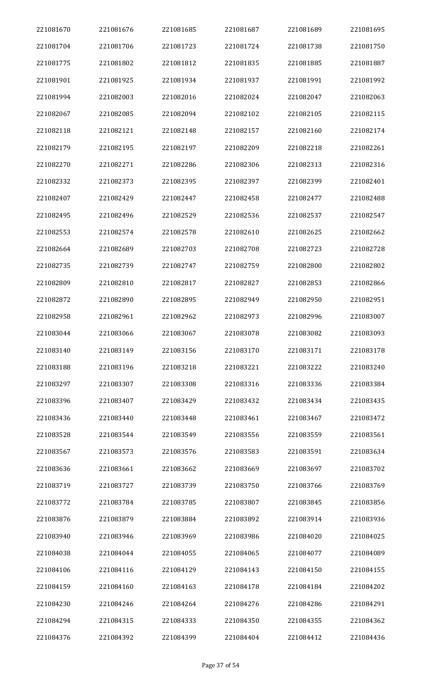| 221081670 | 221081676 | 221081685 | 221081687 | 221081689 | 221081695 |
|-----------|-----------|-----------|-----------|-----------|-----------|
| 221081704 | 221081706 | 221081723 | 221081724 | 221081738 | 221081750 |
| 221081775 | 221081802 | 221081812 | 221081835 | 221081885 | 221081887 |
| 221081901 | 221081925 | 221081934 | 221081937 | 221081991 | 221081992 |
| 221081994 | 221082003 | 221082016 | 221082024 | 221082047 | 221082063 |
| 221082067 | 221082085 | 221082094 | 221082102 | 221082105 | 221082115 |
| 221082118 | 221082121 | 221082148 | 221082157 | 221082160 | 221082174 |
| 221082179 | 221082195 | 221082197 | 221082209 | 221082218 | 221082261 |
| 221082270 | 221082271 | 221082286 | 221082306 | 221082313 | 221082316 |
| 221082332 | 221082373 | 221082395 | 221082397 | 221082399 | 221082401 |
| 221082407 | 221082429 | 221082447 | 221082458 | 221082477 | 221082488 |
| 221082495 | 221082496 | 221082529 | 221082536 | 221082537 | 221082547 |
| 221082553 | 221082574 | 221082578 | 221082610 | 221082625 | 221082662 |
| 221082664 | 221082689 | 221082703 | 221082708 | 221082723 | 221082728 |
| 221082735 | 221082739 | 221082747 | 221082759 | 221082800 | 221082802 |
| 221082809 | 221082810 | 221082817 | 221082827 | 221082853 | 221082866 |
| 221082872 | 221082890 | 221082895 | 221082949 | 221082950 | 221082951 |
| 221082958 | 221082961 | 221082962 | 221082973 | 221082996 | 221083007 |
| 221083044 | 221083066 | 221083067 | 221083078 | 221083082 | 221083093 |
| 221083140 | 221083149 | 221083156 | 221083170 | 221083171 | 221083178 |
| 221083188 | 221083196 | 221083218 | 221083221 | 221083222 | 221083240 |
| 221083297 | 221083307 | 221083308 | 221083316 | 221083336 | 221083384 |
| 221083396 | 221083407 | 221083429 | 221083432 | 221083434 | 221083435 |
| 221083436 | 221083440 | 221083448 | 221083461 | 221083467 | 221083472 |
| 221083528 | 221083544 | 221083549 | 221083556 | 221083559 | 221083561 |
| 221083567 | 221083573 | 221083576 | 221083583 | 221083591 | 221083634 |
| 221083636 | 221083661 | 221083662 | 221083669 | 221083697 | 221083702 |
| 221083719 | 221083727 | 221083739 | 221083750 | 221083766 | 221083769 |
| 221083772 | 221083784 | 221083785 | 221083807 | 221083845 | 221083856 |
| 221083876 | 221083879 | 221083884 | 221083892 | 221083914 | 221083936 |
| 221083940 | 221083946 | 221083969 | 221083986 | 221084020 | 221084025 |
| 221084038 | 221084044 | 221084055 | 221084065 | 221084077 | 221084089 |
| 221084106 | 221084116 | 221084129 | 221084143 | 221084150 | 221084155 |
| 221084159 | 221084160 | 221084163 | 221084178 | 221084184 | 221084202 |
| 221084230 | 221084246 | 221084264 | 221084276 | 221084286 | 221084291 |
| 221084294 | 221084315 | 221084333 | 221084350 | 221084355 | 221084362 |
| 221084376 | 221084392 | 221084399 | 221084404 | 221084412 | 221084436 |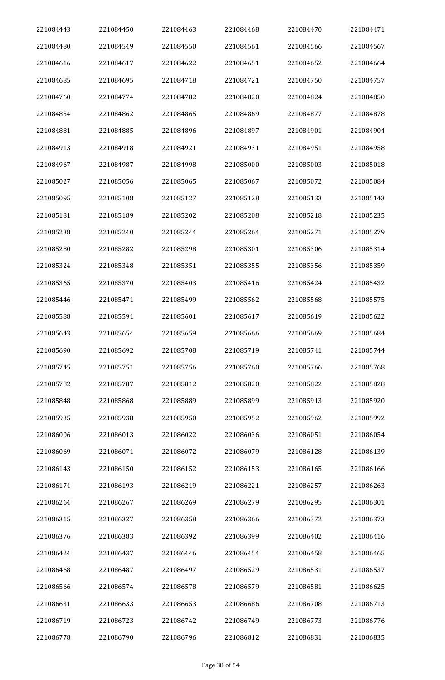| 221084443 | 221084450 | 221084463 | 221084468 | 221084470 | 221084471 |
|-----------|-----------|-----------|-----------|-----------|-----------|
| 221084480 | 221084549 | 221084550 | 221084561 | 221084566 | 221084567 |
| 221084616 | 221084617 | 221084622 | 221084651 | 221084652 | 221084664 |
| 221084685 | 221084695 | 221084718 | 221084721 | 221084750 | 221084757 |
| 221084760 | 221084774 | 221084782 | 221084820 | 221084824 | 221084850 |
| 221084854 | 221084862 | 221084865 | 221084869 | 221084877 | 221084878 |
| 221084881 | 221084885 | 221084896 | 221084897 | 221084901 | 221084904 |
| 221084913 | 221084918 | 221084921 | 221084931 | 221084951 | 221084958 |
| 221084967 | 221084987 | 221084998 | 221085000 | 221085003 | 221085018 |
| 221085027 | 221085056 | 221085065 | 221085067 | 221085072 | 221085084 |
| 221085095 | 221085108 | 221085127 | 221085128 | 221085133 | 221085143 |
| 221085181 | 221085189 | 221085202 | 221085208 | 221085218 | 221085235 |
| 221085238 | 221085240 | 221085244 | 221085264 | 221085271 | 221085279 |
| 221085280 | 221085282 | 221085298 | 221085301 | 221085306 | 221085314 |
| 221085324 | 221085348 | 221085351 | 221085355 | 221085356 | 221085359 |
| 221085365 | 221085370 | 221085403 | 221085416 | 221085424 | 221085432 |
| 221085446 | 221085471 | 221085499 | 221085562 | 221085568 | 221085575 |
| 221085588 | 221085591 | 221085601 | 221085617 | 221085619 | 221085622 |
| 221085643 | 221085654 | 221085659 | 221085666 | 221085669 | 221085684 |
| 221085690 | 221085692 | 221085708 | 221085719 | 221085741 | 221085744 |
| 221085745 | 221085751 | 221085756 | 221085760 | 221085766 | 221085768 |
| 221085782 | 221085787 | 221085812 | 221085820 | 221085822 | 221085828 |
| 221085848 | 221085868 | 221085889 | 221085899 | 221085913 | 221085920 |
| 221085935 | 221085938 | 221085950 | 221085952 | 221085962 | 221085992 |
| 221086006 | 221086013 | 221086022 | 221086036 | 221086051 | 221086054 |
| 221086069 | 221086071 | 221086072 | 221086079 | 221086128 | 221086139 |
| 221086143 | 221086150 | 221086152 | 221086153 | 221086165 | 221086166 |
| 221086174 | 221086193 | 221086219 | 221086221 | 221086257 | 221086263 |
| 221086264 | 221086267 | 221086269 | 221086279 | 221086295 | 221086301 |
| 221086315 | 221086327 | 221086358 | 221086366 | 221086372 | 221086373 |
| 221086376 | 221086383 | 221086392 | 221086399 | 221086402 | 221086416 |
| 221086424 | 221086437 | 221086446 | 221086454 | 221086458 | 221086465 |
| 221086468 | 221086487 | 221086497 | 221086529 | 221086531 | 221086537 |
| 221086566 | 221086574 | 221086578 | 221086579 | 221086581 | 221086625 |
| 221086631 | 221086633 | 221086653 | 221086686 | 221086708 | 221086713 |
| 221086719 | 221086723 | 221086742 | 221086749 | 221086773 | 221086776 |
| 221086778 | 221086790 | 221086796 | 221086812 | 221086831 | 221086835 |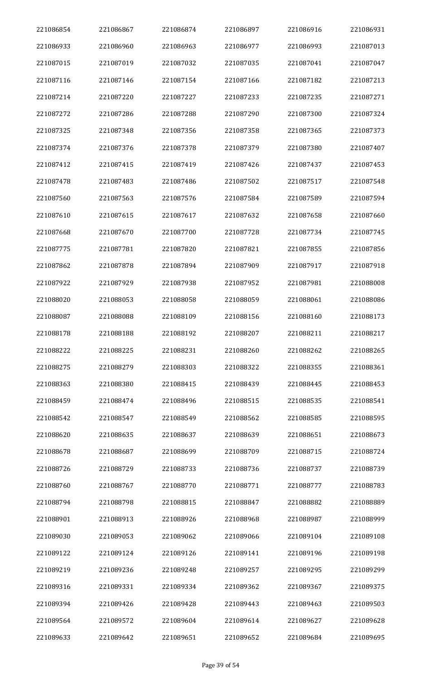| 221086854 | 221086867 | 221086874 | 221086897 | 221086916 | 221086931 |
|-----------|-----------|-----------|-----------|-----------|-----------|
| 221086933 | 221086960 | 221086963 | 221086977 | 221086993 | 221087013 |
| 221087015 | 221087019 | 221087032 | 221087035 | 221087041 | 221087047 |
| 221087116 | 221087146 | 221087154 | 221087166 | 221087182 | 221087213 |
| 221087214 | 221087220 | 221087227 | 221087233 | 221087235 | 221087271 |
| 221087272 | 221087286 | 221087288 | 221087290 | 221087300 | 221087324 |
| 221087325 | 221087348 | 221087356 | 221087358 | 221087365 | 221087373 |
| 221087374 | 221087376 | 221087378 | 221087379 | 221087380 | 221087407 |
| 221087412 | 221087415 | 221087419 | 221087426 | 221087437 | 221087453 |
| 221087478 | 221087483 | 221087486 | 221087502 | 221087517 | 221087548 |
| 221087560 | 221087563 | 221087576 | 221087584 | 221087589 | 221087594 |
| 221087610 | 221087615 | 221087617 | 221087632 | 221087658 | 221087660 |
| 221087668 | 221087670 | 221087700 | 221087728 | 221087734 | 221087745 |
| 221087775 | 221087781 | 221087820 | 221087821 | 221087855 | 221087856 |
| 221087862 | 221087878 | 221087894 | 221087909 | 221087917 | 221087918 |
| 221087922 | 221087929 | 221087938 | 221087952 | 221087981 | 221088008 |
| 221088020 | 221088053 | 221088058 | 221088059 | 221088061 | 221088086 |
| 221088087 | 221088088 | 221088109 | 221088156 | 221088160 | 221088173 |
| 221088178 | 221088188 | 221088192 | 221088207 | 221088211 | 221088217 |
| 221088222 | 221088225 | 221088231 | 221088260 | 221088262 | 221088265 |
| 221088275 | 221088279 | 221088303 | 221088322 | 221088355 | 221088361 |
| 221088363 | 221088380 | 221088415 | 221088439 | 221088445 | 221088453 |
| 221088459 | 221088474 | 221088496 | 221088515 | 221088535 | 221088541 |
| 221088542 | 221088547 | 221088549 | 221088562 | 221088585 | 221088595 |
| 221088620 | 221088635 | 221088637 | 221088639 | 221088651 | 221088673 |
| 221088678 | 221088687 | 221088699 | 221088709 | 221088715 | 221088724 |
| 221088726 | 221088729 | 221088733 | 221088736 | 221088737 | 221088739 |
| 221088760 | 221088767 | 221088770 | 221088771 | 221088777 | 221088783 |
| 221088794 | 221088798 | 221088815 | 221088847 | 221088882 | 221088889 |
| 221088901 | 221088913 | 221088926 | 221088968 | 221088987 | 221088999 |
| 221089030 | 221089053 | 221089062 | 221089066 | 221089104 | 221089108 |
| 221089122 | 221089124 | 221089126 | 221089141 | 221089196 | 221089198 |
| 221089219 | 221089236 | 221089248 | 221089257 | 221089295 | 221089299 |
| 221089316 | 221089331 | 221089334 | 221089362 | 221089367 | 221089375 |
| 221089394 | 221089426 | 221089428 | 221089443 | 221089463 | 221089503 |
| 221089564 | 221089572 | 221089604 | 221089614 | 221089627 | 221089628 |
| 221089633 | 221089642 | 221089651 | 221089652 | 221089684 | 221089695 |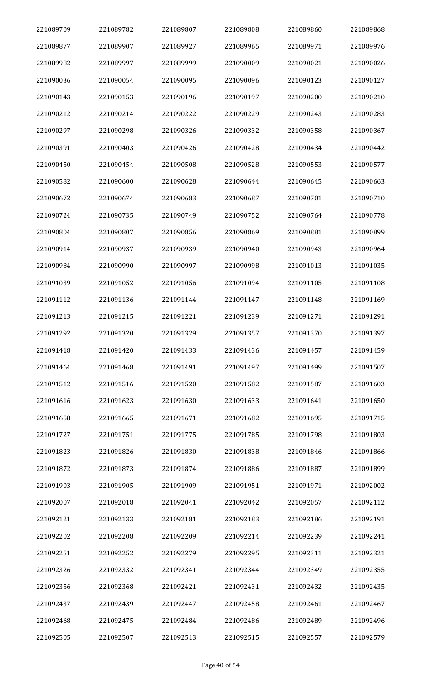| 221089709 | 221089782 | 221089807 | 221089808 | 221089860 | 221089868 |
|-----------|-----------|-----------|-----------|-----------|-----------|
| 221089877 | 221089907 | 221089927 | 221089965 | 221089971 | 221089976 |
| 221089982 | 221089997 | 221089999 | 221090009 | 221090021 | 221090026 |
| 221090036 | 221090054 | 221090095 | 221090096 | 221090123 | 221090127 |
| 221090143 | 221090153 | 221090196 | 221090197 | 221090200 | 221090210 |
| 221090212 | 221090214 | 221090222 | 221090229 | 221090243 | 221090283 |
| 221090297 | 221090298 | 221090326 | 221090332 | 221090358 | 221090367 |
| 221090391 | 221090403 | 221090426 | 221090428 | 221090434 | 221090442 |
| 221090450 | 221090454 | 221090508 | 221090528 | 221090553 | 221090577 |
| 221090582 | 221090600 | 221090628 | 221090644 | 221090645 | 221090663 |
| 221090672 | 221090674 | 221090683 | 221090687 | 221090701 | 221090710 |
| 221090724 | 221090735 | 221090749 | 221090752 | 221090764 | 221090778 |
| 221090804 | 221090807 | 221090856 | 221090869 | 221090881 | 221090899 |
| 221090914 | 221090937 | 221090939 | 221090940 | 221090943 | 221090964 |
| 221090984 | 221090990 | 221090997 | 221090998 | 221091013 | 221091035 |
| 221091039 | 221091052 | 221091056 | 221091094 | 221091105 | 221091108 |
| 221091112 | 221091136 | 221091144 | 221091147 | 221091148 | 221091169 |
| 221091213 | 221091215 | 221091221 | 221091239 | 221091271 | 221091291 |
| 221091292 | 221091320 | 221091329 | 221091357 | 221091370 | 221091397 |
| 221091418 | 221091420 | 221091433 | 221091436 | 221091457 | 221091459 |
| 221091464 | 221091468 | 221091491 | 221091497 | 221091499 | 221091507 |
| 221091512 | 221091516 | 221091520 | 221091582 | 221091587 | 221091603 |
| 221091616 | 221091623 | 221091630 | 221091633 | 221091641 | 221091650 |
| 221091658 | 221091665 | 221091671 | 221091682 | 221091695 | 221091715 |
| 221091727 | 221091751 | 221091775 | 221091785 | 221091798 | 221091803 |
| 221091823 | 221091826 | 221091830 | 221091838 | 221091846 | 221091866 |
| 221091872 | 221091873 | 221091874 | 221091886 | 221091887 | 221091899 |
| 221091903 | 221091905 | 221091909 | 221091951 | 221091971 | 221092002 |
| 221092007 | 221092018 | 221092041 | 221092042 | 221092057 | 221092112 |
| 221092121 | 221092133 | 221092181 | 221092183 | 221092186 | 221092191 |
| 221092202 | 221092208 | 221092209 | 221092214 | 221092239 | 221092241 |
| 221092251 | 221092252 | 221092279 | 221092295 | 221092311 | 221092321 |
| 221092326 | 221092332 | 221092341 | 221092344 | 221092349 | 221092355 |
| 221092356 | 221092368 | 221092421 | 221092431 | 221092432 | 221092435 |
| 221092437 | 221092439 | 221092447 | 221092458 | 221092461 | 221092467 |
| 221092468 | 221092475 | 221092484 | 221092486 | 221092489 | 221092496 |
| 221092505 | 221092507 | 221092513 | 221092515 | 221092557 | 221092579 |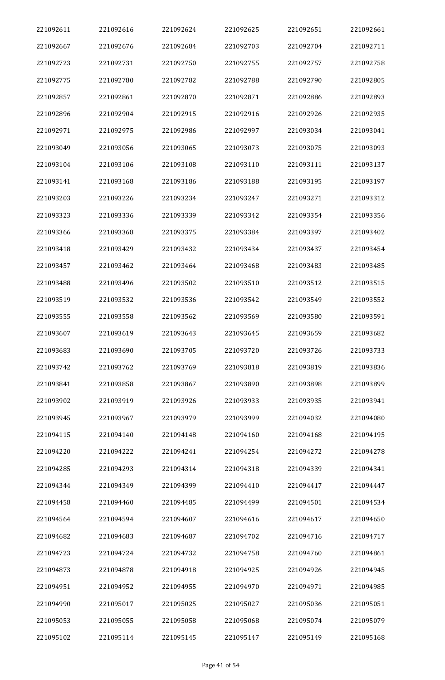| 221092611 | 221092616 | 221092624 | 221092625 | 221092651 | 221092661 |
|-----------|-----------|-----------|-----------|-----------|-----------|
| 221092667 | 221092676 | 221092684 | 221092703 | 221092704 | 221092711 |
| 221092723 | 221092731 | 221092750 | 221092755 | 221092757 | 221092758 |
| 221092775 | 221092780 | 221092782 | 221092788 | 221092790 | 221092805 |
| 221092857 | 221092861 | 221092870 | 221092871 | 221092886 | 221092893 |
| 221092896 | 221092904 | 221092915 | 221092916 | 221092926 | 221092935 |
| 221092971 | 221092975 | 221092986 | 221092997 | 221093034 | 221093041 |
| 221093049 | 221093056 | 221093065 | 221093073 | 221093075 | 221093093 |
| 221093104 | 221093106 | 221093108 | 221093110 | 221093111 | 221093137 |
| 221093141 | 221093168 | 221093186 | 221093188 | 221093195 | 221093197 |
| 221093203 | 221093226 | 221093234 | 221093247 | 221093271 | 221093312 |
| 221093323 | 221093336 | 221093339 | 221093342 | 221093354 | 221093356 |
| 221093366 | 221093368 | 221093375 | 221093384 | 221093397 | 221093402 |
| 221093418 | 221093429 | 221093432 | 221093434 | 221093437 | 221093454 |
| 221093457 | 221093462 | 221093464 | 221093468 | 221093483 | 221093485 |
| 221093488 | 221093496 | 221093502 | 221093510 | 221093512 | 221093515 |
| 221093519 | 221093532 | 221093536 | 221093542 | 221093549 | 221093552 |
| 221093555 | 221093558 | 221093562 | 221093569 | 221093580 | 221093591 |
| 221093607 | 221093619 | 221093643 | 221093645 | 221093659 | 221093682 |
| 221093683 | 221093690 | 221093705 | 221093720 | 221093726 | 221093733 |
| 221093742 | 221093762 | 221093769 | 221093818 | 221093819 | 221093836 |
| 221093841 | 221093858 | 221093867 | 221093890 | 221093898 | 221093899 |
| 221093902 | 221093919 | 221093926 | 221093933 | 221093935 | 221093941 |
| 221093945 | 221093967 | 221093979 | 221093999 | 221094032 | 221094080 |
| 221094115 | 221094140 | 221094148 | 221094160 | 221094168 | 221094195 |
| 221094220 | 221094222 | 221094241 | 221094254 | 221094272 | 221094278 |
| 221094285 | 221094293 | 221094314 | 221094318 | 221094339 | 221094341 |
| 221094344 | 221094349 | 221094399 | 221094410 | 221094417 | 221094447 |
| 221094458 | 221094460 | 221094485 | 221094499 | 221094501 | 221094534 |
| 221094564 | 221094594 | 221094607 | 221094616 | 221094617 | 221094650 |
| 221094682 | 221094683 | 221094687 | 221094702 | 221094716 | 221094717 |
| 221094723 | 221094724 | 221094732 | 221094758 | 221094760 | 221094861 |
| 221094873 | 221094878 | 221094918 | 221094925 | 221094926 | 221094945 |
| 221094951 | 221094952 | 221094955 | 221094970 | 221094971 | 221094985 |
| 221094990 | 221095017 | 221095025 | 221095027 | 221095036 | 221095051 |
| 221095053 | 221095055 | 221095058 | 221095068 | 221095074 | 221095079 |
| 221095102 | 221095114 | 221095145 | 221095147 | 221095149 | 221095168 |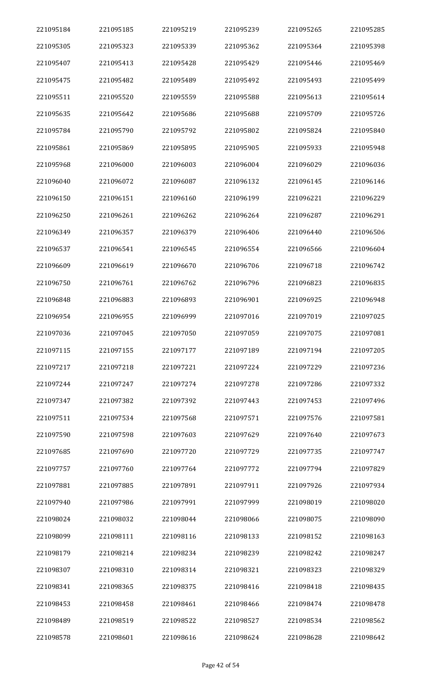| 221095184 | 221095185 | 221095219 | 221095239 | 221095265 | 221095285 |
|-----------|-----------|-----------|-----------|-----------|-----------|
| 221095305 | 221095323 | 221095339 | 221095362 | 221095364 | 221095398 |
| 221095407 | 221095413 | 221095428 | 221095429 | 221095446 | 221095469 |
| 221095475 | 221095482 | 221095489 | 221095492 | 221095493 | 221095499 |
| 221095511 | 221095520 | 221095559 | 221095588 | 221095613 | 221095614 |
| 221095635 | 221095642 | 221095686 | 221095688 | 221095709 | 221095726 |
| 221095784 | 221095790 | 221095792 | 221095802 | 221095824 | 221095840 |
| 221095861 | 221095869 | 221095895 | 221095905 | 221095933 | 221095948 |
| 221095968 | 221096000 | 221096003 | 221096004 | 221096029 | 221096036 |
| 221096040 | 221096072 | 221096087 | 221096132 | 221096145 | 221096146 |
| 221096150 | 221096151 | 221096160 | 221096199 | 221096221 | 221096229 |
| 221096250 | 221096261 | 221096262 | 221096264 | 221096287 | 221096291 |
| 221096349 | 221096357 | 221096379 | 221096406 | 221096440 | 221096506 |
| 221096537 | 221096541 | 221096545 | 221096554 | 221096566 | 221096604 |
| 221096609 | 221096619 | 221096670 | 221096706 | 221096718 | 221096742 |
| 221096750 | 221096761 | 221096762 | 221096796 | 221096823 | 221096835 |
| 221096848 | 221096883 | 221096893 | 221096901 | 221096925 | 221096948 |
| 221096954 | 221096955 | 221096999 | 221097016 | 221097019 | 221097025 |
| 221097036 | 221097045 | 221097050 | 221097059 | 221097075 | 221097081 |
| 221097115 | 221097155 | 221097177 | 221097189 | 221097194 | 221097205 |
| 221097217 | 221097218 | 221097221 | 221097224 | 221097229 | 221097236 |
| 221097244 | 221097247 | 221097274 | 221097278 | 221097286 | 221097332 |
| 221097347 | 221097382 | 221097392 | 221097443 | 221097453 | 221097496 |
| 221097511 | 221097534 | 221097568 | 221097571 | 221097576 | 221097581 |
| 221097590 | 221097598 | 221097603 | 221097629 | 221097640 | 221097673 |
| 221097685 | 221097690 | 221097720 | 221097729 | 221097735 | 221097747 |
| 221097757 | 221097760 | 221097764 | 221097772 | 221097794 | 221097829 |
| 221097881 | 221097885 | 221097891 | 221097911 | 221097926 | 221097934 |
| 221097940 | 221097986 | 221097991 | 221097999 | 221098019 | 221098020 |
| 221098024 | 221098032 | 221098044 | 221098066 | 221098075 | 221098090 |
| 221098099 | 221098111 | 221098116 | 221098133 | 221098152 | 221098163 |
| 221098179 | 221098214 | 221098234 | 221098239 | 221098242 | 221098247 |
| 221098307 | 221098310 | 221098314 | 221098321 | 221098323 | 221098329 |
| 221098341 | 221098365 | 221098375 | 221098416 | 221098418 | 221098435 |
| 221098453 | 221098458 | 221098461 | 221098466 | 221098474 | 221098478 |
| 221098489 | 221098519 | 221098522 | 221098527 | 221098534 | 221098562 |
| 221098578 | 221098601 | 221098616 | 221098624 | 221098628 | 221098642 |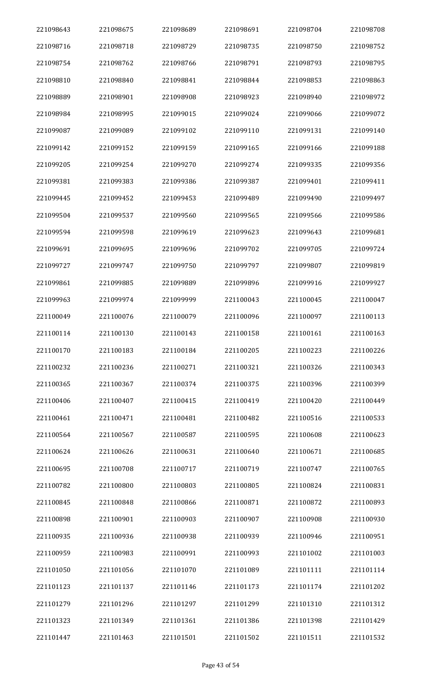| 221098643 | 221098675 | 221098689 | 221098691 | 221098704 | 221098708 |
|-----------|-----------|-----------|-----------|-----------|-----------|
| 221098716 | 221098718 | 221098729 | 221098735 | 221098750 | 221098752 |
| 221098754 | 221098762 | 221098766 | 221098791 | 221098793 | 221098795 |
| 221098810 | 221098840 | 221098841 | 221098844 | 221098853 | 221098863 |
| 221098889 | 221098901 | 221098908 | 221098923 | 221098940 | 221098972 |
| 221098984 | 221098995 | 221099015 | 221099024 | 221099066 | 221099072 |
| 221099087 | 221099089 | 221099102 | 221099110 | 221099131 | 221099140 |
| 221099142 | 221099152 | 221099159 | 221099165 | 221099166 | 221099188 |
| 221099205 | 221099254 | 221099270 | 221099274 | 221099335 | 221099356 |
| 221099381 | 221099383 | 221099386 | 221099387 | 221099401 | 221099411 |
| 221099445 | 221099452 | 221099453 | 221099489 | 221099490 | 221099497 |
| 221099504 | 221099537 | 221099560 | 221099565 | 221099566 | 221099586 |
| 221099594 | 221099598 | 221099619 | 221099623 | 221099643 | 221099681 |
| 221099691 | 221099695 | 221099696 | 221099702 | 221099705 | 221099724 |
| 221099727 | 221099747 | 221099750 | 221099797 | 221099807 | 221099819 |
| 221099861 | 221099885 | 221099889 | 221099896 | 221099916 | 221099927 |
| 221099963 | 221099974 | 221099999 | 221100043 | 221100045 | 221100047 |
| 221100049 | 221100076 | 221100079 | 221100096 | 221100097 | 221100113 |
| 221100114 | 221100130 | 221100143 | 221100158 | 221100161 | 221100163 |
| 221100170 | 221100183 | 221100184 | 221100205 | 221100223 | 221100226 |
| 221100232 | 221100236 | 221100271 | 221100321 | 221100326 | 221100343 |
| 221100365 | 221100367 | 221100374 | 221100375 | 221100396 | 221100399 |
| 221100406 | 221100407 | 221100415 | 221100419 | 221100420 | 221100449 |
| 221100461 | 221100471 | 221100481 | 221100482 | 221100516 | 221100533 |
| 221100564 | 221100567 | 221100587 | 221100595 | 221100608 | 221100623 |
| 221100624 | 221100626 | 221100631 | 221100640 | 221100671 | 221100685 |
| 221100695 | 221100708 | 221100717 | 221100719 | 221100747 | 221100765 |
| 221100782 | 221100800 | 221100803 | 221100805 | 221100824 | 221100831 |
| 221100845 | 221100848 | 221100866 | 221100871 | 221100872 | 221100893 |
| 221100898 | 221100901 | 221100903 | 221100907 | 221100908 | 221100930 |
| 221100935 | 221100936 | 221100938 | 221100939 | 221100946 | 221100951 |
| 221100959 | 221100983 | 221100991 | 221100993 | 221101002 | 221101003 |
| 221101050 | 221101056 | 221101070 | 221101089 | 221101111 | 221101114 |
| 221101123 | 221101137 | 221101146 | 221101173 | 221101174 | 221101202 |
| 221101279 | 221101296 | 221101297 | 221101299 | 221101310 | 221101312 |
| 221101323 | 221101349 | 221101361 | 221101386 | 221101398 | 221101429 |
| 221101447 | 221101463 | 221101501 | 221101502 | 221101511 | 221101532 |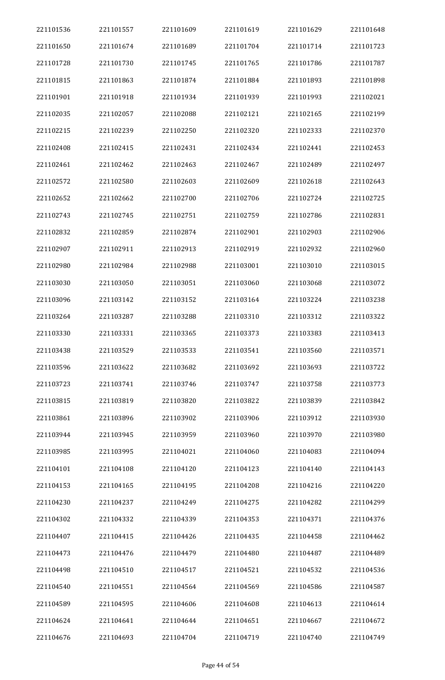| 221101536 | 221101557 | 221101609 | 221101619 | 221101629 | 221101648 |
|-----------|-----------|-----------|-----------|-----------|-----------|
| 221101650 | 221101674 | 221101689 | 221101704 | 221101714 | 221101723 |
| 221101728 | 221101730 | 221101745 | 221101765 | 221101786 | 221101787 |
| 221101815 | 221101863 | 221101874 | 221101884 | 221101893 | 221101898 |
| 221101901 | 221101918 | 221101934 | 221101939 | 221101993 | 221102021 |
| 221102035 | 221102057 | 221102088 | 221102121 | 221102165 | 221102199 |
| 221102215 | 221102239 | 221102250 | 221102320 | 221102333 | 221102370 |
| 221102408 | 221102415 | 221102431 | 221102434 | 221102441 | 221102453 |
| 221102461 | 221102462 | 221102463 | 221102467 | 221102489 | 221102497 |
| 221102572 | 221102580 | 221102603 | 221102609 | 221102618 | 221102643 |
| 221102652 | 221102662 | 221102700 | 221102706 | 221102724 | 221102725 |
| 221102743 | 221102745 | 221102751 | 221102759 | 221102786 | 221102831 |
| 221102832 | 221102859 | 221102874 | 221102901 | 221102903 | 221102906 |
| 221102907 | 221102911 | 221102913 | 221102919 | 221102932 | 221102960 |
| 221102980 | 221102984 | 221102988 | 221103001 | 221103010 | 221103015 |
| 221103030 | 221103050 | 221103051 | 221103060 | 221103068 | 221103072 |
| 221103096 | 221103142 | 221103152 | 221103164 | 221103224 | 221103238 |
| 221103264 | 221103287 | 221103288 | 221103310 | 221103312 | 221103322 |
| 221103330 | 221103331 | 221103365 | 221103373 | 221103383 | 221103413 |
| 221103438 | 221103529 | 221103533 | 221103541 | 221103560 | 221103571 |
| 221103596 | 221103622 | 221103682 | 221103692 | 221103693 | 221103722 |
| 221103723 | 221103741 | 221103746 | 221103747 | 221103758 | 221103773 |
| 221103815 | 221103819 | 221103820 | 221103822 | 221103839 | 221103842 |
| 221103861 | 221103896 | 221103902 | 221103906 | 221103912 | 221103930 |
| 221103944 | 221103945 | 221103959 | 221103960 | 221103970 | 221103980 |
| 221103985 | 221103995 | 221104021 | 221104060 | 221104083 | 221104094 |
| 221104101 | 221104108 | 221104120 | 221104123 | 221104140 | 221104143 |
| 221104153 | 221104165 | 221104195 | 221104208 | 221104216 | 221104220 |
| 221104230 | 221104237 | 221104249 | 221104275 | 221104282 | 221104299 |
| 221104302 | 221104332 | 221104339 | 221104353 | 221104371 | 221104376 |
| 221104407 | 221104415 | 221104426 | 221104435 | 221104458 | 221104462 |
| 221104473 | 221104476 | 221104479 | 221104480 | 221104487 | 221104489 |
| 221104498 | 221104510 | 221104517 | 221104521 | 221104532 | 221104536 |
| 221104540 | 221104551 | 221104564 | 221104569 | 221104586 | 221104587 |
| 221104589 | 221104595 | 221104606 | 221104608 | 221104613 | 221104614 |
| 221104624 | 221104641 | 221104644 | 221104651 | 221104667 | 221104672 |
| 221104676 | 221104693 | 221104704 | 221104719 | 221104740 | 221104749 |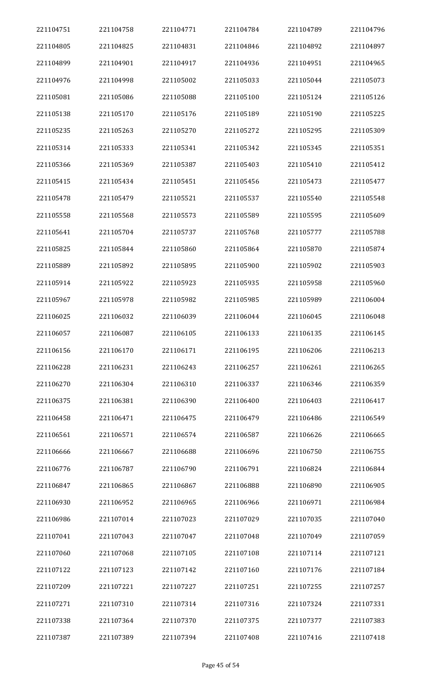| 221104751 | 221104758 | 221104771 | 221104784 | 221104789 | 221104796 |
|-----------|-----------|-----------|-----------|-----------|-----------|
| 221104805 | 221104825 | 221104831 | 221104846 | 221104892 | 221104897 |
| 221104899 | 221104901 | 221104917 | 221104936 | 221104951 | 221104965 |
| 221104976 | 221104998 | 221105002 | 221105033 | 221105044 | 221105073 |
| 221105081 | 221105086 | 221105088 | 221105100 | 221105124 | 221105126 |
| 221105138 | 221105170 | 221105176 | 221105189 | 221105190 | 221105225 |
| 221105235 | 221105263 | 221105270 | 221105272 | 221105295 | 221105309 |
| 221105314 | 221105333 | 221105341 | 221105342 | 221105345 | 221105351 |
| 221105366 | 221105369 | 221105387 | 221105403 | 221105410 | 221105412 |
| 221105415 | 221105434 | 221105451 | 221105456 | 221105473 | 221105477 |
| 221105478 | 221105479 | 221105521 | 221105537 | 221105540 | 221105548 |
| 221105558 | 221105568 | 221105573 | 221105589 | 221105595 | 221105609 |
| 221105641 | 221105704 | 221105737 | 221105768 | 221105777 | 221105788 |
| 221105825 | 221105844 | 221105860 | 221105864 | 221105870 | 221105874 |
| 221105889 | 221105892 | 221105895 | 221105900 | 221105902 | 221105903 |
| 221105914 | 221105922 | 221105923 | 221105935 | 221105958 | 221105960 |
| 221105967 | 221105978 | 221105982 | 221105985 | 221105989 | 221106004 |
| 221106025 | 221106032 | 221106039 | 221106044 | 221106045 | 221106048 |
| 221106057 | 221106087 | 221106105 | 221106133 | 221106135 | 221106145 |
| 221106156 | 221106170 | 221106171 | 221106195 | 221106206 | 221106213 |
| 221106228 | 221106231 | 221106243 | 221106257 | 221106261 | 221106265 |
| 221106270 | 221106304 | 221106310 | 221106337 | 221106346 | 221106359 |
| 221106375 | 221106381 | 221106390 | 221106400 | 221106403 | 221106417 |
| 221106458 | 221106471 | 221106475 | 221106479 | 221106486 | 221106549 |
| 221106561 | 221106571 | 221106574 | 221106587 | 221106626 | 221106665 |
| 221106666 | 221106667 | 221106688 | 221106696 | 221106750 | 221106755 |
| 221106776 | 221106787 | 221106790 | 221106791 | 221106824 | 221106844 |
| 221106847 | 221106865 | 221106867 | 221106888 | 221106890 | 221106905 |
| 221106930 | 221106952 | 221106965 | 221106966 | 221106971 | 221106984 |
| 221106986 | 221107014 | 221107023 | 221107029 | 221107035 | 221107040 |
| 221107041 | 221107043 | 221107047 | 221107048 | 221107049 | 221107059 |
| 221107060 | 221107068 | 221107105 | 221107108 | 221107114 | 221107121 |
| 221107122 | 221107123 | 221107142 | 221107160 | 221107176 | 221107184 |
| 221107209 | 221107221 | 221107227 | 221107251 | 221107255 | 221107257 |
| 221107271 | 221107310 | 221107314 | 221107316 | 221107324 | 221107331 |
| 221107338 | 221107364 | 221107370 | 221107375 | 221107377 | 221107383 |
| 221107387 | 221107389 | 221107394 | 221107408 | 221107416 | 221107418 |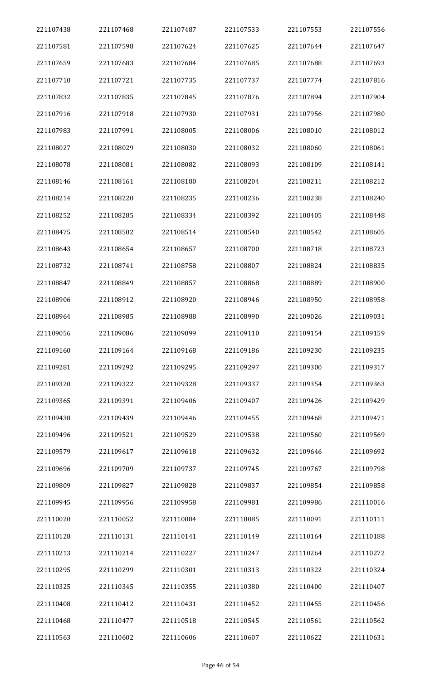| 221107438 | 221107468 | 221107487 | 221107533 | 221107553 | 221107556 |
|-----------|-----------|-----------|-----------|-----------|-----------|
| 221107581 | 221107598 | 221107624 | 221107625 | 221107644 | 221107647 |
| 221107659 | 221107683 | 221107684 | 221107685 | 221107688 | 221107693 |
| 221107710 | 221107721 | 221107735 | 221107737 | 221107774 | 221107816 |
| 221107832 | 221107835 | 221107845 | 221107876 | 221107894 | 221107904 |
| 221107916 | 221107918 | 221107930 | 221107931 | 221107956 | 221107980 |
| 221107983 | 221107991 | 221108005 | 221108006 | 221108010 | 221108012 |
| 221108027 | 221108029 | 221108030 | 221108032 | 221108060 | 221108061 |
| 221108078 | 221108081 | 221108082 | 221108093 | 221108109 | 221108141 |
| 221108146 | 221108161 | 221108180 | 221108204 | 221108211 | 221108212 |
| 221108214 | 221108220 | 221108235 | 221108236 | 221108238 | 221108240 |
| 221108252 | 221108285 | 221108334 | 221108392 | 221108405 | 221108448 |
| 221108475 | 221108502 | 221108514 | 221108540 | 221108542 | 221108605 |
| 221108643 | 221108654 | 221108657 | 221108700 | 221108718 | 221108723 |
| 221108732 | 221108741 | 221108758 | 221108807 | 221108824 | 221108835 |
| 221108847 | 221108849 | 221108857 | 221108868 | 221108889 | 221108900 |
| 221108906 | 221108912 | 221108920 | 221108946 | 221108950 | 221108958 |
| 221108964 | 221108985 | 221108988 | 221108990 | 221109026 | 221109031 |
| 221109056 | 221109086 | 221109099 | 221109110 | 221109154 | 221109159 |
| 221109160 | 221109164 | 221109168 | 221109186 | 221109230 | 221109235 |
| 221109281 | 221109292 | 221109295 | 221109297 | 221109300 | 221109317 |
| 221109320 | 221109322 | 221109328 | 221109337 | 221109354 | 221109363 |
| 221109365 | 221109391 | 221109406 | 221109407 | 221109426 | 221109429 |
| 221109438 | 221109439 | 221109446 | 221109455 | 221109468 | 221109471 |
| 221109496 | 221109521 | 221109529 | 221109538 | 221109560 | 221109569 |
| 221109579 | 221109617 | 221109618 | 221109632 | 221109646 | 221109692 |
| 221109696 | 221109709 | 221109737 | 221109745 | 221109767 | 221109798 |
| 221109809 | 221109827 | 221109828 | 221109837 | 221109854 | 221109858 |
| 221109945 | 221109956 | 221109958 | 221109981 | 221109986 | 221110016 |
| 221110020 | 221110052 | 221110084 | 221110085 | 221110091 | 221110111 |
| 221110128 | 221110131 | 221110141 | 221110149 | 221110164 | 221110188 |
| 221110213 | 221110214 | 221110227 | 221110247 | 221110264 | 221110272 |
| 221110295 | 221110299 | 221110301 | 221110313 | 221110322 | 221110324 |
| 221110325 | 221110345 | 221110355 | 221110380 | 221110400 | 221110407 |
| 221110408 | 221110412 | 221110431 | 221110452 | 221110455 | 221110456 |
| 221110468 | 221110477 | 221110518 | 221110545 | 221110561 | 221110562 |
| 221110563 | 221110602 | 221110606 | 221110607 | 221110622 | 221110631 |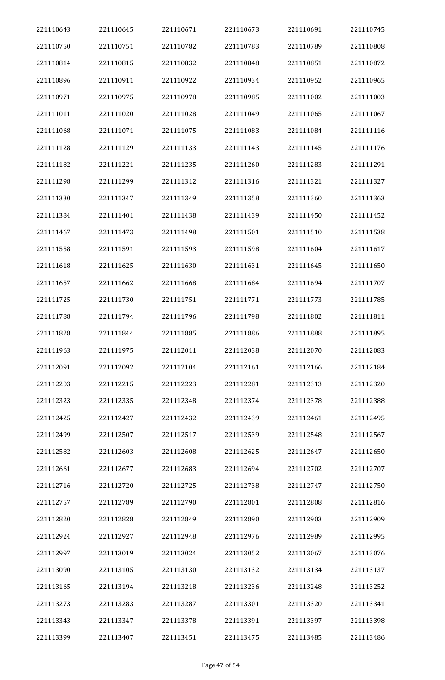| 221110643 | 221110645 | 221110671 | 221110673 | 221110691 | 221110745 |
|-----------|-----------|-----------|-----------|-----------|-----------|
| 221110750 | 221110751 | 221110782 | 221110783 | 221110789 | 221110808 |
| 221110814 | 221110815 | 221110832 | 221110848 | 221110851 | 221110872 |
| 221110896 | 221110911 | 221110922 | 221110934 | 221110952 | 221110965 |
| 221110971 | 221110975 | 221110978 | 221110985 | 221111002 | 221111003 |
| 221111011 | 221111020 | 221111028 | 221111049 | 221111065 | 221111067 |
| 221111068 | 221111071 | 221111075 | 221111083 | 221111084 | 221111116 |
| 221111128 | 221111129 | 221111133 | 221111143 | 221111145 | 221111176 |
| 221111182 | 221111221 | 221111235 | 221111260 | 221111283 | 221111291 |
| 221111298 | 221111299 | 221111312 | 221111316 | 221111321 | 221111327 |
| 221111330 | 221111347 | 221111349 | 221111358 | 221111360 | 221111363 |
| 221111384 | 221111401 | 221111438 | 221111439 | 221111450 | 221111452 |
| 221111467 | 221111473 | 221111498 | 221111501 | 221111510 | 221111538 |
| 221111558 | 221111591 | 221111593 | 221111598 | 221111604 | 221111617 |
| 221111618 | 221111625 | 221111630 | 221111631 | 221111645 | 221111650 |
| 221111657 | 221111662 | 221111668 | 221111684 | 221111694 | 221111707 |
| 221111725 | 221111730 | 221111751 | 221111771 | 221111773 | 221111785 |
| 221111788 | 221111794 | 221111796 | 221111798 | 221111802 | 221111811 |
| 221111828 | 221111844 | 221111885 | 221111886 | 221111888 | 221111895 |
| 221111963 | 221111975 | 221112011 | 221112038 | 221112070 | 221112083 |
| 221112091 | 221112092 | 221112104 | 221112161 | 221112166 | 221112184 |
| 221112203 | 221112215 | 221112223 | 221112281 | 221112313 | 221112320 |
| 221112323 | 221112335 | 221112348 | 221112374 | 221112378 | 221112388 |
| 221112425 | 221112427 | 221112432 | 221112439 | 221112461 | 221112495 |
| 221112499 | 221112507 | 221112517 | 221112539 | 221112548 | 221112567 |
| 221112582 | 221112603 | 221112608 | 221112625 | 221112647 | 221112650 |
| 221112661 | 221112677 | 221112683 | 221112694 | 221112702 | 221112707 |
| 221112716 | 221112720 | 221112725 | 221112738 | 221112747 | 221112750 |
| 221112757 | 221112789 | 221112790 | 221112801 | 221112808 | 221112816 |
| 221112820 | 221112828 | 221112849 | 221112890 | 221112903 | 221112909 |
| 221112924 | 221112927 | 221112948 | 221112976 | 221112989 | 221112995 |
| 221112997 | 221113019 | 221113024 | 221113052 | 221113067 | 221113076 |
| 221113090 | 221113105 | 221113130 | 221113132 | 221113134 | 221113137 |
| 221113165 | 221113194 | 221113218 | 221113236 | 221113248 | 221113252 |
| 221113273 | 221113283 | 221113287 | 221113301 | 221113320 | 221113341 |
| 221113343 | 221113347 | 221113378 | 221113391 | 221113397 | 221113398 |
| 221113399 | 221113407 | 221113451 | 221113475 | 221113485 | 221113486 |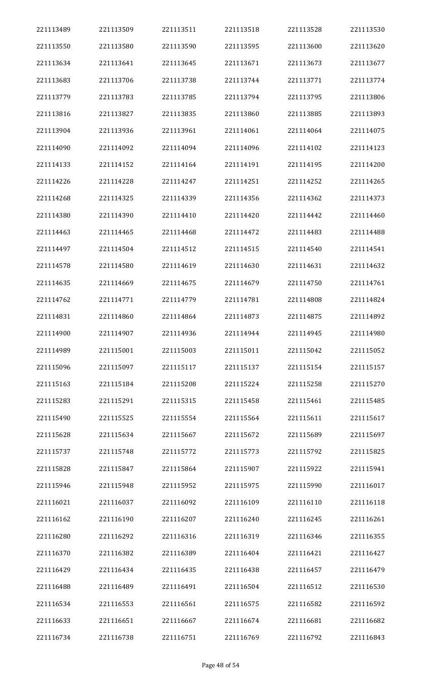| 221113489 | 221113509 | 221113511 | 221113518 | 221113528 | 221113530 |
|-----------|-----------|-----------|-----------|-----------|-----------|
| 221113550 | 221113580 | 221113590 | 221113595 | 221113600 | 221113620 |
| 221113634 | 221113641 | 221113645 | 221113671 | 221113673 | 221113677 |
| 221113683 | 221113706 | 221113738 | 221113744 | 221113771 | 221113774 |
| 221113779 | 221113783 | 221113785 | 221113794 | 221113795 | 221113806 |
| 221113816 | 221113827 | 221113835 | 221113860 | 221113885 | 221113893 |
| 221113904 | 221113936 | 221113961 | 221114061 | 221114064 | 221114075 |
| 221114090 | 221114092 | 221114094 | 221114096 | 221114102 | 221114123 |
| 221114133 | 221114152 | 221114164 | 221114191 | 221114195 | 221114200 |
| 221114226 | 221114228 | 221114247 | 221114251 | 221114252 | 221114265 |
| 221114268 | 221114325 | 221114339 | 221114356 | 221114362 | 221114373 |
| 221114380 | 221114390 | 221114410 | 221114420 | 221114442 | 221114460 |
| 221114463 | 221114465 | 221114468 | 221114472 | 221114483 | 221114488 |
| 221114497 | 221114504 | 221114512 | 221114515 | 221114540 | 221114541 |
| 221114578 | 221114580 | 221114619 | 221114630 | 221114631 | 221114632 |
| 221114635 | 221114669 | 221114675 | 221114679 | 221114750 | 221114761 |
| 221114762 | 221114771 | 221114779 | 221114781 | 221114808 | 221114824 |
| 221114831 | 221114860 | 221114864 | 221114873 | 221114875 | 221114892 |
| 221114900 | 221114907 | 221114936 | 221114944 | 221114945 | 221114980 |
| 221114989 | 221115001 | 221115003 | 221115011 | 221115042 | 221115052 |
| 221115096 | 221115097 | 221115117 | 221115137 | 221115154 | 221115157 |
| 221115163 | 221115184 | 221115208 | 221115224 | 221115258 | 221115270 |
| 221115283 | 221115291 | 221115315 | 221115458 | 221115461 | 221115485 |
| 221115490 | 221115525 | 221115554 | 221115564 | 221115611 | 221115617 |
| 221115628 | 221115634 | 221115667 | 221115672 | 221115689 | 221115697 |
| 221115737 | 221115748 | 221115772 | 221115773 | 221115792 | 221115825 |
| 221115828 | 221115847 | 221115864 | 221115907 | 221115922 | 221115941 |
| 221115946 | 221115948 | 221115952 | 221115975 | 221115990 | 221116017 |
| 221116021 | 221116037 | 221116092 | 221116109 | 221116110 | 221116118 |
| 221116162 | 221116190 | 221116207 | 221116240 | 221116245 | 221116261 |
| 221116280 | 221116292 | 221116316 | 221116319 | 221116346 | 221116355 |
| 221116370 | 221116382 | 221116389 | 221116404 | 221116421 | 221116427 |
| 221116429 | 221116434 | 221116435 | 221116438 | 221116457 | 221116479 |
| 221116488 | 221116489 | 221116491 | 221116504 | 221116512 | 221116530 |
| 221116534 | 221116553 | 221116561 | 221116575 | 221116582 | 221116592 |
| 221116633 | 221116651 | 221116667 | 221116674 | 221116681 | 221116682 |
| 221116734 | 221116738 | 221116751 | 221116769 | 221116792 | 221116843 |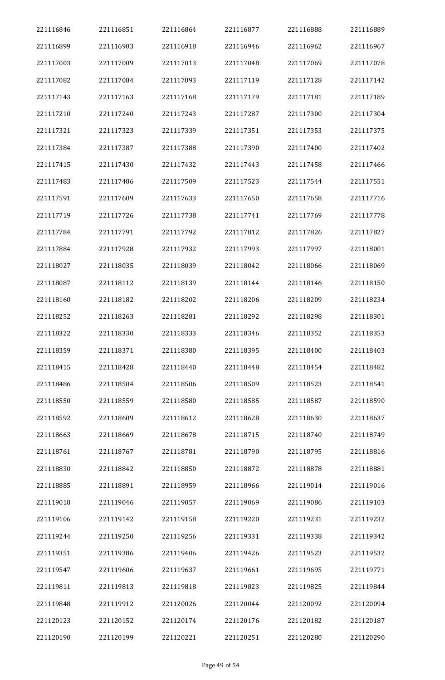| 221116846 | 221116851 | 221116864 | 221116877 | 221116888 | 221116889 |
|-----------|-----------|-----------|-----------|-----------|-----------|
| 221116899 | 221116903 | 221116918 | 221116946 | 221116962 | 221116967 |
| 221117003 | 221117009 | 221117013 | 221117048 | 221117069 | 221117078 |
| 221117082 | 221117084 | 221117093 | 221117119 | 221117128 | 221117142 |
| 221117143 | 221117163 | 221117168 | 221117179 | 221117181 | 221117189 |
| 221117210 | 221117240 | 221117243 | 221117287 | 221117300 | 221117304 |
| 221117321 | 221117323 | 221117339 | 221117351 | 221117353 | 221117375 |
| 221117384 | 221117387 | 221117388 | 221117390 | 221117400 | 221117402 |
| 221117415 | 221117430 | 221117432 | 221117443 | 221117458 | 221117466 |
| 221117483 | 221117486 | 221117509 | 221117523 | 221117544 | 221117551 |
| 221117591 | 221117609 | 221117633 | 221117650 | 221117658 | 221117716 |
| 221117719 | 221117726 | 221117738 | 221117741 | 221117769 | 221117778 |
| 221117784 | 221117791 | 221117792 | 221117812 | 221117826 | 221117827 |
| 221117884 | 221117928 | 221117932 | 221117993 | 221117997 | 221118001 |
| 221118027 | 221118035 | 221118039 | 221118042 | 221118066 | 221118069 |
| 221118087 | 221118112 | 221118139 | 221118144 | 221118146 | 221118150 |
| 221118160 | 221118182 | 221118202 | 221118206 | 221118209 | 221118234 |
| 221118252 | 221118263 | 221118281 | 221118292 | 221118298 | 221118301 |
| 221118322 | 221118330 | 221118333 | 221118346 | 221118352 | 221118353 |
| 221118359 | 221118371 | 221118380 | 221118395 | 221118400 | 221118403 |
| 221118415 | 221118428 | 221118440 | 221118448 | 221118454 | 221118482 |
| 221118486 | 221118504 | 221118506 | 221118509 | 221118523 | 221118541 |
| 221118550 | 221118559 | 221118580 | 221118585 | 221118587 | 221118590 |
| 221118592 | 221118609 | 221118612 | 221118628 | 221118630 | 221118637 |
| 221118663 | 221118669 | 221118678 | 221118715 | 221118740 | 221118749 |
| 221118761 | 221118767 | 221118781 | 221118790 | 221118795 | 221118816 |
| 221118830 | 221118842 | 221118850 | 221118872 | 221118878 | 221118881 |
| 221118885 | 221118891 | 221118959 | 221118966 | 221119014 | 221119016 |
| 221119018 | 221119046 | 221119057 | 221119069 | 221119086 | 221119103 |
| 221119106 | 221119142 | 221119158 | 221119220 | 221119231 | 221119232 |
| 221119244 | 221119250 | 221119256 | 221119331 | 221119338 | 221119342 |
| 221119351 | 221119386 | 221119406 | 221119426 | 221119523 | 221119532 |
| 221119547 | 221119606 | 221119637 | 221119661 | 221119695 | 221119771 |
| 221119811 | 221119813 | 221119818 | 221119823 | 221119825 | 221119844 |
| 221119848 | 221119912 | 221120026 | 221120044 | 221120092 | 221120094 |
| 221120123 | 221120152 | 221120174 | 221120176 | 221120182 | 221120187 |
| 221120190 | 221120199 | 221120221 | 221120251 | 221120280 | 221120290 |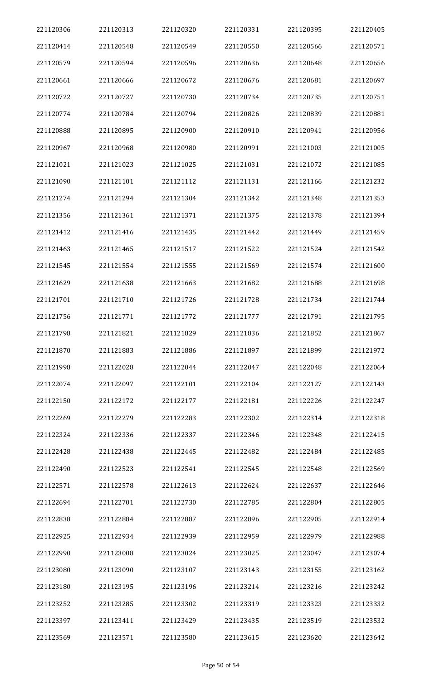| 221120306 | 221120313 | 221120320 | 221120331 | 221120395 | 221120405 |
|-----------|-----------|-----------|-----------|-----------|-----------|
| 221120414 | 221120548 | 221120549 | 221120550 | 221120566 | 221120571 |
| 221120579 | 221120594 | 221120596 | 221120636 | 221120648 | 221120656 |
| 221120661 | 221120666 | 221120672 | 221120676 | 221120681 | 221120697 |
| 221120722 | 221120727 | 221120730 | 221120734 | 221120735 | 221120751 |
| 221120774 | 221120784 | 221120794 | 221120826 | 221120839 | 221120881 |
| 221120888 | 221120895 | 221120900 | 221120910 | 221120941 | 221120956 |
| 221120967 | 221120968 | 221120980 | 221120991 | 221121003 | 221121005 |
| 221121021 | 221121023 | 221121025 | 221121031 | 221121072 | 221121085 |
| 221121090 | 221121101 | 221121112 | 221121131 | 221121166 | 221121232 |
| 221121274 | 221121294 | 221121304 | 221121342 | 221121348 | 221121353 |
| 221121356 | 221121361 | 221121371 | 221121375 | 221121378 | 221121394 |
| 221121412 | 221121416 | 221121435 | 221121442 | 221121449 | 221121459 |
| 221121463 | 221121465 | 221121517 | 221121522 | 221121524 | 221121542 |
| 221121545 | 221121554 | 221121555 | 221121569 | 221121574 | 221121600 |
| 221121629 | 221121638 | 221121663 | 221121682 | 221121688 | 221121698 |
| 221121701 | 221121710 | 221121726 | 221121728 | 221121734 | 221121744 |
| 221121756 | 221121771 | 221121772 | 221121777 | 221121791 | 221121795 |
| 221121798 | 221121821 | 221121829 | 221121836 | 221121852 | 221121867 |
| 221121870 | 221121883 | 221121886 | 221121897 | 221121899 | 221121972 |
| 221121998 | 221122028 | 221122044 | 221122047 | 221122048 | 221122064 |
| 221122074 | 221122097 | 221122101 | 221122104 | 221122127 | 221122143 |
| 221122150 | 221122172 | 221122177 | 221122181 | 221122226 | 221122247 |
| 221122269 | 221122279 | 221122283 | 221122302 | 221122314 | 221122318 |
| 221122324 | 221122336 | 221122337 | 221122346 | 221122348 | 221122415 |
| 221122428 | 221122438 | 221122445 | 221122482 | 221122484 | 221122485 |
| 221122490 | 221122523 | 221122541 | 221122545 | 221122548 | 221122569 |
| 221122571 | 221122578 | 221122613 | 221122624 | 221122637 | 221122646 |
| 221122694 | 221122701 | 221122730 | 221122785 | 221122804 | 221122805 |
| 221122838 | 221122884 | 221122887 | 221122896 | 221122905 | 221122914 |
| 221122925 | 221122934 | 221122939 | 221122959 | 221122979 | 221122988 |
| 221122990 | 221123008 | 221123024 | 221123025 | 221123047 | 221123074 |
| 221123080 | 221123090 | 221123107 | 221123143 | 221123155 | 221123162 |
| 221123180 | 221123195 | 221123196 | 221123214 | 221123216 | 221123242 |
| 221123252 | 221123285 | 221123302 | 221123319 | 221123323 | 221123332 |
| 221123397 | 221123411 | 221123429 | 221123435 | 221123519 | 221123532 |
| 221123569 | 221123571 | 221123580 | 221123615 | 221123620 | 221123642 |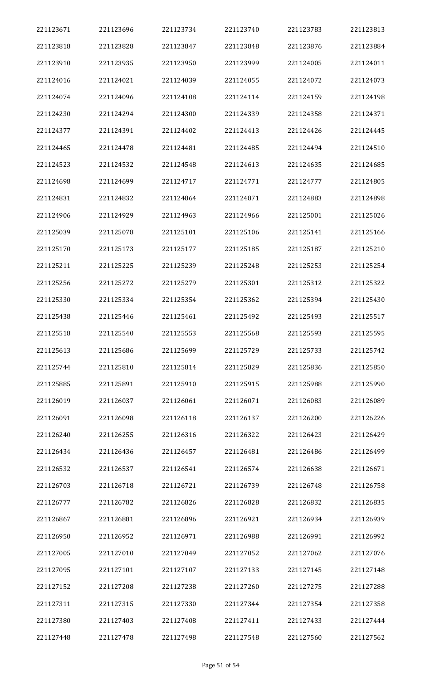| 221123671 | 221123696 | 221123734 | 221123740 | 221123783 | 221123813 |
|-----------|-----------|-----------|-----------|-----------|-----------|
| 221123818 | 221123828 | 221123847 | 221123848 | 221123876 | 221123884 |
| 221123910 | 221123935 | 221123950 | 221123999 | 221124005 | 221124011 |
| 221124016 | 221124021 | 221124039 | 221124055 | 221124072 | 221124073 |
| 221124074 | 221124096 | 221124108 | 221124114 | 221124159 | 221124198 |
| 221124230 | 221124294 | 221124300 | 221124339 | 221124358 | 221124371 |
| 221124377 | 221124391 | 221124402 | 221124413 | 221124426 | 221124445 |
| 221124465 | 221124478 | 221124481 | 221124485 | 221124494 | 221124510 |
| 221124523 | 221124532 | 221124548 | 221124613 | 221124635 | 221124685 |
| 221124698 | 221124699 | 221124717 | 221124771 | 221124777 | 221124805 |
| 221124831 | 221124832 | 221124864 | 221124871 | 221124883 | 221124898 |
| 221124906 | 221124929 | 221124963 | 221124966 | 221125001 | 221125026 |
| 221125039 | 221125078 | 221125101 | 221125106 | 221125141 | 221125166 |
| 221125170 | 221125173 | 221125177 | 221125185 | 221125187 | 221125210 |
| 221125211 | 221125225 | 221125239 | 221125248 | 221125253 | 221125254 |
| 221125256 | 221125272 | 221125279 | 221125301 | 221125312 | 221125322 |
| 221125330 | 221125334 | 221125354 | 221125362 | 221125394 | 221125430 |
| 221125438 | 221125446 | 221125461 | 221125492 | 221125493 | 221125517 |
| 221125518 | 221125540 | 221125553 | 221125568 | 221125593 | 221125595 |
| 221125613 | 221125686 | 221125699 | 221125729 | 221125733 | 221125742 |
| 221125744 | 221125810 | 221125814 | 221125829 | 221125836 | 221125850 |
| 221125885 | 221125891 | 221125910 | 221125915 | 221125988 | 221125990 |
| 221126019 | 221126037 | 221126061 | 221126071 | 221126083 | 221126089 |
| 221126091 | 221126098 | 221126118 | 221126137 | 221126200 | 221126226 |
| 221126240 | 221126255 | 221126316 | 221126322 | 221126423 | 221126429 |
| 221126434 | 221126436 | 221126457 | 221126481 | 221126486 | 221126499 |
| 221126532 | 221126537 | 221126541 | 221126574 | 221126638 | 221126671 |
| 221126703 | 221126718 | 221126721 | 221126739 | 221126748 | 221126758 |
| 221126777 | 221126782 | 221126826 | 221126828 | 221126832 | 221126835 |
| 221126867 | 221126881 | 221126896 | 221126921 | 221126934 | 221126939 |
| 221126950 | 221126952 | 221126971 | 221126988 | 221126991 | 221126992 |
| 221127005 | 221127010 | 221127049 | 221127052 | 221127062 | 221127076 |
| 221127095 | 221127101 | 221127107 | 221127133 | 221127145 | 221127148 |
| 221127152 | 221127208 | 221127238 | 221127260 | 221127275 | 221127288 |
| 221127311 | 221127315 | 221127330 | 221127344 | 221127354 | 221127358 |
| 221127380 | 221127403 | 221127408 | 221127411 | 221127433 | 221127444 |
| 221127448 | 221127478 | 221127498 | 221127548 | 221127560 | 221127562 |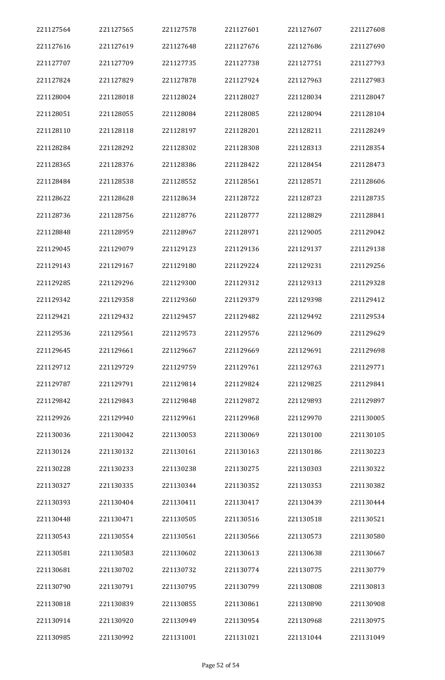| 221127564 | 221127565 | 221127578 | 221127601 | 221127607 | 221127608 |
|-----------|-----------|-----------|-----------|-----------|-----------|
| 221127616 | 221127619 | 221127648 | 221127676 | 221127686 | 221127690 |
| 221127707 | 221127709 | 221127735 | 221127738 | 221127751 | 221127793 |
| 221127824 | 221127829 | 221127878 | 221127924 | 221127963 | 221127983 |
| 221128004 | 221128018 | 221128024 | 221128027 | 221128034 | 221128047 |
| 221128051 | 221128055 | 221128084 | 221128085 | 221128094 | 221128104 |
| 221128110 | 221128118 | 221128197 | 221128201 | 221128211 | 221128249 |
| 221128284 | 221128292 | 221128302 | 221128308 | 221128313 | 221128354 |
| 221128365 | 221128376 | 221128386 | 221128422 | 221128454 | 221128473 |
| 221128484 | 221128538 | 221128552 | 221128561 | 221128571 | 221128606 |
| 221128622 | 221128628 | 221128634 | 221128722 | 221128723 | 221128735 |
| 221128736 | 221128756 | 221128776 | 221128777 | 221128829 | 221128841 |
| 221128848 | 221128959 | 221128967 | 221128971 | 221129005 | 221129042 |
| 221129045 | 221129079 | 221129123 | 221129136 | 221129137 | 221129138 |
| 221129143 | 221129167 | 221129180 | 221129224 | 221129231 | 221129256 |
| 221129285 | 221129296 | 221129300 | 221129312 | 221129313 | 221129328 |
| 221129342 | 221129358 | 221129360 | 221129379 | 221129398 | 221129412 |
| 221129421 | 221129432 | 221129457 | 221129482 | 221129492 | 221129534 |
| 221129536 | 221129561 | 221129573 | 221129576 | 221129609 | 221129629 |
| 221129645 | 221129661 | 221129667 | 221129669 | 221129691 | 221129698 |
| 221129712 | 221129729 | 221129759 | 221129761 | 221129763 | 221129771 |
| 221129787 | 221129791 | 221129814 | 221129824 | 221129825 | 221129841 |
| 221129842 | 221129843 | 221129848 | 221129872 | 221129893 | 221129897 |
| 221129926 | 221129940 | 221129961 | 221129968 | 221129970 | 221130005 |
| 221130036 | 221130042 | 221130053 | 221130069 | 221130100 | 221130105 |
| 221130124 | 221130132 | 221130161 | 221130163 | 221130186 | 221130223 |
| 221130228 | 221130233 | 221130238 | 221130275 | 221130303 | 221130322 |
| 221130327 | 221130335 | 221130344 | 221130352 | 221130353 | 221130382 |
| 221130393 | 221130404 | 221130411 | 221130417 | 221130439 | 221130444 |
| 221130448 | 221130471 | 221130505 | 221130516 | 221130518 | 221130521 |
| 221130543 | 221130554 | 221130561 | 221130566 | 221130573 | 221130580 |
| 221130581 | 221130583 | 221130602 | 221130613 | 221130638 | 221130667 |
| 221130681 | 221130702 | 221130732 | 221130774 | 221130775 | 221130779 |
| 221130790 | 221130791 | 221130795 | 221130799 | 221130808 | 221130813 |
| 221130818 | 221130839 | 221130855 | 221130861 | 221130890 | 221130908 |
| 221130914 | 221130920 | 221130949 | 221130954 | 221130968 | 221130975 |
| 221130985 | 221130992 | 221131001 | 221131021 | 221131044 | 221131049 |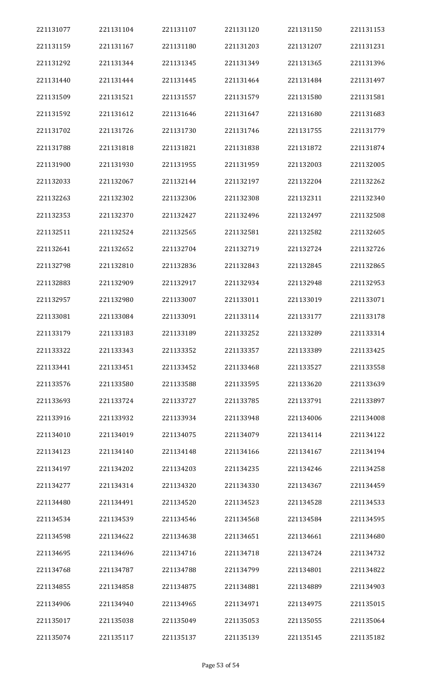| 221131077 | 221131104 | 221131107 | 221131120 | 221131150 | 221131153 |
|-----------|-----------|-----------|-----------|-----------|-----------|
| 221131159 | 221131167 | 221131180 | 221131203 | 221131207 | 221131231 |
| 221131292 | 221131344 | 221131345 | 221131349 | 221131365 | 221131396 |
| 221131440 | 221131444 | 221131445 | 221131464 | 221131484 | 221131497 |
| 221131509 | 221131521 | 221131557 | 221131579 | 221131580 | 221131581 |
| 221131592 | 221131612 | 221131646 | 221131647 | 221131680 | 221131683 |
| 221131702 | 221131726 | 221131730 | 221131746 | 221131755 | 221131779 |
| 221131788 | 221131818 | 221131821 | 221131838 | 221131872 | 221131874 |
| 221131900 | 221131930 | 221131955 | 221131959 | 221132003 | 221132005 |
| 221132033 | 221132067 | 221132144 | 221132197 | 221132204 | 221132262 |
| 221132263 | 221132302 | 221132306 | 221132308 | 221132311 | 221132340 |
| 221132353 | 221132370 | 221132427 | 221132496 | 221132497 | 221132508 |
| 221132511 | 221132524 | 221132565 | 221132581 | 221132582 | 221132605 |
| 221132641 | 221132652 | 221132704 | 221132719 | 221132724 | 221132726 |
| 221132798 | 221132810 | 221132836 | 221132843 | 221132845 | 221132865 |
| 221132883 | 221132909 | 221132917 | 221132934 | 221132948 | 221132953 |
| 221132957 | 221132980 | 221133007 | 221133011 | 221133019 | 221133071 |
| 221133081 | 221133084 | 221133091 | 221133114 | 221133177 | 221133178 |
| 221133179 | 221133183 | 221133189 | 221133252 | 221133289 | 221133314 |
| 221133322 | 221133343 | 221133352 | 221133357 | 221133389 | 221133425 |
| 221133441 | 221133451 | 221133452 | 221133468 | 221133527 | 221133558 |
| 221133576 | 221133580 | 221133588 | 221133595 | 221133620 | 221133639 |
| 221133693 | 221133724 | 221133727 | 221133785 | 221133791 | 221133897 |
| 221133916 | 221133932 | 221133934 | 221133948 | 221134006 | 221134008 |
| 221134010 | 221134019 | 221134075 | 221134079 | 221134114 | 221134122 |
| 221134123 | 221134140 | 221134148 | 221134166 | 221134167 | 221134194 |
| 221134197 | 221134202 | 221134203 | 221134235 | 221134246 | 221134258 |
| 221134277 | 221134314 | 221134320 | 221134330 | 221134367 | 221134459 |
| 221134480 | 221134491 | 221134520 | 221134523 | 221134528 | 221134533 |
| 221134534 | 221134539 | 221134546 | 221134568 | 221134584 | 221134595 |
| 221134598 | 221134622 | 221134638 | 221134651 | 221134661 | 221134680 |
| 221134695 | 221134696 | 221134716 | 221134718 | 221134724 | 221134732 |
| 221134768 | 221134787 | 221134788 | 221134799 | 221134801 | 221134822 |
| 221134855 | 221134858 | 221134875 | 221134881 | 221134889 | 221134903 |
| 221134906 | 221134940 | 221134965 | 221134971 | 221134975 | 221135015 |
| 221135017 | 221135038 | 221135049 | 221135053 | 221135055 | 221135064 |
| 221135074 | 221135117 | 221135137 | 221135139 | 221135145 | 221135182 |